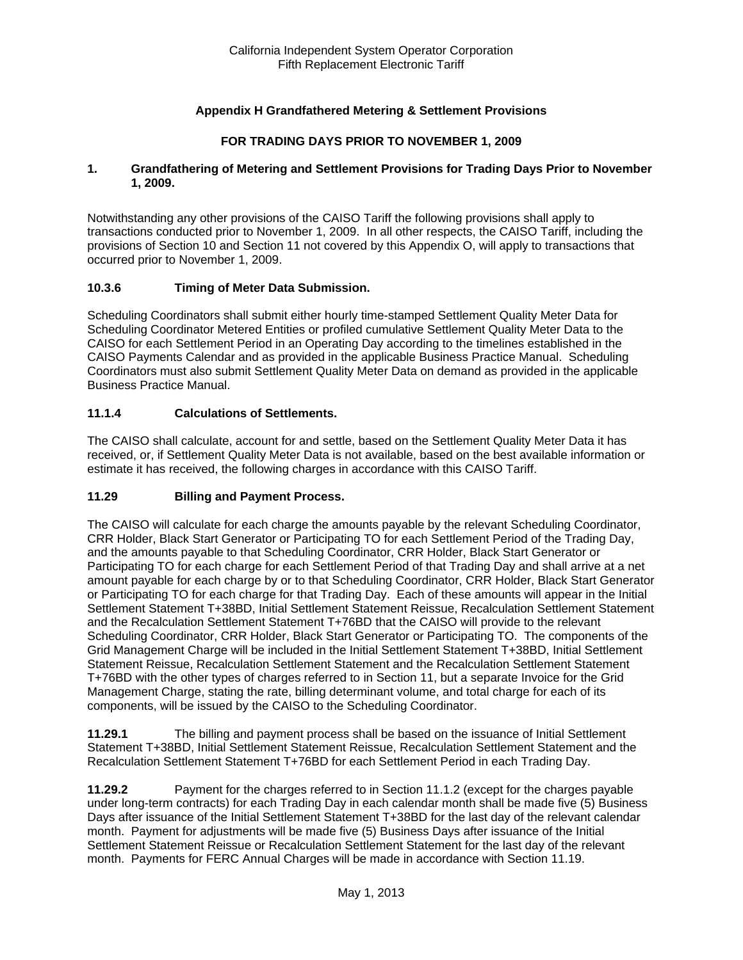# **Appendix H Grandfathered Metering & Settlement Provisions**

## **FOR TRADING DAYS PRIOR TO NOVEMBER 1, 2009**

#### **1. Grandfathering of Metering and Settlement Provisions for Trading Days Prior to November 1, 2009.**

Notwithstanding any other provisions of the CAISO Tariff the following provisions shall apply to transactions conducted prior to November 1, 2009. In all other respects, the CAISO Tariff, including the provisions of Section 10 and Section 11 not covered by this Appendix O, will apply to transactions that occurred prior to November 1, 2009.

#### **10.3.6 Timing of Meter Data Submission.**

Scheduling Coordinators shall submit either hourly time-stamped Settlement Quality Meter Data for Scheduling Coordinator Metered Entities or profiled cumulative Settlement Quality Meter Data to the CAISO for each Settlement Period in an Operating Day according to the timelines established in the CAISO Payments Calendar and as provided in the applicable Business Practice Manual. Scheduling Coordinators must also submit Settlement Quality Meter Data on demand as provided in the applicable Business Practice Manual.

#### **11.1.4 Calculations of Settlements.**

The CAISO shall calculate, account for and settle, based on the Settlement Quality Meter Data it has received, or, if Settlement Quality Meter Data is not available, based on the best available information or estimate it has received, the following charges in accordance with this CAISO Tariff.

#### **11.29 Billing and Payment Process.**

The CAISO will calculate for each charge the amounts payable by the relevant Scheduling Coordinator, CRR Holder, Black Start Generator or Participating TO for each Settlement Period of the Trading Day, and the amounts payable to that Scheduling Coordinator, CRR Holder, Black Start Generator or Participating TO for each charge for each Settlement Period of that Trading Day and shall arrive at a net amount payable for each charge by or to that Scheduling Coordinator, CRR Holder, Black Start Generator or Participating TO for each charge for that Trading Day. Each of these amounts will appear in the Initial Settlement Statement T+38BD, Initial Settlement Statement Reissue, Recalculation Settlement Statement and the Recalculation Settlement Statement T+76BD that the CAISO will provide to the relevant Scheduling Coordinator, CRR Holder, Black Start Generator or Participating TO. The components of the Grid Management Charge will be included in the Initial Settlement Statement T+38BD, Initial Settlement Statement Reissue, Recalculation Settlement Statement and the Recalculation Settlement Statement T+76BD with the other types of charges referred to in Section 11, but a separate Invoice for the Grid Management Charge, stating the rate, billing determinant volume, and total charge for each of its components, will be issued by the CAISO to the Scheduling Coordinator.

**11.29.1** The billing and payment process shall be based on the issuance of Initial Settlement Statement T+38BD, Initial Settlement Statement Reissue, Recalculation Settlement Statement and the Recalculation Settlement Statement T+76BD for each Settlement Period in each Trading Day.

**11.29.2** Payment for the charges referred to in Section 11.1.2 (except for the charges payable under long-term contracts) for each Trading Day in each calendar month shall be made five (5) Business Days after issuance of the Initial Settlement Statement T+38BD for the last day of the relevant calendar month. Payment for adjustments will be made five (5) Business Days after issuance of the Initial Settlement Statement Reissue or Recalculation Settlement Statement for the last day of the relevant month. Payments for FERC Annual Charges will be made in accordance with Section 11.19.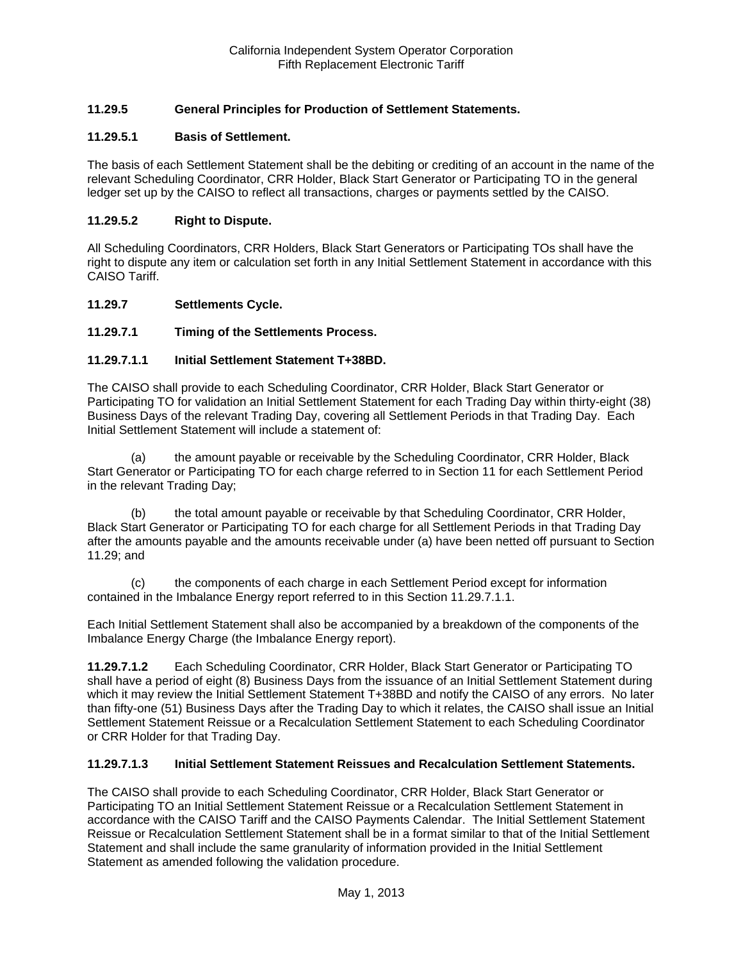# **11.29.5 General Principles for Production of Settlement Statements.**

## **11.29.5.1 Basis of Settlement.**

The basis of each Settlement Statement shall be the debiting or crediting of an account in the name of the relevant Scheduling Coordinator, CRR Holder, Black Start Generator or Participating TO in the general ledger set up by the CAISO to reflect all transactions, charges or payments settled by the CAISO.

#### **11.29.5.2 Right to Dispute.**

All Scheduling Coordinators, CRR Holders, Black Start Generators or Participating TOs shall have the right to dispute any item or calculation set forth in any Initial Settlement Statement in accordance with this CAISO Tariff.

#### **11.29.7 Settlements Cycle.**

## **11.29.7.1 Timing of the Settlements Process.**

#### **11.29.7.1.1 Initial Settlement Statement T+38BD.**

The CAISO shall provide to each Scheduling Coordinator, CRR Holder, Black Start Generator or Participating TO for validation an Initial Settlement Statement for each Trading Day within thirty-eight (38) Business Days of the relevant Trading Day, covering all Settlement Periods in that Trading Day. Each Initial Settlement Statement will include a statement of:

(a) the amount payable or receivable by the Scheduling Coordinator, CRR Holder, Black Start Generator or Participating TO for each charge referred to in Section 11 for each Settlement Period in the relevant Trading Day;

(b) the total amount payable or receivable by that Scheduling Coordinator, CRR Holder, Black Start Generator or Participating TO for each charge for all Settlement Periods in that Trading Day after the amounts payable and the amounts receivable under (a) have been netted off pursuant to Section 11.29; and

(c) the components of each charge in each Settlement Period except for information contained in the Imbalance Energy report referred to in this Section 11.29.7.1.1.

Each Initial Settlement Statement shall also be accompanied by a breakdown of the components of the Imbalance Energy Charge (the Imbalance Energy report).

**11.29.7.1.2** Each Scheduling Coordinator, CRR Holder, Black Start Generator or Participating TO shall have a period of eight (8) Business Days from the issuance of an Initial Settlement Statement during which it may review the Initial Settlement Statement T+38BD and notify the CAISO of any errors. No later than fifty-one (51) Business Days after the Trading Day to which it relates, the CAISO shall issue an Initial Settlement Statement Reissue or a Recalculation Settlement Statement to each Scheduling Coordinator or CRR Holder for that Trading Day.

#### **11.29.7.1.3 Initial Settlement Statement Reissues and Recalculation Settlement Statements.**

The CAISO shall provide to each Scheduling Coordinator, CRR Holder, Black Start Generator or Participating TO an Initial Settlement Statement Reissue or a Recalculation Settlement Statement in accordance with the CAISO Tariff and the CAISO Payments Calendar. The Initial Settlement Statement Reissue or Recalculation Settlement Statement shall be in a format similar to that of the Initial Settlement Statement and shall include the same granularity of information provided in the Initial Settlement Statement as amended following the validation procedure.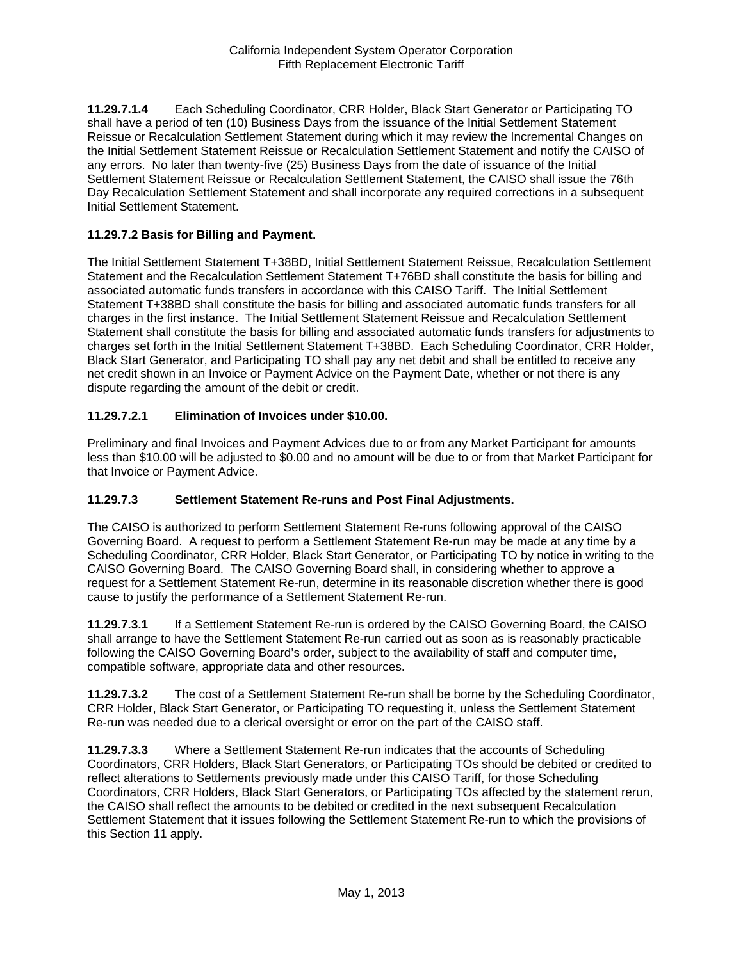**11.29.7.1.4** Each Scheduling Coordinator, CRR Holder, Black Start Generator or Participating TO shall have a period of ten (10) Business Days from the issuance of the Initial Settlement Statement Reissue or Recalculation Settlement Statement during which it may review the Incremental Changes on the Initial Settlement Statement Reissue or Recalculation Settlement Statement and notify the CAISO of any errors. No later than twenty-five (25) Business Days from the date of issuance of the Initial Settlement Statement Reissue or Recalculation Settlement Statement, the CAISO shall issue the 76th Day Recalculation Settlement Statement and shall incorporate any required corrections in a subsequent Initial Settlement Statement.

## **11.29.7.2 Basis for Billing and Payment.**

The Initial Settlement Statement T+38BD, Initial Settlement Statement Reissue, Recalculation Settlement Statement and the Recalculation Settlement Statement T+76BD shall constitute the basis for billing and associated automatic funds transfers in accordance with this CAISO Tariff. The Initial Settlement Statement T+38BD shall constitute the basis for billing and associated automatic funds transfers for all charges in the first instance. The Initial Settlement Statement Reissue and Recalculation Settlement Statement shall constitute the basis for billing and associated automatic funds transfers for adjustments to charges set forth in the Initial Settlement Statement T+38BD. Each Scheduling Coordinator, CRR Holder, Black Start Generator, and Participating TO shall pay any net debit and shall be entitled to receive any net credit shown in an Invoice or Payment Advice on the Payment Date, whether or not there is any dispute regarding the amount of the debit or credit.

# **11.29.7.2.1 Elimination of Invoices under \$10.00.**

Preliminary and final Invoices and Payment Advices due to or from any Market Participant for amounts less than \$10.00 will be adjusted to \$0.00 and no amount will be due to or from that Market Participant for that Invoice or Payment Advice.

## **11.29.7.3 Settlement Statement Re-runs and Post Final Adjustments.**

The CAISO is authorized to perform Settlement Statement Re-runs following approval of the CAISO Governing Board. A request to perform a Settlement Statement Re-run may be made at any time by a Scheduling Coordinator, CRR Holder, Black Start Generator, or Participating TO by notice in writing to the CAISO Governing Board. The CAISO Governing Board shall, in considering whether to approve a request for a Settlement Statement Re-run, determine in its reasonable discretion whether there is good cause to justify the performance of a Settlement Statement Re-run.

**11.29.7.3.1** If a Settlement Statement Re-run is ordered by the CAISO Governing Board, the CAISO shall arrange to have the Settlement Statement Re-run carried out as soon as is reasonably practicable following the CAISO Governing Board's order, subject to the availability of staff and computer time, compatible software, appropriate data and other resources.

**11.29.7.3.2** The cost of a Settlement Statement Re-run shall be borne by the Scheduling Coordinator, CRR Holder, Black Start Generator, or Participating TO requesting it, unless the Settlement Statement Re-run was needed due to a clerical oversight or error on the part of the CAISO staff.

**11.29.7.3.3** Where a Settlement Statement Re-run indicates that the accounts of Scheduling Coordinators, CRR Holders, Black Start Generators, or Participating TOs should be debited or credited to reflect alterations to Settlements previously made under this CAISO Tariff, for those Scheduling Coordinators, CRR Holders, Black Start Generators, or Participating TOs affected by the statement rerun, the CAISO shall reflect the amounts to be debited or credited in the next subsequent Recalculation Settlement Statement that it issues following the Settlement Statement Re-run to which the provisions of this Section 11 apply.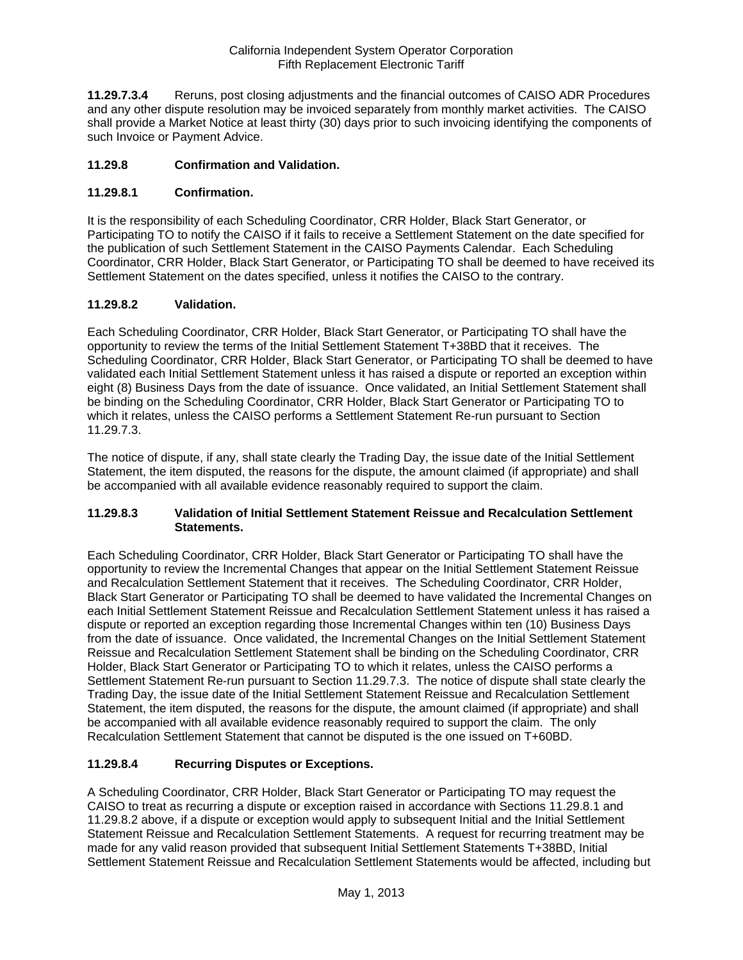**11.29.7.3.4** Reruns, post closing adjustments and the financial outcomes of CAISO ADR Procedures and any other dispute resolution may be invoiced separately from monthly market activities. The CAISO shall provide a Market Notice at least thirty (30) days prior to such invoicing identifying the components of such Invoice or Payment Advice.

# **11.29.8 Confirmation and Validation.**

# **11.29.8.1 Confirmation.**

It is the responsibility of each Scheduling Coordinator, CRR Holder, Black Start Generator, or Participating TO to notify the CAISO if it fails to receive a Settlement Statement on the date specified for the publication of such Settlement Statement in the CAISO Payments Calendar. Each Scheduling Coordinator, CRR Holder, Black Start Generator, or Participating TO shall be deemed to have received its Settlement Statement on the dates specified, unless it notifies the CAISO to the contrary.

# **11.29.8.2 Validation.**

Each Scheduling Coordinator, CRR Holder, Black Start Generator, or Participating TO shall have the opportunity to review the terms of the Initial Settlement Statement T+38BD that it receives. The Scheduling Coordinator, CRR Holder, Black Start Generator, or Participating TO shall be deemed to have validated each Initial Settlement Statement unless it has raised a dispute or reported an exception within eight (8) Business Days from the date of issuance. Once validated, an Initial Settlement Statement shall be binding on the Scheduling Coordinator, CRR Holder, Black Start Generator or Participating TO to which it relates, unless the CAISO performs a Settlement Statement Re-run pursuant to Section 11.29.7.3.

The notice of dispute, if any, shall state clearly the Trading Day, the issue date of the Initial Settlement Statement, the item disputed, the reasons for the dispute, the amount claimed (if appropriate) and shall be accompanied with all available evidence reasonably required to support the claim.

## **11.29.8.3 Validation of Initial Settlement Statement Reissue and Recalculation Settlement Statements.**

Each Scheduling Coordinator, CRR Holder, Black Start Generator or Participating TO shall have the opportunity to review the Incremental Changes that appear on the Initial Settlement Statement Reissue and Recalculation Settlement Statement that it receives. The Scheduling Coordinator, CRR Holder, Black Start Generator or Participating TO shall be deemed to have validated the Incremental Changes on each Initial Settlement Statement Reissue and Recalculation Settlement Statement unless it has raised a dispute or reported an exception regarding those Incremental Changes within ten (10) Business Days from the date of issuance. Once validated, the Incremental Changes on the Initial Settlement Statement Reissue and Recalculation Settlement Statement shall be binding on the Scheduling Coordinator, CRR Holder, Black Start Generator or Participating TO to which it relates, unless the CAISO performs a Settlement Statement Re-run pursuant to Section 11.29.7.3. The notice of dispute shall state clearly the Trading Day, the issue date of the Initial Settlement Statement Reissue and Recalculation Settlement Statement, the item disputed, the reasons for the dispute, the amount claimed (if appropriate) and shall be accompanied with all available evidence reasonably required to support the claim. The only Recalculation Settlement Statement that cannot be disputed is the one issued on T+60BD.

## **11.29.8.4 Recurring Disputes or Exceptions.**

A Scheduling Coordinator, CRR Holder, Black Start Generator or Participating TO may request the CAISO to treat as recurring a dispute or exception raised in accordance with Sections 11.29.8.1 and 11.29.8.2 above, if a dispute or exception would apply to subsequent Initial and the Initial Settlement Statement Reissue and Recalculation Settlement Statements. A request for recurring treatment may be made for any valid reason provided that subsequent Initial Settlement Statements T+38BD, Initial Settlement Statement Reissue and Recalculation Settlement Statements would be affected, including but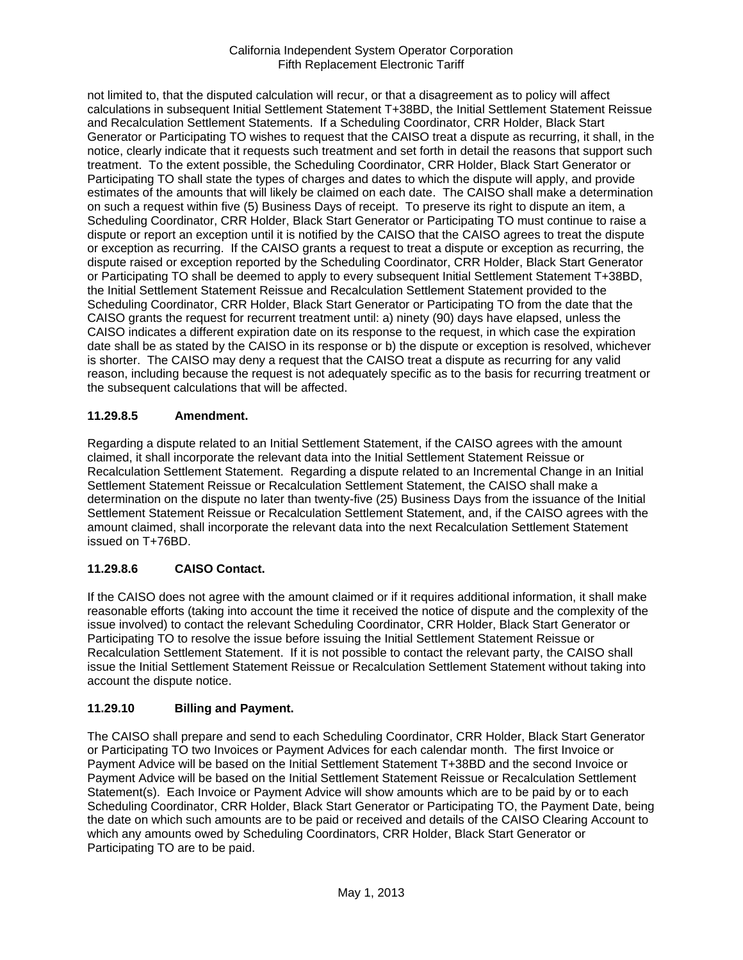not limited to, that the disputed calculation will recur, or that a disagreement as to policy will affect calculations in subsequent Initial Settlement Statement T+38BD, the Initial Settlement Statement Reissue and Recalculation Settlement Statements. If a Scheduling Coordinator, CRR Holder, Black Start Generator or Participating TO wishes to request that the CAISO treat a dispute as recurring, it shall, in the notice, clearly indicate that it requests such treatment and set forth in detail the reasons that support such treatment. To the extent possible, the Scheduling Coordinator, CRR Holder, Black Start Generator or Participating TO shall state the types of charges and dates to which the dispute will apply, and provide estimates of the amounts that will likely be claimed on each date. The CAISO shall make a determination on such a request within five (5) Business Days of receipt. To preserve its right to dispute an item, a Scheduling Coordinator, CRR Holder, Black Start Generator or Participating TO must continue to raise a dispute or report an exception until it is notified by the CAISO that the CAISO agrees to treat the dispute or exception as recurring. If the CAISO grants a request to treat a dispute or exception as recurring, the dispute raised or exception reported by the Scheduling Coordinator, CRR Holder, Black Start Generator or Participating TO shall be deemed to apply to every subsequent Initial Settlement Statement T+38BD, the Initial Settlement Statement Reissue and Recalculation Settlement Statement provided to the Scheduling Coordinator, CRR Holder, Black Start Generator or Participating TO from the date that the CAISO grants the request for recurrent treatment until: a) ninety (90) days have elapsed, unless the CAISO indicates a different expiration date on its response to the request, in which case the expiration date shall be as stated by the CAISO in its response or b) the dispute or exception is resolved, whichever is shorter. The CAISO may deny a request that the CAISO treat a dispute as recurring for any valid reason, including because the request is not adequately specific as to the basis for recurring treatment or the subsequent calculations that will be affected.

# **11.29.8.5 Amendment.**

Regarding a dispute related to an Initial Settlement Statement, if the CAISO agrees with the amount claimed, it shall incorporate the relevant data into the Initial Settlement Statement Reissue or Recalculation Settlement Statement. Regarding a dispute related to an Incremental Change in an Initial Settlement Statement Reissue or Recalculation Settlement Statement, the CAISO shall make a determination on the dispute no later than twenty-five (25) Business Days from the issuance of the Initial Settlement Statement Reissue or Recalculation Settlement Statement, and, if the CAISO agrees with the amount claimed, shall incorporate the relevant data into the next Recalculation Settlement Statement issued on T+76BD.

# **11.29.8.6 CAISO Contact.**

If the CAISO does not agree with the amount claimed or if it requires additional information, it shall make reasonable efforts (taking into account the time it received the notice of dispute and the complexity of the issue involved) to contact the relevant Scheduling Coordinator, CRR Holder, Black Start Generator or Participating TO to resolve the issue before issuing the Initial Settlement Statement Reissue or Recalculation Settlement Statement. If it is not possible to contact the relevant party, the CAISO shall issue the Initial Settlement Statement Reissue or Recalculation Settlement Statement without taking into account the dispute notice.

# **11.29.10 Billing and Payment.**

The CAISO shall prepare and send to each Scheduling Coordinator, CRR Holder, Black Start Generator or Participating TO two Invoices or Payment Advices for each calendar month. The first Invoice or Payment Advice will be based on the Initial Settlement Statement T+38BD and the second Invoice or Payment Advice will be based on the Initial Settlement Statement Reissue or Recalculation Settlement Statement(s). Each Invoice or Payment Advice will show amounts which are to be paid by or to each Scheduling Coordinator, CRR Holder, Black Start Generator or Participating TO, the Payment Date, being the date on which such amounts are to be paid or received and details of the CAISO Clearing Account to which any amounts owed by Scheduling Coordinators, CRR Holder, Black Start Generator or Participating TO are to be paid.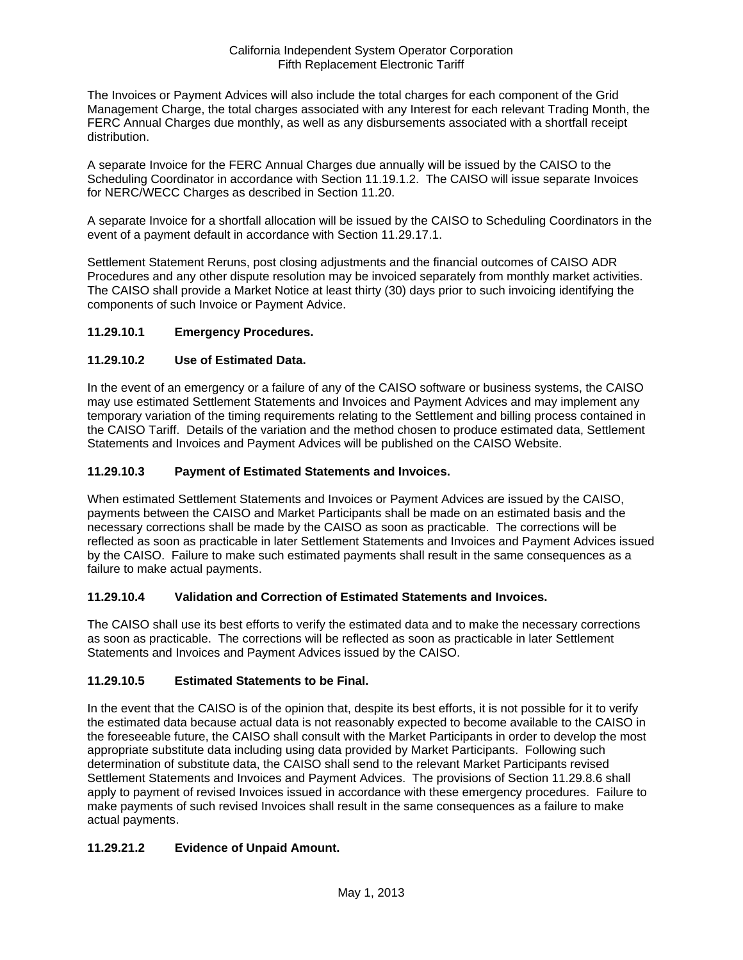The Invoices or Payment Advices will also include the total charges for each component of the Grid Management Charge, the total charges associated with any Interest for each relevant Trading Month, the FERC Annual Charges due monthly, as well as any disbursements associated with a shortfall receipt distribution.

A separate Invoice for the FERC Annual Charges due annually will be issued by the CAISO to the Scheduling Coordinator in accordance with Section 11.19.1.2. The CAISO will issue separate Invoices for NERC/WECC Charges as described in Section 11.20.

A separate Invoice for a shortfall allocation will be issued by the CAISO to Scheduling Coordinators in the event of a payment default in accordance with Section 11.29.17.1.

Settlement Statement Reruns, post closing adjustments and the financial outcomes of CAISO ADR Procedures and any other dispute resolution may be invoiced separately from monthly market activities. The CAISO shall provide a Market Notice at least thirty (30) days prior to such invoicing identifying the components of such Invoice or Payment Advice.

# **11.29.10.1 Emergency Procedures.**

# **11.29.10.2 Use of Estimated Data.**

In the event of an emergency or a failure of any of the CAISO software or business systems, the CAISO may use estimated Settlement Statements and Invoices and Payment Advices and may implement any temporary variation of the timing requirements relating to the Settlement and billing process contained in the CAISO Tariff. Details of the variation and the method chosen to produce estimated data, Settlement Statements and Invoices and Payment Advices will be published on the CAISO Website.

## **11.29.10.3 Payment of Estimated Statements and Invoices.**

When estimated Settlement Statements and Invoices or Payment Advices are issued by the CAISO, payments between the CAISO and Market Participants shall be made on an estimated basis and the necessary corrections shall be made by the CAISO as soon as practicable. The corrections will be reflected as soon as practicable in later Settlement Statements and Invoices and Payment Advices issued by the CAISO. Failure to make such estimated payments shall result in the same consequences as a failure to make actual payments.

## **11.29.10.4 Validation and Correction of Estimated Statements and Invoices.**

The CAISO shall use its best efforts to verify the estimated data and to make the necessary corrections as soon as practicable. The corrections will be reflected as soon as practicable in later Settlement Statements and Invoices and Payment Advices issued by the CAISO.

## **11.29.10.5 Estimated Statements to be Final.**

In the event that the CAISO is of the opinion that, despite its best efforts, it is not possible for it to verify the estimated data because actual data is not reasonably expected to become available to the CAISO in the foreseeable future, the CAISO shall consult with the Market Participants in order to develop the most appropriate substitute data including using data provided by Market Participants. Following such determination of substitute data, the CAISO shall send to the relevant Market Participants revised Settlement Statements and Invoices and Payment Advices. The provisions of Section 11.29.8.6 shall apply to payment of revised Invoices issued in accordance with these emergency procedures. Failure to make payments of such revised Invoices shall result in the same consequences as a failure to make actual payments.

# **11.29.21.2 Evidence of Unpaid Amount.**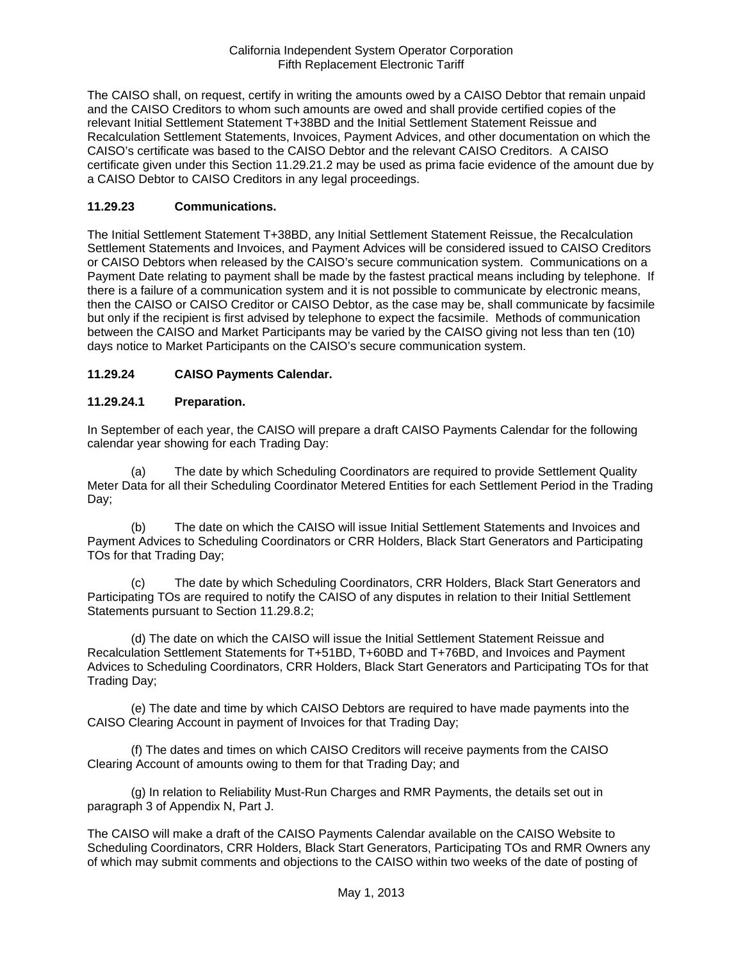The CAISO shall, on request, certify in writing the amounts owed by a CAISO Debtor that remain unpaid and the CAISO Creditors to whom such amounts are owed and shall provide certified copies of the relevant Initial Settlement Statement T+38BD and the Initial Settlement Statement Reissue and Recalculation Settlement Statements, Invoices, Payment Advices, and other documentation on which the CAISO's certificate was based to the CAISO Debtor and the relevant CAISO Creditors. A CAISO certificate given under this Section 11.29.21.2 may be used as prima facie evidence of the amount due by a CAISO Debtor to CAISO Creditors in any legal proceedings.

# **11.29.23 Communications.**

The Initial Settlement Statement T+38BD, any Initial Settlement Statement Reissue, the Recalculation Settlement Statements and Invoices, and Payment Advices will be considered issued to CAISO Creditors or CAISO Debtors when released by the CAISO's secure communication system. Communications on a Payment Date relating to payment shall be made by the fastest practical means including by telephone. If there is a failure of a communication system and it is not possible to communicate by electronic means, then the CAISO or CAISO Creditor or CAISO Debtor, as the case may be, shall communicate by facsimile but only if the recipient is first advised by telephone to expect the facsimile. Methods of communication between the CAISO and Market Participants may be varied by the CAISO giving not less than ten (10) days notice to Market Participants on the CAISO's secure communication system.

# **11.29.24 CAISO Payments Calendar.**

## **11.29.24.1 Preparation.**

In September of each year, the CAISO will prepare a draft CAISO Payments Calendar for the following calendar year showing for each Trading Day:

(a) The date by which Scheduling Coordinators are required to provide Settlement Quality Meter Data for all their Scheduling Coordinator Metered Entities for each Settlement Period in the Trading Day;

(b) The date on which the CAISO will issue Initial Settlement Statements and Invoices and Payment Advices to Scheduling Coordinators or CRR Holders, Black Start Generators and Participating TOs for that Trading Day;

(c) The date by which Scheduling Coordinators, CRR Holders, Black Start Generators and Participating TOs are required to notify the CAISO of any disputes in relation to their Initial Settlement Statements pursuant to Section 11.29.8.2;

(d) The date on which the CAISO will issue the Initial Settlement Statement Reissue and Recalculation Settlement Statements for T+51BD, T+60BD and T+76BD, and Invoices and Payment Advices to Scheduling Coordinators, CRR Holders, Black Start Generators and Participating TOs for that Trading Day;

(e) The date and time by which CAISO Debtors are required to have made payments into the CAISO Clearing Account in payment of Invoices for that Trading Day;

(f) The dates and times on which CAISO Creditors will receive payments from the CAISO Clearing Account of amounts owing to them for that Trading Day; and

(g) In relation to Reliability Must-Run Charges and RMR Payments, the details set out in paragraph 3 of Appendix N, Part J.

The CAISO will make a draft of the CAISO Payments Calendar available on the CAISO Website to Scheduling Coordinators, CRR Holders, Black Start Generators, Participating TOs and RMR Owners any of which may submit comments and objections to the CAISO within two weeks of the date of posting of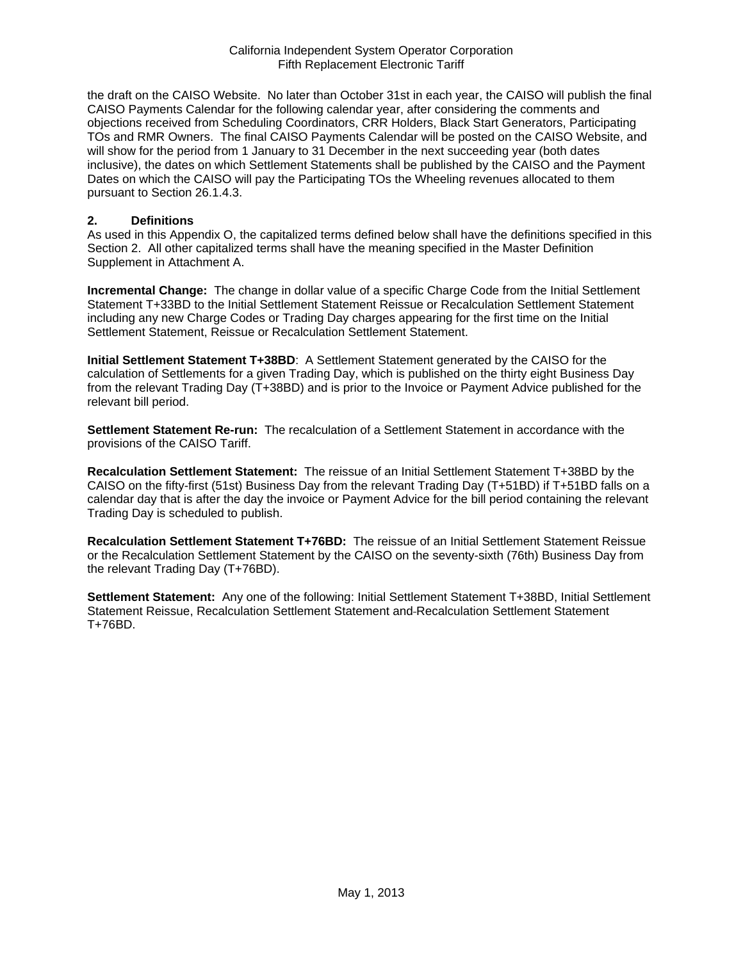the draft on the CAISO Website. No later than October 31st in each year, the CAISO will publish the final CAISO Payments Calendar for the following calendar year, after considering the comments and objections received from Scheduling Coordinators, CRR Holders, Black Start Generators, Participating TOs and RMR Owners. The final CAISO Payments Calendar will be posted on the CAISO Website, and will show for the period from 1 January to 31 December in the next succeeding year (both dates inclusive), the dates on which Settlement Statements shall be published by the CAISO and the Payment Dates on which the CAISO will pay the Participating TOs the Wheeling revenues allocated to them pursuant to Section 26.1.4.3.

#### **2. Definitions**

As used in this Appendix O, the capitalized terms defined below shall have the definitions specified in this Section 2. All other capitalized terms shall have the meaning specified in the Master Definition Supplement in Attachment A.

**Incremental Change:** The change in dollar value of a specific Charge Code from the Initial Settlement Statement T+33BD to the Initial Settlement Statement Reissue or Recalculation Settlement Statement including any new Charge Codes or Trading Day charges appearing for the first time on the Initial Settlement Statement, Reissue or Recalculation Settlement Statement.

**Initial Settlement Statement T+38BD**: A Settlement Statement generated by the CAISO for the calculation of Settlements for a given Trading Day, which is published on the thirty eight Business Day from the relevant Trading Day (T+38BD) and is prior to the Invoice or Payment Advice published for the relevant bill period.

**Settlement Statement Re-run:** The recalculation of a Settlement Statement in accordance with the provisions of the CAISO Tariff.

**Recalculation Settlement Statement:** The reissue of an Initial Settlement Statement T+38BD by the CAISO on the fifty-first (51st) Business Day from the relevant Trading Day (T+51BD) if T+51BD falls on a calendar day that is after the day the invoice or Payment Advice for the bill period containing the relevant Trading Day is scheduled to publish.

**Recalculation Settlement Statement T+76BD:** The reissue of an Initial Settlement Statement Reissue or the Recalculation Settlement Statement by the CAISO on the seventy-sixth (76th) Business Day from the relevant Trading Day (T+76BD).

**Settlement Statement:** Any one of the following: Initial Settlement Statement T+38BD, Initial Settlement Statement Reissue, Recalculation Settlement Statement and Recalculation Settlement Statement T+76BD.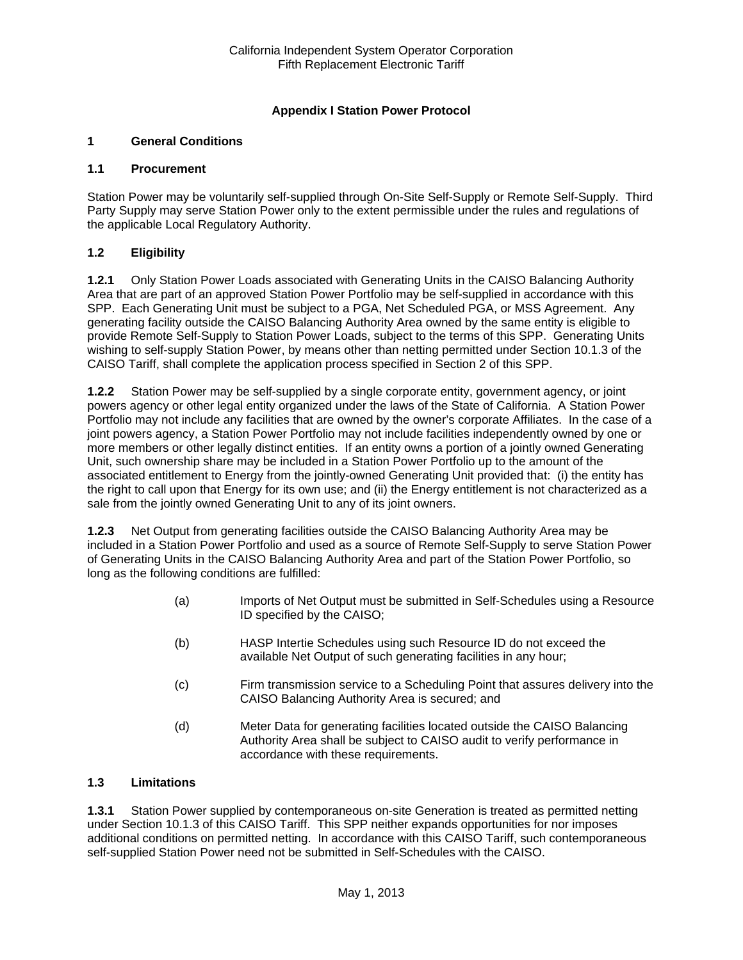# **Appendix I Station Power Protocol**

# **1 General Conditions**

#### **1.1 Procurement**

Station Power may be voluntarily self-supplied through On-Site Self-Supply or Remote Self-Supply. Third Party Supply may serve Station Power only to the extent permissible under the rules and regulations of the applicable Local Regulatory Authority.

## **1.2 Eligibility**

**1.2.1** Only Station Power Loads associated with Generating Units in the CAISO Balancing Authority Area that are part of an approved Station Power Portfolio may be self-supplied in accordance with this SPP. Each Generating Unit must be subject to a PGA, Net Scheduled PGA, or MSS Agreement. Any generating facility outside the CAISO Balancing Authority Area owned by the same entity is eligible to provide Remote Self-Supply to Station Power Loads, subject to the terms of this SPP. Generating Units wishing to self-supply Station Power, by means other than netting permitted under Section 10.1.3 of the CAISO Tariff, shall complete the application process specified in Section 2 of this SPP.

**1.2.2** Station Power may be self-supplied by a single corporate entity, government agency, or joint powers agency or other legal entity organized under the laws of the State of California. A Station Power Portfolio may not include any facilities that are owned by the owner's corporate Affiliates. In the case of a joint powers agency, a Station Power Portfolio may not include facilities independently owned by one or more members or other legally distinct entities. If an entity owns a portion of a jointly owned Generating Unit, such ownership share may be included in a Station Power Portfolio up to the amount of the associated entitlement to Energy from the jointly-owned Generating Unit provided that: (i) the entity has the right to call upon that Energy for its own use; and (ii) the Energy entitlement is not characterized as a sale from the jointly owned Generating Unit to any of its joint owners.

**1.2.3** Net Output from generating facilities outside the CAISO Balancing Authority Area may be included in a Station Power Portfolio and used as a source of Remote Self-Supply to serve Station Power of Generating Units in the CAISO Balancing Authority Area and part of the Station Power Portfolio, so long as the following conditions are fulfilled:

- (a) Imports of Net Output must be submitted in Self-Schedules using a Resource ID specified by the CAISO;
- (b) HASP Intertie Schedules using such Resource ID do not exceed the available Net Output of such generating facilities in any hour;
- (c) Firm transmission service to a Scheduling Point that assures delivery into the CAISO Balancing Authority Area is secured; and
- (d) Meter Data for generating facilities located outside the CAISO Balancing Authority Area shall be subject to CAISO audit to verify performance in accordance with these requirements.

## **1.3 Limitations**

**1.3.1** Station Power supplied by contemporaneous on-site Generation is treated as permitted netting under Section 10.1.3 of this CAISO Tariff. This SPP neither expands opportunities for nor imposes additional conditions on permitted netting. In accordance with this CAISO Tariff, such contemporaneous self-supplied Station Power need not be submitted in Self-Schedules with the CAISO.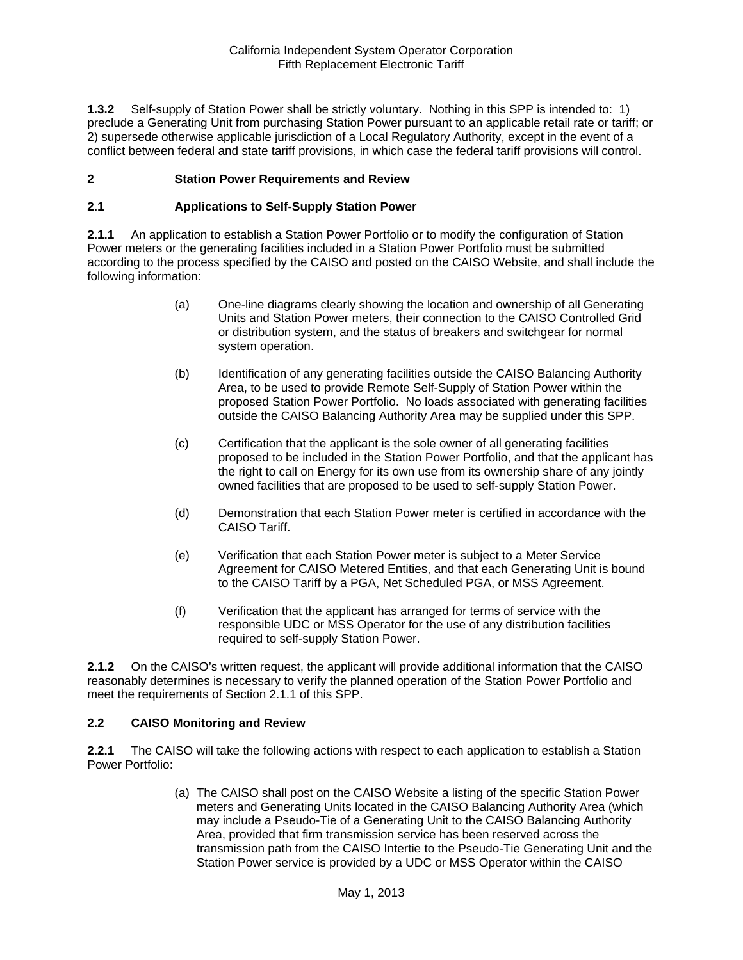**1.3.2** Self-supply of Station Power shall be strictly voluntary. Nothing in this SPP is intended to: 1) preclude a Generating Unit from purchasing Station Power pursuant to an applicable retail rate or tariff; or 2) supersede otherwise applicable jurisdiction of a Local Regulatory Authority, except in the event of a conflict between federal and state tariff provisions, in which case the federal tariff provisions will control.

## **2 Station Power Requirements and Review**

#### **2.1 Applications to Self-Supply Station Power**

**2.1.1** An application to establish a Station Power Portfolio or to modify the configuration of Station Power meters or the generating facilities included in a Station Power Portfolio must be submitted according to the process specified by the CAISO and posted on the CAISO Website, and shall include the following information:

- (a) One-line diagrams clearly showing the location and ownership of all Generating Units and Station Power meters, their connection to the CAISO Controlled Grid or distribution system, and the status of breakers and switchgear for normal system operation.
- (b) Identification of any generating facilities outside the CAISO Balancing Authority Area, to be used to provide Remote Self-Supply of Station Power within the proposed Station Power Portfolio. No loads associated with generating facilities outside the CAISO Balancing Authority Area may be supplied under this SPP.
- (c) Certification that the applicant is the sole owner of all generating facilities proposed to be included in the Station Power Portfolio, and that the applicant has the right to call on Energy for its own use from its ownership share of any jointly owned facilities that are proposed to be used to self-supply Station Power.
- (d) Demonstration that each Station Power meter is certified in accordance with the CAISO Tariff.
- (e) Verification that each Station Power meter is subject to a Meter Service Agreement for CAISO Metered Entities, and that each Generating Unit is bound to the CAISO Tariff by a PGA, Net Scheduled PGA, or MSS Agreement.
- (f) Verification that the applicant has arranged for terms of service with the responsible UDC or MSS Operator for the use of any distribution facilities required to self-supply Station Power.

**2.1.2** On the CAISO's written request, the applicant will provide additional information that the CAISO reasonably determines is necessary to verify the planned operation of the Station Power Portfolio and meet the requirements of Section 2.1.1 of this SPP.

#### **2.2 CAISO Monitoring and Review**

**2.2.1** The CAISO will take the following actions with respect to each application to establish a Station Power Portfolio:

> (a) The CAISO shall post on the CAISO Website a listing of the specific Station Power meters and Generating Units located in the CAISO Balancing Authority Area (which may include a Pseudo-Tie of a Generating Unit to the CAISO Balancing Authority Area, provided that firm transmission service has been reserved across the transmission path from the CAISO Intertie to the Pseudo-Tie Generating Unit and the Station Power service is provided by a UDC or MSS Operator within the CAISO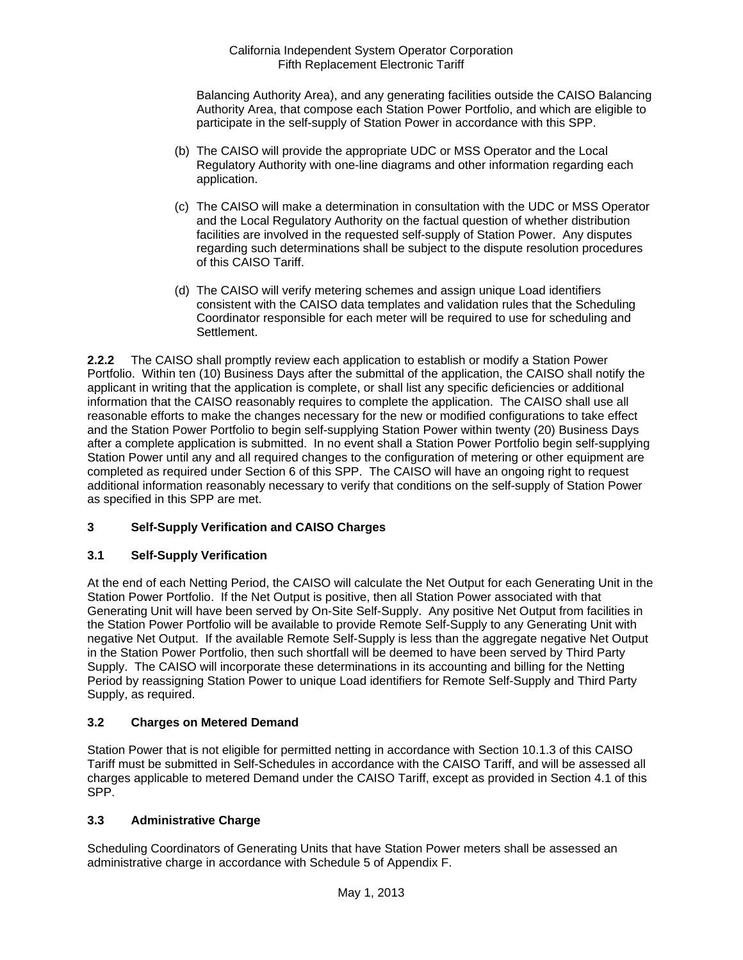Balancing Authority Area), and any generating facilities outside the CAISO Balancing Authority Area, that compose each Station Power Portfolio, and which are eligible to participate in the self-supply of Station Power in accordance with this SPP.

- (b) The CAISO will provide the appropriate UDC or MSS Operator and the Local Regulatory Authority with one-line diagrams and other information regarding each application.
- (c) The CAISO will make a determination in consultation with the UDC or MSS Operator and the Local Regulatory Authority on the factual question of whether distribution facilities are involved in the requested self-supply of Station Power. Any disputes regarding such determinations shall be subject to the dispute resolution procedures of this CAISO Tariff.
- (d) The CAISO will verify metering schemes and assign unique Load identifiers consistent with the CAISO data templates and validation rules that the Scheduling Coordinator responsible for each meter will be required to use for scheduling and Settlement.

**2.2.2** The CAISO shall promptly review each application to establish or modify a Station Power Portfolio. Within ten (10) Business Days after the submittal of the application, the CAISO shall notify the applicant in writing that the application is complete, or shall list any specific deficiencies or additional information that the CAISO reasonably requires to complete the application. The CAISO shall use all reasonable efforts to make the changes necessary for the new or modified configurations to take effect and the Station Power Portfolio to begin self-supplying Station Power within twenty (20) Business Days after a complete application is submitted. In no event shall a Station Power Portfolio begin self-supplying Station Power until any and all required changes to the configuration of metering or other equipment are completed as required under Section 6 of this SPP. The CAISO will have an ongoing right to request additional information reasonably necessary to verify that conditions on the self-supply of Station Power as specified in this SPP are met.

# **3 Self-Supply Verification and CAISO Charges**

# **3.1 Self-Supply Verification**

At the end of each Netting Period, the CAISO will calculate the Net Output for each Generating Unit in the Station Power Portfolio. If the Net Output is positive, then all Station Power associated with that Generating Unit will have been served by On-Site Self-Supply. Any positive Net Output from facilities in the Station Power Portfolio will be available to provide Remote Self-Supply to any Generating Unit with negative Net Output. If the available Remote Self-Supply is less than the aggregate negative Net Output in the Station Power Portfolio, then such shortfall will be deemed to have been served by Third Party Supply. The CAISO will incorporate these determinations in its accounting and billing for the Netting Period by reassigning Station Power to unique Load identifiers for Remote Self-Supply and Third Party Supply, as required.

## **3.2 Charges on Metered Demand**

Station Power that is not eligible for permitted netting in accordance with Section 10.1.3 of this CAISO Tariff must be submitted in Self-Schedules in accordance with the CAISO Tariff, and will be assessed all charges applicable to metered Demand under the CAISO Tariff, except as provided in Section 4.1 of this SPP.

## **3.3 Administrative Charge**

Scheduling Coordinators of Generating Units that have Station Power meters shall be assessed an administrative charge in accordance with Schedule 5 of Appendix F.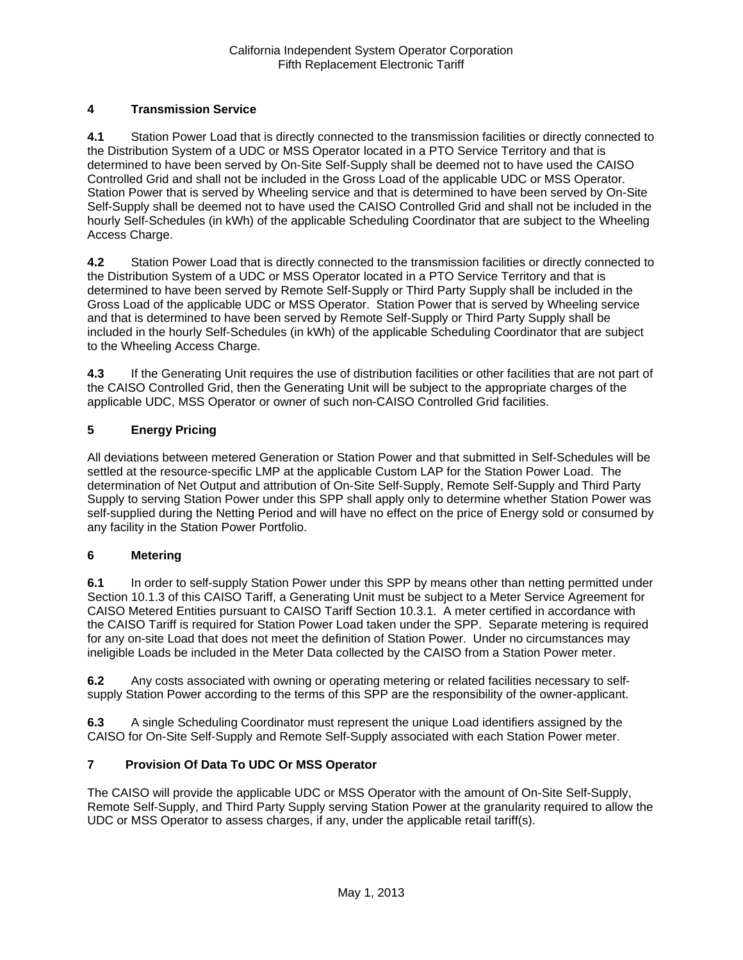# **4 Transmission Service**

**4.1** Station Power Load that is directly connected to the transmission facilities or directly connected to the Distribution System of a UDC or MSS Operator located in a PTO Service Territory and that is determined to have been served by On-Site Self-Supply shall be deemed not to have used the CAISO Controlled Grid and shall not be included in the Gross Load of the applicable UDC or MSS Operator. Station Power that is served by Wheeling service and that is determined to have been served by On-Site Self-Supply shall be deemed not to have used the CAISO Controlled Grid and shall not be included in the hourly Self-Schedules (in kWh) of the applicable Scheduling Coordinator that are subject to the Wheeling Access Charge.

**4.2** Station Power Load that is directly connected to the transmission facilities or directly connected to the Distribution System of a UDC or MSS Operator located in a PTO Service Territory and that is determined to have been served by Remote Self-Supply or Third Party Supply shall be included in the Gross Load of the applicable UDC or MSS Operator. Station Power that is served by Wheeling service and that is determined to have been served by Remote Self-Supply or Third Party Supply shall be included in the hourly Self-Schedules (in kWh) of the applicable Scheduling Coordinator that are subject to the Wheeling Access Charge.

**4.3** If the Generating Unit requires the use of distribution facilities or other facilities that are not part of the CAISO Controlled Grid, then the Generating Unit will be subject to the appropriate charges of the applicable UDC, MSS Operator or owner of such non-CAISO Controlled Grid facilities.

# **5 Energy Pricing**

All deviations between metered Generation or Station Power and that submitted in Self-Schedules will be settled at the resource-specific LMP at the applicable Custom LAP for the Station Power Load. The determination of Net Output and attribution of On-Site Self-Supply, Remote Self-Supply and Third Party Supply to serving Station Power under this SPP shall apply only to determine whether Station Power was self-supplied during the Netting Period and will have no effect on the price of Energy sold or consumed by any facility in the Station Power Portfolio.

## **6 Metering**

**6.1** In order to self-supply Station Power under this SPP by means other than netting permitted under Section 10.1.3 of this CAISO Tariff, a Generating Unit must be subject to a Meter Service Agreement for CAISO Metered Entities pursuant to CAISO Tariff Section 10.3.1. A meter certified in accordance with the CAISO Tariff is required for Station Power Load taken under the SPP. Separate metering is required for any on-site Load that does not meet the definition of Station Power. Under no circumstances may ineligible Loads be included in the Meter Data collected by the CAISO from a Station Power meter.

**6.2** Any costs associated with owning or operating metering or related facilities necessary to selfsupply Station Power according to the terms of this SPP are the responsibility of the owner-applicant.

**6.3** A single Scheduling Coordinator must represent the unique Load identifiers assigned by the CAISO for On-Site Self-Supply and Remote Self-Supply associated with each Station Power meter.

## **7 Provision Of Data To UDC Or MSS Operator**

The CAISO will provide the applicable UDC or MSS Operator with the amount of On-Site Self-Supply, Remote Self-Supply, and Third Party Supply serving Station Power at the granularity required to allow the UDC or MSS Operator to assess charges, if any, under the applicable retail tariff(s).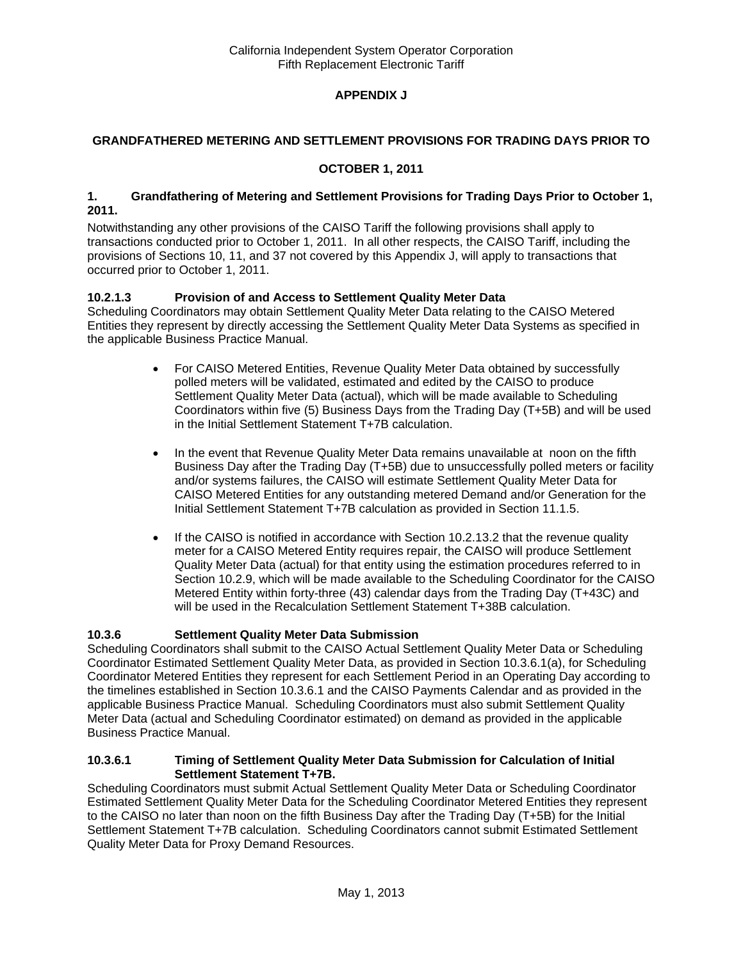# **APPENDIX J**

## **GRANDFATHERED METERING AND SETTLEMENT PROVISIONS FOR TRADING DAYS PRIOR TO**

## **OCTOBER 1, 2011**

#### **1. Grandfathering of Metering and Settlement Provisions for Trading Days Prior to October 1, 2011.**

Notwithstanding any other provisions of the CAISO Tariff the following provisions shall apply to transactions conducted prior to October 1, 2011. In all other respects, the CAISO Tariff, including the provisions of Sections 10, 11, and 37 not covered by this Appendix J, will apply to transactions that occurred prior to October 1, 2011.

# **10.2.1.3 Provision of and Access to Settlement Quality Meter Data**

Scheduling Coordinators may obtain Settlement Quality Meter Data relating to the CAISO Metered Entities they represent by directly accessing the Settlement Quality Meter Data Systems as specified in the applicable Business Practice Manual.

- For CAISO Metered Entities, Revenue Quality Meter Data obtained by successfully polled meters will be validated, estimated and edited by the CAISO to produce Settlement Quality Meter Data (actual), which will be made available to Scheduling Coordinators within five (5) Business Days from the Trading Day (T+5B) and will be used in the Initial Settlement Statement T+7B calculation.
- In the event that Revenue Quality Meter Data remains unavailable at noon on the fifth Business Day after the Trading Day (T+5B) due to unsuccessfully polled meters or facility and/or systems failures, the CAISO will estimate Settlement Quality Meter Data for CAISO Metered Entities for any outstanding metered Demand and/or Generation for the Initial Settlement Statement T+7B calculation as provided in Section 11.1.5.
- $\bullet$  If the CAISO is notified in accordance with Section 10.2.13.2 that the revenue quality meter for a CAISO Metered Entity requires repair, the CAISO will produce Settlement Quality Meter Data (actual) for that entity using the estimation procedures referred to in Section 10.2.9, which will be made available to the Scheduling Coordinator for the CAISO Metered Entity within forty-three (43) calendar days from the Trading Day (T+43C) and will be used in the Recalculation Settlement Statement T+38B calculation.

# **10.3.6 Settlement Quality Meter Data Submission**

Scheduling Coordinators shall submit to the CAISO Actual Settlement Quality Meter Data or Scheduling Coordinator Estimated Settlement Quality Meter Data, as provided in Section 10.3.6.1(a), for Scheduling Coordinator Metered Entities they represent for each Settlement Period in an Operating Day according to the timelines established in Section 10.3.6.1 and the CAISO Payments Calendar and as provided in the applicable Business Practice Manual. Scheduling Coordinators must also submit Settlement Quality Meter Data (actual and Scheduling Coordinator estimated) on demand as provided in the applicable Business Practice Manual.

#### **10.3.6.1 Timing of Settlement Quality Meter Data Submission for Calculation of Initial Settlement Statement T+7B.**

Scheduling Coordinators must submit Actual Settlement Quality Meter Data or Scheduling Coordinator Estimated Settlement Quality Meter Data for the Scheduling Coordinator Metered Entities they represent to the CAISO no later than noon on the fifth Business Day after the Trading Day (T+5B) for the Initial Settlement Statement T+7B calculation. Scheduling Coordinators cannot submit Estimated Settlement Quality Meter Data for Proxy Demand Resources.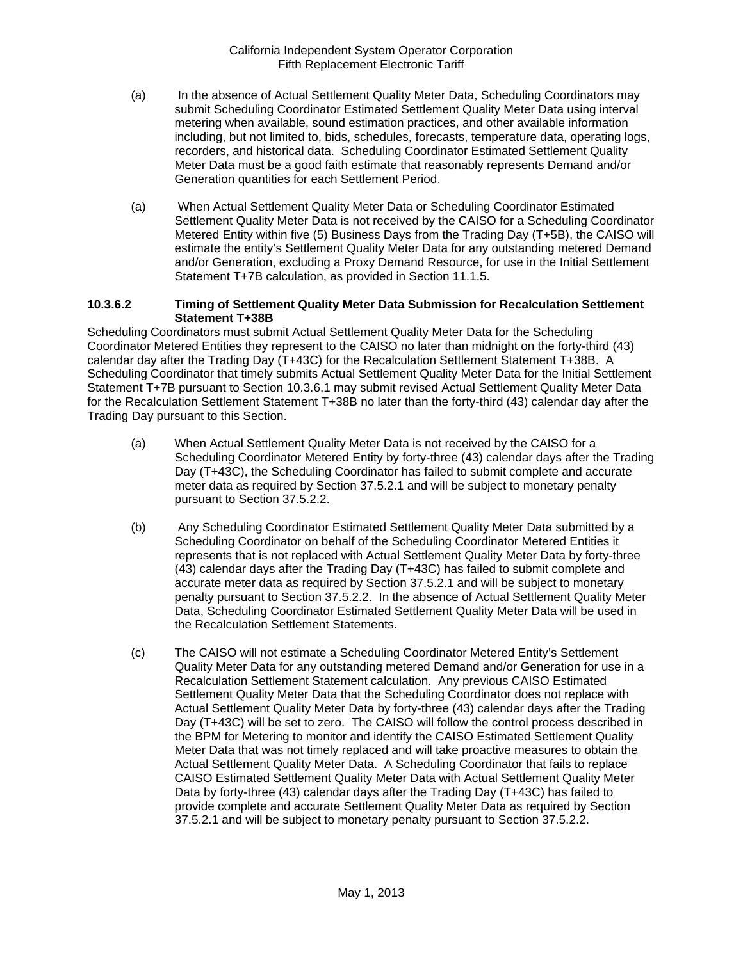- (a) In the absence of Actual Settlement Quality Meter Data, Scheduling Coordinators may submit Scheduling Coordinator Estimated Settlement Quality Meter Data using interval metering when available, sound estimation practices, and other available information including, but not limited to, bids, schedules, forecasts, temperature data, operating logs, recorders, and historical data. Scheduling Coordinator Estimated Settlement Quality Meter Data must be a good faith estimate that reasonably represents Demand and/or Generation quantities for each Settlement Period.
- (a) When Actual Settlement Quality Meter Data or Scheduling Coordinator Estimated Settlement Quality Meter Data is not received by the CAISO for a Scheduling Coordinator Metered Entity within five (5) Business Days from the Trading Day (T+5B), the CAISO will estimate the entity's Settlement Quality Meter Data for any outstanding metered Demand and/or Generation, excluding a Proxy Demand Resource, for use in the Initial Settlement Statement T+7B calculation, as provided in Section 11.1.5.

#### **10.3.6.2 Timing of Settlement Quality Meter Data Submission for Recalculation Settlement Statement T+38B**

Scheduling Coordinators must submit Actual Settlement Quality Meter Data for the Scheduling Coordinator Metered Entities they represent to the CAISO no later than midnight on the forty-third (43) calendar day after the Trading Day (T+43C) for the Recalculation Settlement Statement T+38B. A Scheduling Coordinator that timely submits Actual Settlement Quality Meter Data for the Initial Settlement Statement T+7B pursuant to Section 10.3.6.1 may submit revised Actual Settlement Quality Meter Data for the Recalculation Settlement Statement T+38B no later than the forty-third (43) calendar day after the Trading Day pursuant to this Section.

- (a) When Actual Settlement Quality Meter Data is not received by the CAISO for a Scheduling Coordinator Metered Entity by forty-three (43) calendar days after the Trading Day (T+43C), the Scheduling Coordinator has failed to submit complete and accurate meter data as required by Section 37.5.2.1 and will be subject to monetary penalty pursuant to Section 37.5.2.2.
- (b) Any Scheduling Coordinator Estimated Settlement Quality Meter Data submitted by a Scheduling Coordinator on behalf of the Scheduling Coordinator Metered Entities it represents that is not replaced with Actual Settlement Quality Meter Data by forty-three (43) calendar days after the Trading Day (T+43C) has failed to submit complete and accurate meter data as required by Section 37.5.2.1 and will be subject to monetary penalty pursuant to Section 37.5.2.2. In the absence of Actual Settlement Quality Meter Data, Scheduling Coordinator Estimated Settlement Quality Meter Data will be used in the Recalculation Settlement Statements.
- (c) The CAISO will not estimate a Scheduling Coordinator Metered Entity's Settlement Quality Meter Data for any outstanding metered Demand and/or Generation for use in a Recalculation Settlement Statement calculation. Any previous CAISO Estimated Settlement Quality Meter Data that the Scheduling Coordinator does not replace with Actual Settlement Quality Meter Data by forty-three (43) calendar days after the Trading Day (T+43C) will be set to zero. The CAISO will follow the control process described in the BPM for Metering to monitor and identify the CAISO Estimated Settlement Quality Meter Data that was not timely replaced and will take proactive measures to obtain the Actual Settlement Quality Meter Data. A Scheduling Coordinator that fails to replace CAISO Estimated Settlement Quality Meter Data with Actual Settlement Quality Meter Data by forty-three (43) calendar days after the Trading Day (T+43C) has failed to provide complete and accurate Settlement Quality Meter Data as required by Section 37.5.2.1 and will be subject to monetary penalty pursuant to Section 37.5.2.2.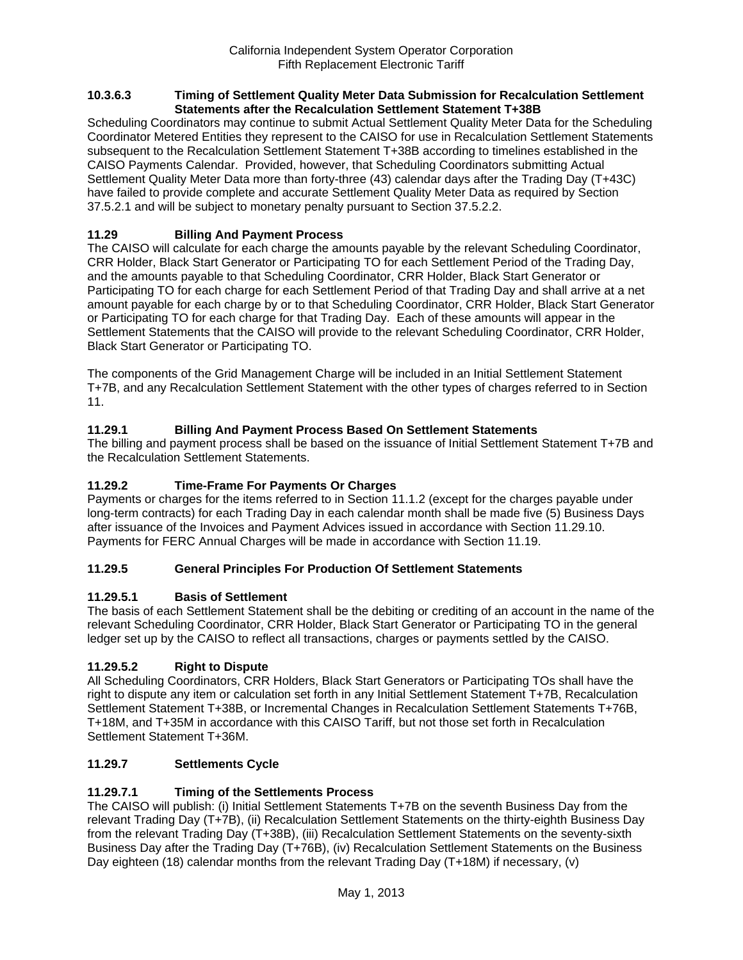#### **10.3.6.3 Timing of Settlement Quality Meter Data Submission for Recalculation Settlement Statements after the Recalculation Settlement Statement T+38B**

Scheduling Coordinators may continue to submit Actual Settlement Quality Meter Data for the Scheduling Coordinator Metered Entities they represent to the CAISO for use in Recalculation Settlement Statements subsequent to the Recalculation Settlement Statement T+38B according to timelines established in the CAISO Payments Calendar. Provided, however, that Scheduling Coordinators submitting Actual Settlement Quality Meter Data more than forty-three (43) calendar days after the Trading Day (T+43C) have failed to provide complete and accurate Settlement Quality Meter Data as required by Section 37.5.2.1 and will be subject to monetary penalty pursuant to Section 37.5.2.2.

# **11.29 Billing And Payment Process**

The CAISO will calculate for each charge the amounts payable by the relevant Scheduling Coordinator, CRR Holder, Black Start Generator or Participating TO for each Settlement Period of the Trading Day, and the amounts payable to that Scheduling Coordinator, CRR Holder, Black Start Generator or Participating TO for each charge for each Settlement Period of that Trading Day and shall arrive at a net amount payable for each charge by or to that Scheduling Coordinator, CRR Holder, Black Start Generator or Participating TO for each charge for that Trading Day. Each of these amounts will appear in the Settlement Statements that the CAISO will provide to the relevant Scheduling Coordinator, CRR Holder, Black Start Generator or Participating TO.

The components of the Grid Management Charge will be included in an Initial Settlement Statement T+7B, and any Recalculation Settlement Statement with the other types of charges referred to in Section 11.

# **11.29.1 Billing And Payment Process Based On Settlement Statements**

The billing and payment process shall be based on the issuance of Initial Settlement Statement T+7B and the Recalculation Settlement Statements.

## **11.29.2 Time-Frame For Payments Or Charges**

Payments or charges for the items referred to in Section 11.1.2 (except for the charges payable under long-term contracts) for each Trading Day in each calendar month shall be made five (5) Business Days after issuance of the Invoices and Payment Advices issued in accordance with Section 11.29.10. Payments for FERC Annual Charges will be made in accordance with Section 11.19.

## **11.29.5 General Principles For Production Of Settlement Statements**

## **11.29.5.1 Basis of Settlement**

The basis of each Settlement Statement shall be the debiting or crediting of an account in the name of the relevant Scheduling Coordinator, CRR Holder, Black Start Generator or Participating TO in the general ledger set up by the CAISO to reflect all transactions, charges or payments settled by the CAISO.

## **11.29.5.2 Right to Dispute**

All Scheduling Coordinators, CRR Holders, Black Start Generators or Participating TOs shall have the right to dispute any item or calculation set forth in any Initial Settlement Statement T+7B, Recalculation Settlement Statement T+38B, or Incremental Changes in Recalculation Settlement Statements T+76B, T+18M, and T+35M in accordance with this CAISO Tariff, but not those set forth in Recalculation Settlement Statement T+36M.

## **11.29.7 Settlements Cycle**

# **11.29.7.1 Timing of the Settlements Process**

The CAISO will publish: (i) Initial Settlement Statements T+7B on the seventh Business Day from the relevant Trading Day (T+7B), (ii) Recalculation Settlement Statements on the thirty-eighth Business Day from the relevant Trading Day (T+38B), (iii) Recalculation Settlement Statements on the seventy-sixth Business Day after the Trading Day (T+76B), (iv) Recalculation Settlement Statements on the Business Day eighteen (18) calendar months from the relevant Trading Day (T+18M) if necessary, (v)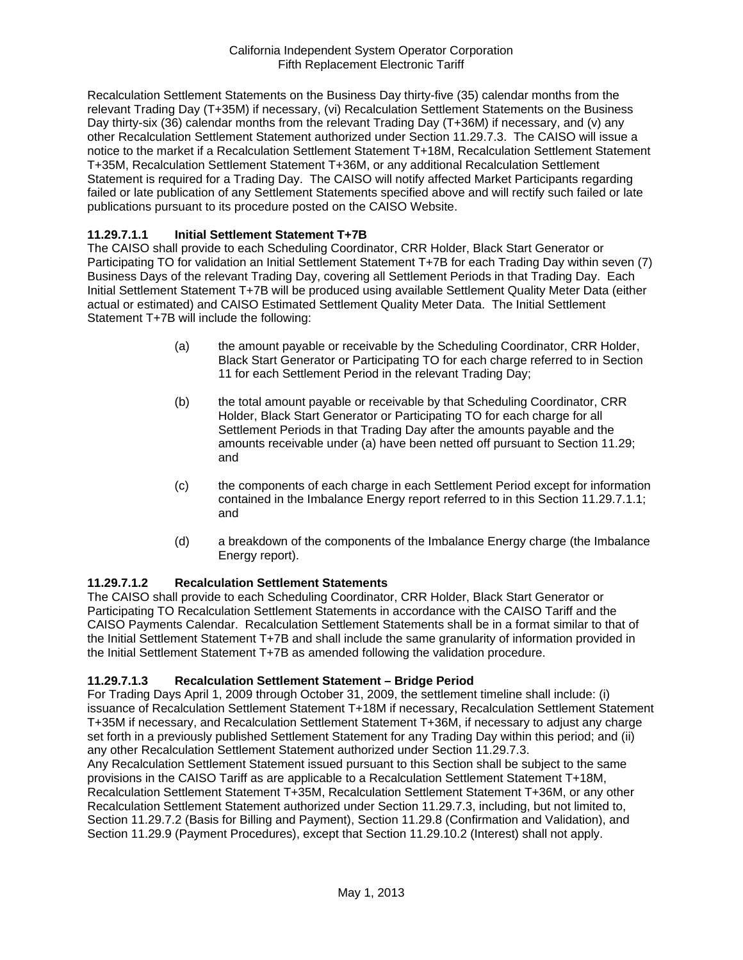Recalculation Settlement Statements on the Business Day thirty-five (35) calendar months from the relevant Trading Day (T+35M) if necessary, (vi) Recalculation Settlement Statements on the Business Day thirty-six (36) calendar months from the relevant Trading Day (T+36M) if necessary, and (v) any other Recalculation Settlement Statement authorized under Section 11.29.7.3. The CAISO will issue a notice to the market if a Recalculation Settlement Statement T+18M, Recalculation Settlement Statement T+35M, Recalculation Settlement Statement T+36M, or any additional Recalculation Settlement Statement is required for a Trading Day. The CAISO will notify affected Market Participants regarding failed or late publication of any Settlement Statements specified above and will rectify such failed or late publications pursuant to its procedure posted on the CAISO Website.

# **11.29.7.1.1 Initial Settlement Statement T+7B**

The CAISO shall provide to each Scheduling Coordinator, CRR Holder, Black Start Generator or Participating TO for validation an Initial Settlement Statement T+7B for each Trading Day within seven (7) Business Days of the relevant Trading Day, covering all Settlement Periods in that Trading Day. Each Initial Settlement Statement T+7B will be produced using available Settlement Quality Meter Data (either actual or estimated) and CAISO Estimated Settlement Quality Meter Data. The Initial Settlement Statement T+7B will include the following:

- (a) the amount payable or receivable by the Scheduling Coordinator, CRR Holder, Black Start Generator or Participating TO for each charge referred to in Section 11 for each Settlement Period in the relevant Trading Day;
- (b) the total amount payable or receivable by that Scheduling Coordinator, CRR Holder, Black Start Generator or Participating TO for each charge for all Settlement Periods in that Trading Day after the amounts payable and the amounts receivable under (a) have been netted off pursuant to Section 11.29; and
- (c) the components of each charge in each Settlement Period except for information contained in the Imbalance Energy report referred to in this Section 11.29.7.1.1; and
- (d) a breakdown of the components of the Imbalance Energy charge (the Imbalance Energy report).

## **11.29.7.1.2 Recalculation Settlement Statements**

The CAISO shall provide to each Scheduling Coordinator, CRR Holder, Black Start Generator or Participating TO Recalculation Settlement Statements in accordance with the CAISO Tariff and the CAISO Payments Calendar. Recalculation Settlement Statements shall be in a format similar to that of the Initial Settlement Statement T+7B and shall include the same granularity of information provided in the Initial Settlement Statement T+7B as amended following the validation procedure.

# **11.29.7.1.3 Recalculation Settlement Statement – Bridge Period**

For Trading Days April 1, 2009 through October 31, 2009, the settlement timeline shall include: (i) issuance of Recalculation Settlement Statement T+18M if necessary, Recalculation Settlement Statement T+35M if necessary, and Recalculation Settlement Statement T+36M, if necessary to adjust any charge set forth in a previously published Settlement Statement for any Trading Day within this period; and (ii) any other Recalculation Settlement Statement authorized under Section 11.29.7.3.

Any Recalculation Settlement Statement issued pursuant to this Section shall be subject to the same provisions in the CAISO Tariff as are applicable to a Recalculation Settlement Statement T+18M, Recalculation Settlement Statement T+35M, Recalculation Settlement Statement T+36M, or any other Recalculation Settlement Statement authorized under Section 11.29.7.3, including, but not limited to, Section 11.29.7.2 (Basis for Billing and Payment), Section 11.29.8 (Confirmation and Validation), and Section 11.29.9 (Payment Procedures), except that Section 11.29.10.2 (Interest) shall not apply.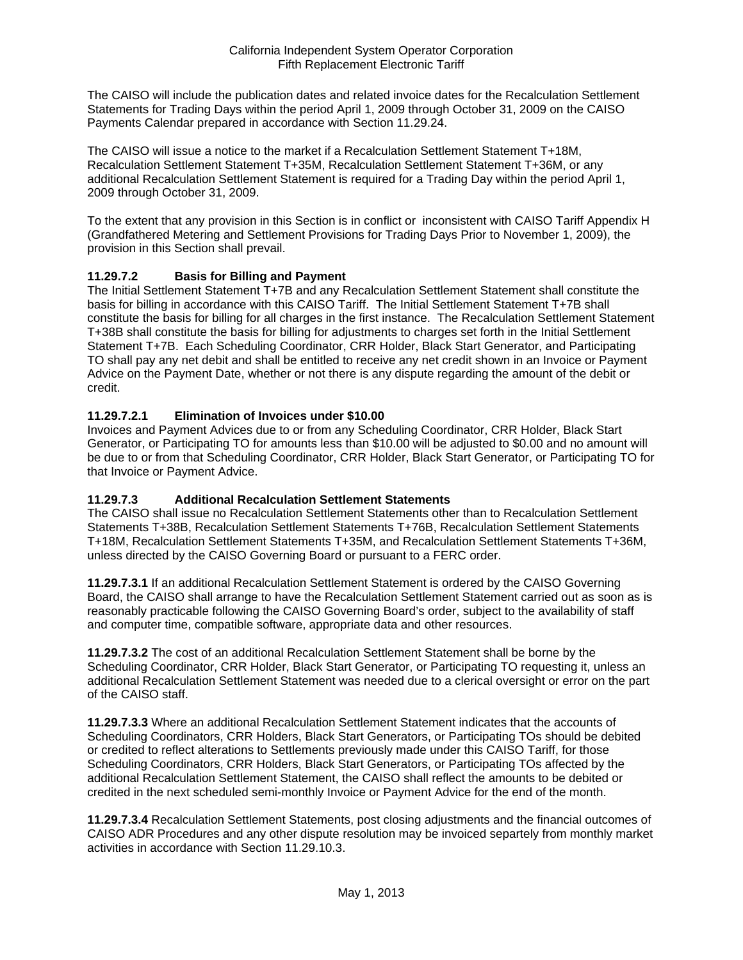The CAISO will include the publication dates and related invoice dates for the Recalculation Settlement Statements for Trading Days within the period April 1, 2009 through October 31, 2009 on the CAISO Payments Calendar prepared in accordance with Section 11.29.24.

The CAISO will issue a notice to the market if a Recalculation Settlement Statement T+18M, Recalculation Settlement Statement T+35M, Recalculation Settlement Statement T+36M, or any additional Recalculation Settlement Statement is required for a Trading Day within the period April 1, 2009 through October 31, 2009.

To the extent that any provision in this Section is in conflict or inconsistent with CAISO Tariff Appendix H (Grandfathered Metering and Settlement Provisions for Trading Days Prior to November 1, 2009), the provision in this Section shall prevail.

# **11.29.7.2 Basis for Billing and Payment**

The Initial Settlement Statement T+7B and any Recalculation Settlement Statement shall constitute the basis for billing in accordance with this CAISO Tariff. The Initial Settlement Statement T+7B shall constitute the basis for billing for all charges in the first instance. The Recalculation Settlement Statement T+38B shall constitute the basis for billing for adjustments to charges set forth in the Initial Settlement Statement T+7B. Each Scheduling Coordinator, CRR Holder, Black Start Generator, and Participating TO shall pay any net debit and shall be entitled to receive any net credit shown in an Invoice or Payment Advice on the Payment Date, whether or not there is any dispute regarding the amount of the debit or credit.

# **11.29.7.2.1 Elimination of Invoices under \$10.00**

Invoices and Payment Advices due to or from any Scheduling Coordinator, CRR Holder, Black Start Generator, or Participating TO for amounts less than \$10.00 will be adjusted to \$0.00 and no amount will be due to or from that Scheduling Coordinator, CRR Holder, Black Start Generator, or Participating TO for that Invoice or Payment Advice.

## **11.29.7.3 Additional Recalculation Settlement Statements**

The CAISO shall issue no Recalculation Settlement Statements other than to Recalculation Settlement Statements T+38B, Recalculation Settlement Statements T+76B, Recalculation Settlement Statements T+18M, Recalculation Settlement Statements T+35M, and Recalculation Settlement Statements T+36M, unless directed by the CAISO Governing Board or pursuant to a FERC order.

**11.29.7.3.1** If an additional Recalculation Settlement Statement is ordered by the CAISO Governing Board, the CAISO shall arrange to have the Recalculation Settlement Statement carried out as soon as is reasonably practicable following the CAISO Governing Board's order, subject to the availability of staff and computer time, compatible software, appropriate data and other resources.

**11.29.7.3.2** The cost of an additional Recalculation Settlement Statement shall be borne by the Scheduling Coordinator, CRR Holder, Black Start Generator, or Participating TO requesting it, unless an additional Recalculation Settlement Statement was needed due to a clerical oversight or error on the part of the CAISO staff.

**11.29.7.3.3** Where an additional Recalculation Settlement Statement indicates that the accounts of Scheduling Coordinators, CRR Holders, Black Start Generators, or Participating TOs should be debited or credited to reflect alterations to Settlements previously made under this CAISO Tariff, for those Scheduling Coordinators, CRR Holders, Black Start Generators, or Participating TOs affected by the additional Recalculation Settlement Statement, the CAISO shall reflect the amounts to be debited or credited in the next scheduled semi-monthly Invoice or Payment Advice for the end of the month.

**11.29.7.3.4** Recalculation Settlement Statements, post closing adjustments and the financial outcomes of CAISO ADR Procedures and any other dispute resolution may be invoiced separtely from monthly market activities in accordance with Section 11.29.10.3.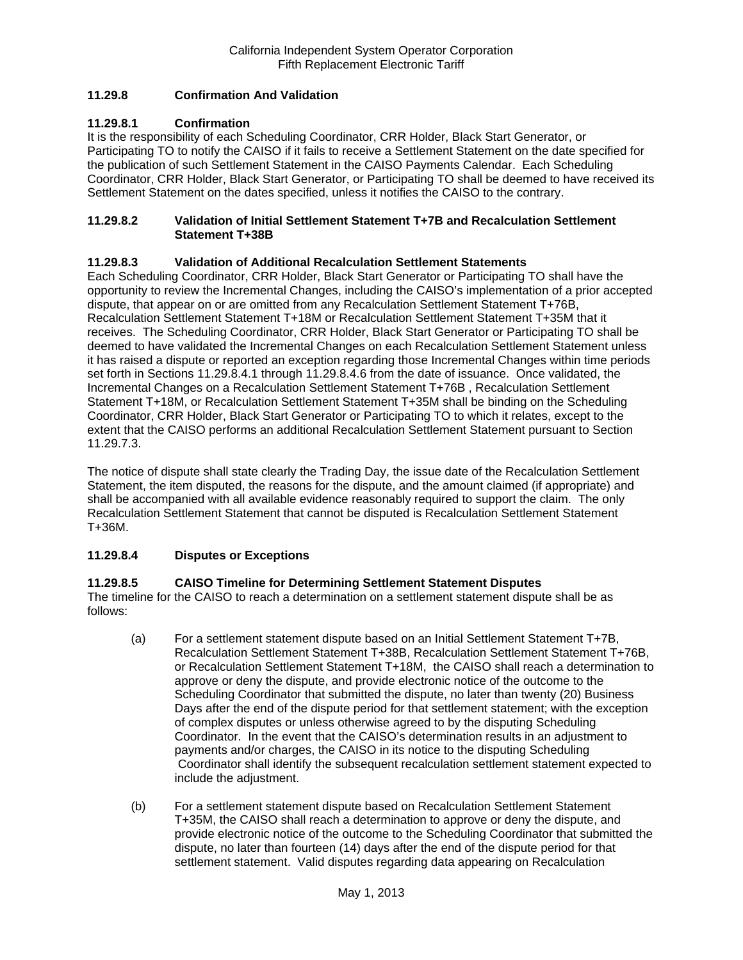# **11.29.8 Confirmation And Validation**

## **11.29.8.1 Confirmation**

It is the responsibility of each Scheduling Coordinator, CRR Holder, Black Start Generator, or Participating TO to notify the CAISO if it fails to receive a Settlement Statement on the date specified for the publication of such Settlement Statement in the CAISO Payments Calendar. Each Scheduling Coordinator, CRR Holder, Black Start Generator, or Participating TO shall be deemed to have received its Settlement Statement on the dates specified, unless it notifies the CAISO to the contrary.

## **11.29.8.2 Validation of Initial Settlement Statement T+7B and Recalculation Settlement Statement T+38B**

## **11.29.8.3 Validation of Additional Recalculation Settlement Statements**

Each Scheduling Coordinator, CRR Holder, Black Start Generator or Participating TO shall have the opportunity to review the Incremental Changes, including the CAISO's implementation of a prior accepted dispute, that appear on or are omitted from any Recalculation Settlement Statement T+76B, Recalculation Settlement Statement T+18M or Recalculation Settlement Statement T+35M that it receives. The Scheduling Coordinator, CRR Holder, Black Start Generator or Participating TO shall be deemed to have validated the Incremental Changes on each Recalculation Settlement Statement unless it has raised a dispute or reported an exception regarding those Incremental Changes within time periods set forth in Sections 11.29.8.4.1 through 11.29.8.4.6 from the date of issuance. Once validated, the Incremental Changes on a Recalculation Settlement Statement T+76B , Recalculation Settlement Statement T+18M, or Recalculation Settlement Statement T+35M shall be binding on the Scheduling Coordinator, CRR Holder, Black Start Generator or Participating TO to which it relates, except to the extent that the CAISO performs an additional Recalculation Settlement Statement pursuant to Section 11.29.7.3.

The notice of dispute shall state clearly the Trading Day, the issue date of the Recalculation Settlement Statement, the item disputed, the reasons for the dispute, and the amount claimed (if appropriate) and shall be accompanied with all available evidence reasonably required to support the claim. The only Recalculation Settlement Statement that cannot be disputed is Recalculation Settlement Statement T+36M.

## **11.29.8.4 Disputes or Exceptions**

## **11.29.8.5 CAISO Timeline for Determining Settlement Statement Disputes**

The timeline for the CAISO to reach a determination on a settlement statement dispute shall be as follows:

- (a) For a settlement statement dispute based on an Initial Settlement Statement T+7B, Recalculation Settlement Statement T+38B, Recalculation Settlement Statement T+76B, or Recalculation Settlement Statement T+18M, the CAISO shall reach a determination to approve or deny the dispute, and provide electronic notice of the outcome to the Scheduling Coordinator that submitted the dispute, no later than twenty (20) Business Days after the end of the dispute period for that settlement statement; with the exception of complex disputes or unless otherwise agreed to by the disputing Scheduling Coordinator. In the event that the CAISO's determination results in an adjustment to payments and/or charges, the CAISO in its notice to the disputing Scheduling Coordinator shall identify the subsequent recalculation settlement statement expected to include the adjustment.
- (b) For a settlement statement dispute based on Recalculation Settlement Statement T+35M, the CAISO shall reach a determination to approve or deny the dispute, and provide electronic notice of the outcome to the Scheduling Coordinator that submitted the dispute, no later than fourteen (14) days after the end of the dispute period for that settlement statement. Valid disputes regarding data appearing on Recalculation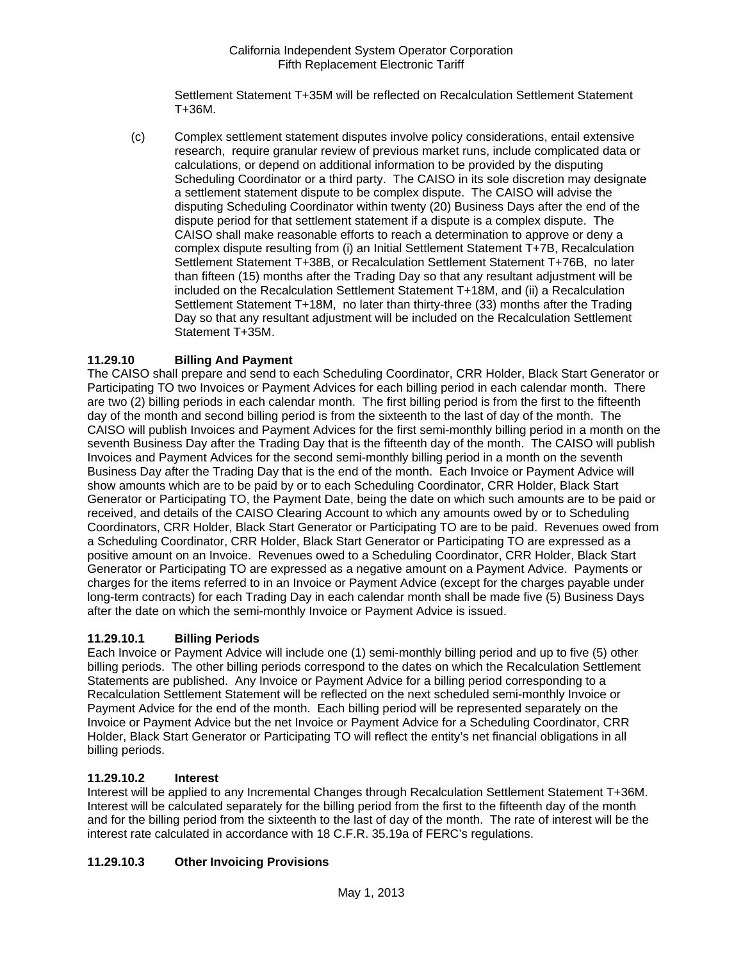Settlement Statement T+35M will be reflected on Recalculation Settlement Statement T+36M.

(c) Complex settlement statement disputes involve policy considerations, entail extensive research, require granular review of previous market runs, include complicated data or calculations, or depend on additional information to be provided by the disputing Scheduling Coordinator or a third party. The CAISO in its sole discretion may designate a settlement statement dispute to be complex dispute. The CAISO will advise the disputing Scheduling Coordinator within twenty (20) Business Days after the end of the dispute period for that settlement statement if a dispute is a complex dispute. The CAISO shall make reasonable efforts to reach a determination to approve or deny a complex dispute resulting from (i) an Initial Settlement Statement T+7B, Recalculation Settlement Statement T+38B, or Recalculation Settlement Statement T+76B, no later than fifteen (15) months after the Trading Day so that any resultant adjustment will be included on the Recalculation Settlement Statement T+18M, and (ii) a Recalculation Settlement Statement T+18M, no later than thirty-three (33) months after the Trading Day so that any resultant adjustment will be included on the Recalculation Settlement Statement T+35M.

# **11.29.10 Billing And Payment**

The CAISO shall prepare and send to each Scheduling Coordinator, CRR Holder, Black Start Generator or Participating TO two Invoices or Payment Advices for each billing period in each calendar month. There are two (2) billing periods in each calendar month. The first billing period is from the first to the fifteenth day of the month and second billing period is from the sixteenth to the last of day of the month. The CAISO will publish Invoices and Payment Advices for the first semi-monthly billing period in a month on the seventh Business Day after the Trading Day that is the fifteenth day of the month. The CAISO will publish Invoices and Payment Advices for the second semi-monthly billing period in a month on the seventh Business Day after the Trading Day that is the end of the month. Each Invoice or Payment Advice will show amounts which are to be paid by or to each Scheduling Coordinator, CRR Holder, Black Start Generator or Participating TO, the Payment Date, being the date on which such amounts are to be paid or received, and details of the CAISO Clearing Account to which any amounts owed by or to Scheduling Coordinators, CRR Holder, Black Start Generator or Participating TO are to be paid. Revenues owed from a Scheduling Coordinator, CRR Holder, Black Start Generator or Participating TO are expressed as a positive amount on an Invoice. Revenues owed to a Scheduling Coordinator, CRR Holder, Black Start Generator or Participating TO are expressed as a negative amount on a Payment Advice. Payments or charges for the items referred to in an Invoice or Payment Advice (except for the charges payable under long-term contracts) for each Trading Day in each calendar month shall be made five (5) Business Days after the date on which the semi-monthly Invoice or Payment Advice is issued.

# **11.29.10.1 Billing Periods**

Each Invoice or Payment Advice will include one (1) semi-monthly billing period and up to five (5) other billing periods. The other billing periods correspond to the dates on which the Recalculation Settlement Statements are published. Any Invoice or Payment Advice for a billing period corresponding to a Recalculation Settlement Statement will be reflected on the next scheduled semi-monthly Invoice or Payment Advice for the end of the month. Each billing period will be represented separately on the Invoice or Payment Advice but the net Invoice or Payment Advice for a Scheduling Coordinator, CRR Holder, Black Start Generator or Participating TO will reflect the entity's net financial obligations in all billing periods.

## **11.29.10.2 Interest**

Interest will be applied to any Incremental Changes through Recalculation Settlement Statement T+36M. Interest will be calculated separately for the billing period from the first to the fifteenth day of the month and for the billing period from the sixteenth to the last of day of the month. The rate of interest will be the interest rate calculated in accordance with 18 C.F.R. 35.19a of FERC's regulations.

# **11.29.10.3 Other Invoicing Provisions**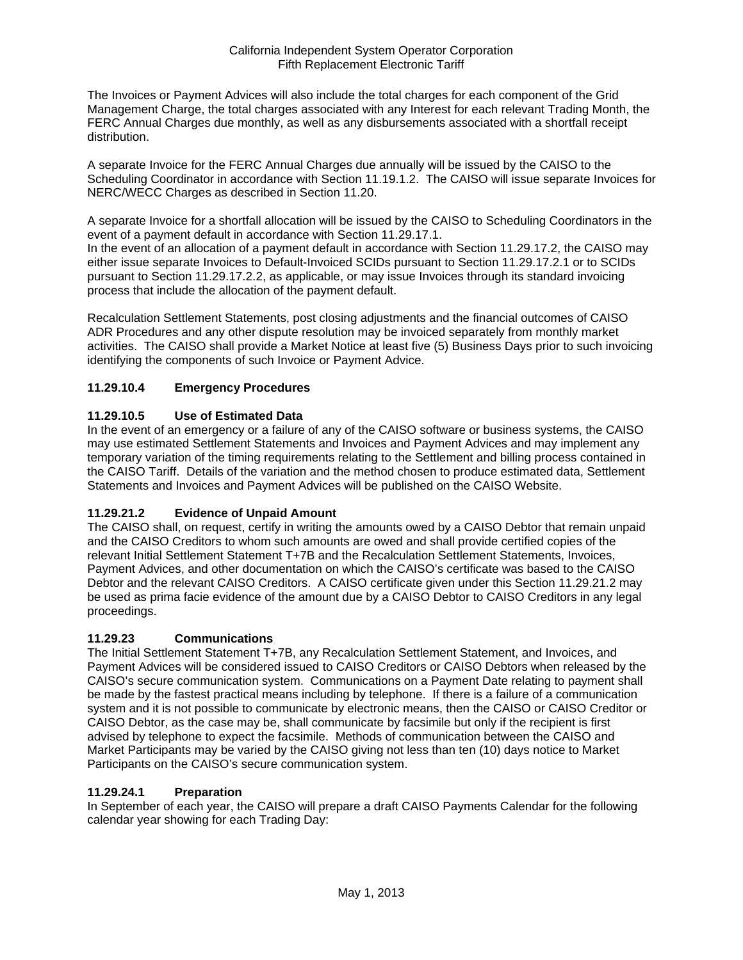The Invoices or Payment Advices will also include the total charges for each component of the Grid Management Charge, the total charges associated with any Interest for each relevant Trading Month, the FERC Annual Charges due monthly, as well as any disbursements associated with a shortfall receipt distribution.

A separate Invoice for the FERC Annual Charges due annually will be issued by the CAISO to the Scheduling Coordinator in accordance with Section 11.19.1.2. The CAISO will issue separate Invoices for NERC/WECC Charges as described in Section 11.20.

A separate Invoice for a shortfall allocation will be issued by the CAISO to Scheduling Coordinators in the event of a payment default in accordance with Section 11.29.17.1.

In the event of an allocation of a payment default in accordance with Section 11.29.17.2, the CAISO may either issue separate Invoices to Default-Invoiced SCIDs pursuant to Section 11.29.17.2.1 or to SCIDs pursuant to Section 11.29.17.2.2, as applicable, or may issue Invoices through its standard invoicing process that include the allocation of the payment default.

Recalculation Settlement Statements, post closing adjustments and the financial outcomes of CAISO ADR Procedures and any other dispute resolution may be invoiced separately from monthly market activities. The CAISO shall provide a Market Notice at least five (5) Business Days prior to such invoicing identifying the components of such Invoice or Payment Advice.

# **11.29.10.4 Emergency Procedures**

# **11.29.10.5 Use of Estimated Data**

In the event of an emergency or a failure of any of the CAISO software or business systems, the CAISO may use estimated Settlement Statements and Invoices and Payment Advices and may implement any temporary variation of the timing requirements relating to the Settlement and billing process contained in the CAISO Tariff. Details of the variation and the method chosen to produce estimated data, Settlement Statements and Invoices and Payment Advices will be published on the CAISO Website.

# **11.29.21.2 Evidence of Unpaid Amount**

The CAISO shall, on request, certify in writing the amounts owed by a CAISO Debtor that remain unpaid and the CAISO Creditors to whom such amounts are owed and shall provide certified copies of the relevant Initial Settlement Statement T+7B and the Recalculation Settlement Statements, Invoices, Payment Advices, and other documentation on which the CAISO's certificate was based to the CAISO Debtor and the relevant CAISO Creditors. A CAISO certificate given under this Section 11.29.21.2 may be used as prima facie evidence of the amount due by a CAISO Debtor to CAISO Creditors in any legal proceedings.

## **11.29.23 Communications**

The Initial Settlement Statement T+7B, any Recalculation Settlement Statement, and Invoices, and Payment Advices will be considered issued to CAISO Creditors or CAISO Debtors when released by the CAISO's secure communication system. Communications on a Payment Date relating to payment shall be made by the fastest practical means including by telephone. If there is a failure of a communication system and it is not possible to communicate by electronic means, then the CAISO or CAISO Creditor or CAISO Debtor, as the case may be, shall communicate by facsimile but only if the recipient is first advised by telephone to expect the facsimile. Methods of communication between the CAISO and Market Participants may be varied by the CAISO giving not less than ten (10) days notice to Market Participants on the CAISO's secure communication system.

## **11.29.24.1 Preparation**

In September of each year, the CAISO will prepare a draft CAISO Payments Calendar for the following calendar year showing for each Trading Day: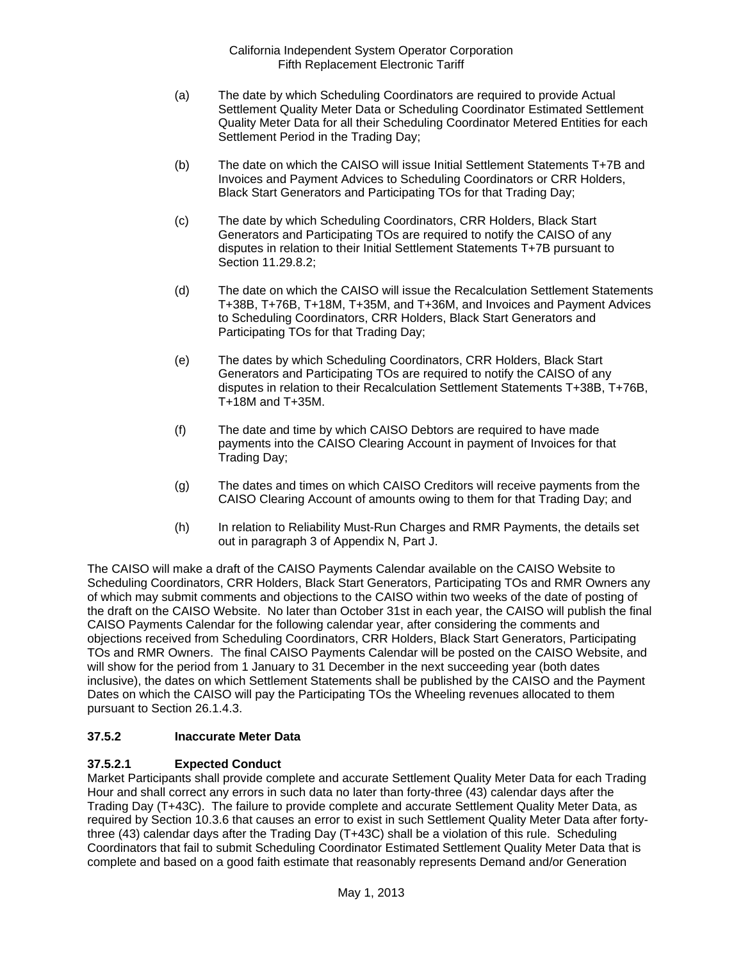- (a) The date by which Scheduling Coordinators are required to provide Actual Settlement Quality Meter Data or Scheduling Coordinator Estimated Settlement Quality Meter Data for all their Scheduling Coordinator Metered Entities for each Settlement Period in the Trading Day;
- (b) The date on which the CAISO will issue Initial Settlement Statements T+7B and Invoices and Payment Advices to Scheduling Coordinators or CRR Holders, Black Start Generators and Participating TOs for that Trading Day;
- (c) The date by which Scheduling Coordinators, CRR Holders, Black Start Generators and Participating TOs are required to notify the CAISO of any disputes in relation to their Initial Settlement Statements T+7B pursuant to Section 11.29.8.2;
- (d) The date on which the CAISO will issue the Recalculation Settlement Statements T+38B, T+76B, T+18M, T+35M, and T+36M, and Invoices and Payment Advices to Scheduling Coordinators, CRR Holders, Black Start Generators and Participating TOs for that Trading Day;
- (e) The dates by which Scheduling Coordinators, CRR Holders, Black Start Generators and Participating TOs are required to notify the CAISO of any disputes in relation to their Recalculation Settlement Statements T+38B, T+76B, T+18M and T+35M.
- (f) The date and time by which CAISO Debtors are required to have made payments into the CAISO Clearing Account in payment of Invoices for that Trading Day;
- (g) The dates and times on which CAISO Creditors will receive payments from the CAISO Clearing Account of amounts owing to them for that Trading Day; and
- (h) In relation to Reliability Must-Run Charges and RMR Payments, the details set out in paragraph 3 of Appendix N, Part J.

The CAISO will make a draft of the CAISO Payments Calendar available on the CAISO Website to Scheduling Coordinators, CRR Holders, Black Start Generators, Participating TOs and RMR Owners any of which may submit comments and objections to the CAISO within two weeks of the date of posting of the draft on the CAISO Website. No later than October 31st in each year, the CAISO will publish the final CAISO Payments Calendar for the following calendar year, after considering the comments and objections received from Scheduling Coordinators, CRR Holders, Black Start Generators, Participating TOs and RMR Owners. The final CAISO Payments Calendar will be posted on the CAISO Website, and will show for the period from 1 January to 31 December in the next succeeding year (both dates inclusive), the dates on which Settlement Statements shall be published by the CAISO and the Payment Dates on which the CAISO will pay the Participating TOs the Wheeling revenues allocated to them pursuant to Section 26.1.4.3.

# **37.5.2 Inaccurate Meter Data**

# **37.5.2.1 Expected Conduct**

Market Participants shall provide complete and accurate Settlement Quality Meter Data for each Trading Hour and shall correct any errors in such data no later than forty-three (43) calendar days after the Trading Day (T+43C). The failure to provide complete and accurate Settlement Quality Meter Data, as required by Section 10.3.6 that causes an error to exist in such Settlement Quality Meter Data after fortythree (43) calendar days after the Trading Day (T+43C) shall be a violation of this rule. Scheduling Coordinators that fail to submit Scheduling Coordinator Estimated Settlement Quality Meter Data that is complete and based on a good faith estimate that reasonably represents Demand and/or Generation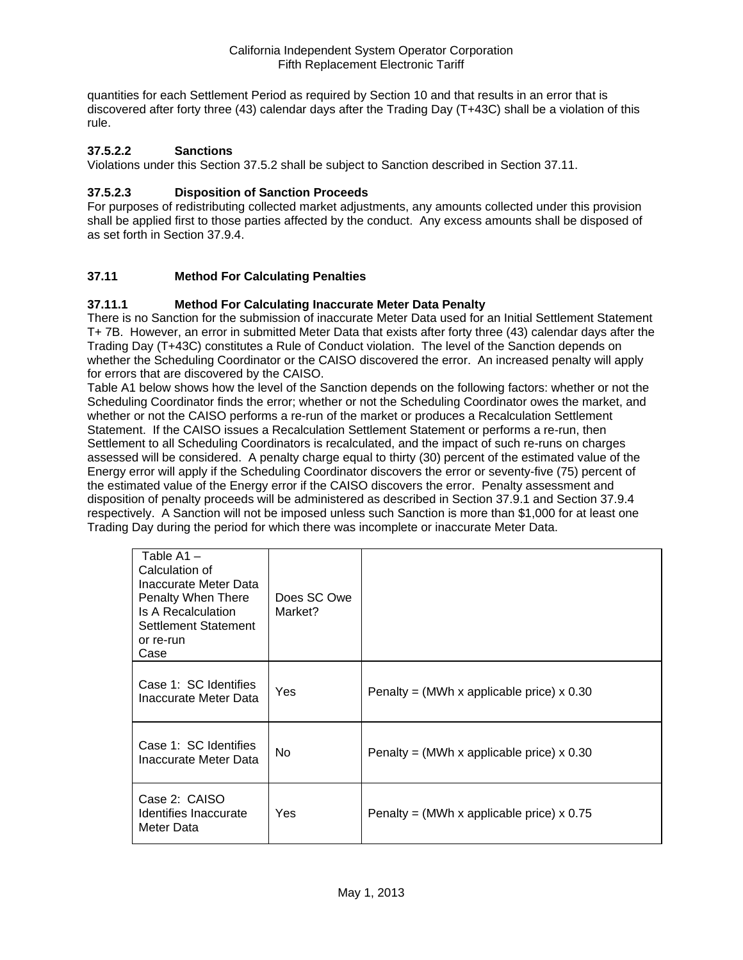quantities for each Settlement Period as required by Section 10 and that results in an error that is discovered after forty three (43) calendar days after the Trading Day (T+43C) shall be a violation of this rule.

## **37.5.2.2 Sanctions**

Violations under this Section 37.5.2 shall be subject to Sanction described in Section 37.11.

## **37.5.2.3 Disposition of Sanction Proceeds**

For purposes of redistributing collected market adjustments, any amounts collected under this provision shall be applied first to those parties affected by the conduct. Any excess amounts shall be disposed of as set forth in Section 37.9.4.

# **37.11 Method For Calculating Penalties**

## **37.11.1 Method For Calculating Inaccurate Meter Data Penalty**

There is no Sanction for the submission of inaccurate Meter Data used for an Initial Settlement Statement T+ 7B. However, an error in submitted Meter Data that exists after forty three (43) calendar days after the Trading Day (T+43C) constitutes a Rule of Conduct violation. The level of the Sanction depends on whether the Scheduling Coordinator or the CAISO discovered the error. An increased penalty will apply for errors that are discovered by the CAISO.

Table A1 below shows how the level of the Sanction depends on the following factors: whether or not the Scheduling Coordinator finds the error; whether or not the Scheduling Coordinator owes the market, and whether or not the CAISO performs a re-run of the market or produces a Recalculation Settlement Statement. If the CAISO issues a Recalculation Settlement Statement or performs a re-run, then Settlement to all Scheduling Coordinators is recalculated, and the impact of such re-runs on charges assessed will be considered. A penalty charge equal to thirty (30) percent of the estimated value of the Energy error will apply if the Scheduling Coordinator discovers the error or seventy-five (75) percent of the estimated value of the Energy error if the CAISO discovers the error. Penalty assessment and disposition of penalty proceeds will be administered as described in Section 37.9.1 and Section 37.9.4 respectively. A Sanction will not be imposed unless such Sanction is more than \$1,000 for at least one Trading Day during the period for which there was incomplete or inaccurate Meter Data.

| Table A1 –<br>Calculation of<br>Inaccurate Meter Data<br>Penalty When There<br>Is A Recalculation<br>Settlement Statement<br>or re-run<br>Case | Does SC Owe<br>Market? |                                             |
|------------------------------------------------------------------------------------------------------------------------------------------------|------------------------|---------------------------------------------|
| Case 1: SC Identifies<br>Inaccurate Meter Data                                                                                                 | Yes                    | Penalty = (MWh x applicable price) $x$ 0.30 |
| Case 1: SC Identifies<br>Inaccurate Meter Data                                                                                                 | No.                    | Penalty = (MWh x applicable price) $x$ 0.30 |
| Case 2: CAISO<br>Identifies Inaccurate<br>Meter Data                                                                                           | Yes                    | Penalty = (MWh x applicable price) $x$ 0.75 |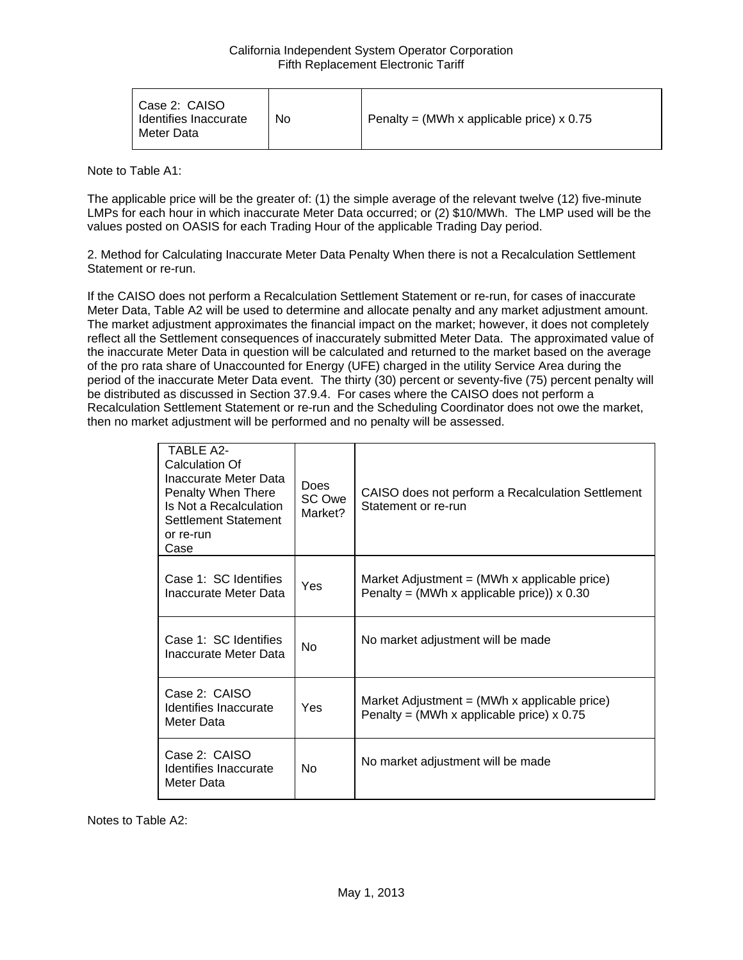| Case 2: CAISO<br>Identifies Inaccurate<br>Meter Data | No | Penalty = (MWh x applicable price) $\times$ 0.75 |
|------------------------------------------------------|----|--------------------------------------------------|
|------------------------------------------------------|----|--------------------------------------------------|

Note to Table A1:

The applicable price will be the greater of: (1) the simple average of the relevant twelve (12) five-minute LMPs for each hour in which inaccurate Meter Data occurred; or (2) \$10/MWh. The LMP used will be the values posted on OASIS for each Trading Hour of the applicable Trading Day period.

2. Method for Calculating Inaccurate Meter Data Penalty When there is not a Recalculation Settlement Statement or re-run.

If the CAISO does not perform a Recalculation Settlement Statement or re-run, for cases of inaccurate Meter Data, Table A2 will be used to determine and allocate penalty and any market adjustment amount. The market adjustment approximates the financial impact on the market; however, it does not completely reflect all the Settlement consequences of inaccurately submitted Meter Data. The approximated value of the inaccurate Meter Data in question will be calculated and returned to the market based on the average of the pro rata share of Unaccounted for Energy (UFE) charged in the utility Service Area during the period of the inaccurate Meter Data event. The thirty (30) percent or seventy-five (75) percent penalty will be distributed as discussed in Section 37.9.4. For cases where the CAISO does not perform a Recalculation Settlement Statement or re-run and the Scheduling Coordinator does not owe the market, then no market adjustment will be performed and no penalty will be assessed.

| TARI F A2-<br>Calculation Of<br>Inaccurate Meter Data<br>Penalty When There<br>Is Not a Recalculation<br>Settlement Statement<br>or re-run<br>Case | <b>Does</b><br>SC Owe<br>Market? | CAISO does not perform a Recalculation Settlement<br>Statement or re-run                                        |
|----------------------------------------------------------------------------------------------------------------------------------------------------|----------------------------------|-----------------------------------------------------------------------------------------------------------------|
| Case 1: SC Identifies<br>Inaccurate Meter Data                                                                                                     | Yes                              | Market Adjustment = $(MWh \times \text{applicable price})$<br>Penalty = (MWh x applicable price)) $\times$ 0.30 |
| Case 1: SC Identifies<br>Inaccurate Meter Data                                                                                                     | <b>No</b>                        | No market adjustment will be made                                                                               |
| Case 2: CAISO<br>Identifies Inaccurate<br>Meter Data                                                                                               | Yes                              | Market Adjustment = $(MWh \times \text{applicable price})$<br>Penalty = (MWh x applicable price) $x$ 0.75       |
| Case 2: CAISO<br>Identifies Inaccurate<br>Meter Data                                                                                               | <b>No</b>                        | No market adjustment will be made                                                                               |

Notes to Table A2: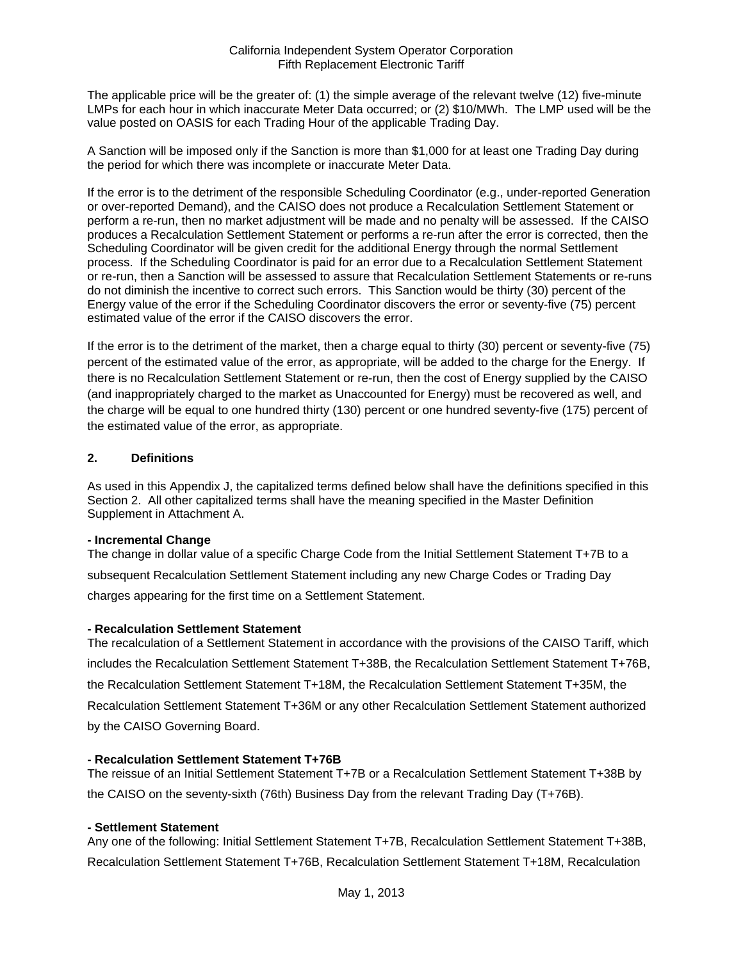The applicable price will be the greater of: (1) the simple average of the relevant twelve (12) five-minute LMPs for each hour in which inaccurate Meter Data occurred; or (2) \$10/MWh. The LMP used will be the value posted on OASIS for each Trading Hour of the applicable Trading Day.

A Sanction will be imposed only if the Sanction is more than \$1,000 for at least one Trading Day during the period for which there was incomplete or inaccurate Meter Data.

If the error is to the detriment of the responsible Scheduling Coordinator (e.g., under-reported Generation or over-reported Demand), and the CAISO does not produce a Recalculation Settlement Statement or perform a re-run, then no market adjustment will be made and no penalty will be assessed. If the CAISO produces a Recalculation Settlement Statement or performs a re-run after the error is corrected, then the Scheduling Coordinator will be given credit for the additional Energy through the normal Settlement process. If the Scheduling Coordinator is paid for an error due to a Recalculation Settlement Statement or re-run, then a Sanction will be assessed to assure that Recalculation Settlement Statements or re-runs do not diminish the incentive to correct such errors. This Sanction would be thirty (30) percent of the Energy value of the error if the Scheduling Coordinator discovers the error or seventy-five (75) percent estimated value of the error if the CAISO discovers the error.

If the error is to the detriment of the market, then a charge equal to thirty (30) percent or seventy-five (75) percent of the estimated value of the error, as appropriate, will be added to the charge for the Energy. If there is no Recalculation Settlement Statement or re-run, then the cost of Energy supplied by the CAISO (and inappropriately charged to the market as Unaccounted for Energy) must be recovered as well, and the charge will be equal to one hundred thirty (130) percent or one hundred seventy-five (175) percent of the estimated value of the error, as appropriate.

## **2. Definitions**

As used in this Appendix J, the capitalized terms defined below shall have the definitions specified in this Section 2. All other capitalized terms shall have the meaning specified in the Master Definition Supplement in Attachment A.

## **- Incremental Change**

The change in dollar value of a specific Charge Code from the Initial Settlement Statement T+7B to a subsequent Recalculation Settlement Statement including any new Charge Codes or Trading Day charges appearing for the first time on a Settlement Statement.

## **- Recalculation Settlement Statement**

The recalculation of a Settlement Statement in accordance with the provisions of the CAISO Tariff, which includes the Recalculation Settlement Statement T+38B, the Recalculation Settlement Statement T+76B, the Recalculation Settlement Statement T+18M, the Recalculation Settlement Statement T+35M, the Recalculation Settlement Statement T+36M or any other Recalculation Settlement Statement authorized by the CAISO Governing Board.

## **- Recalculation Settlement Statement T+76B**

The reissue of an Initial Settlement Statement T+7B or a Recalculation Settlement Statement T+38B by the CAISO on the seventy-sixth (76th) Business Day from the relevant Trading Day (T+76B).

## **- Settlement Statement**

Any one of the following: Initial Settlement Statement T+7B, Recalculation Settlement Statement T+38B, Recalculation Settlement Statement T+76B, Recalculation Settlement Statement T+18M, Recalculation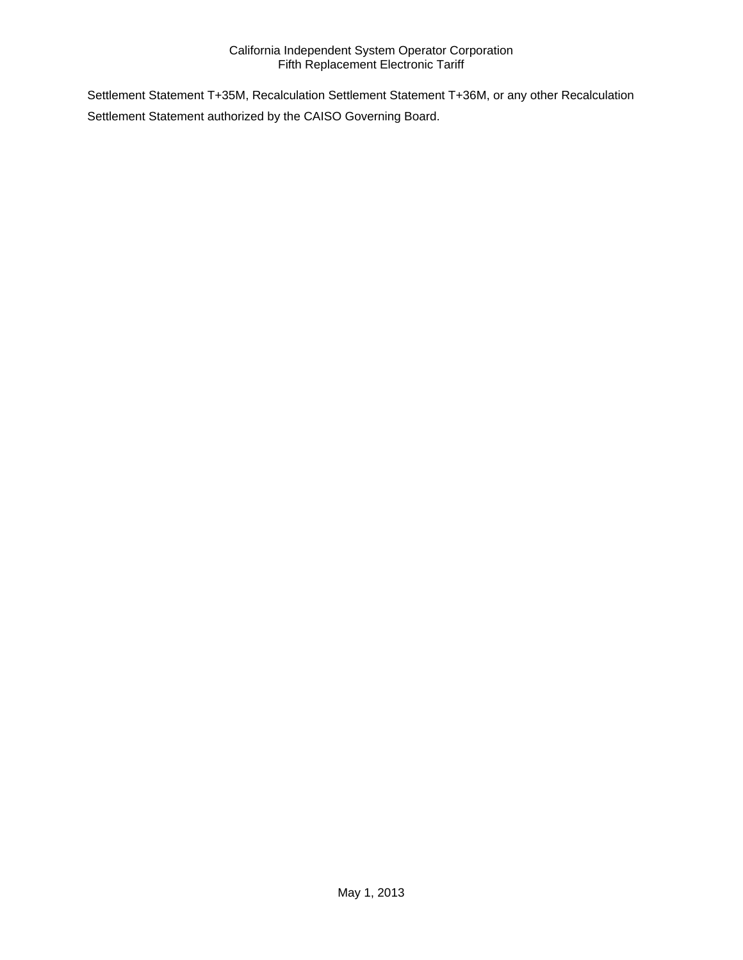Settlement Statement T+35M, Recalculation Settlement Statement T+36M, or any other Recalculation Settlement Statement authorized by the CAISO Governing Board.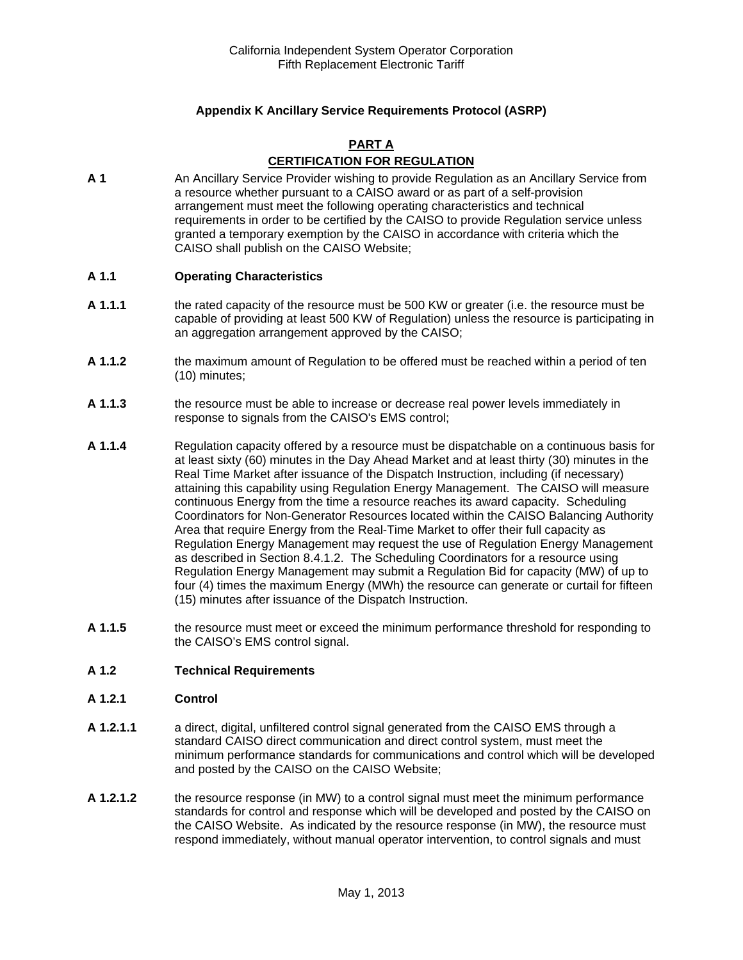# **Appendix K Ancillary Service Requirements Protocol (ASRP)**

#### **PART A**

# **CERTIFICATION FOR REGULATION**

**A 1** An Ancillary Service Provider wishing to provide Regulation as an Ancillary Service from a resource whether pursuant to a CAISO award or as part of a self-provision arrangement must meet the following operating characteristics and technical requirements in order to be certified by the CAISO to provide Regulation service unless granted a temporary exemption by the CAISO in accordance with criteria which the CAISO shall publish on the CAISO Website;

#### **A 1.1 Operating Characteristics**

- **A 1.1.1** the rated capacity of the resource must be 500 KW or greater (i.e. the resource must be capable of providing at least 500 KW of Regulation) unless the resource is participating in an aggregation arrangement approved by the CAISO;
- **A 1.1.2** the maximum amount of Regulation to be offered must be reached within a period of ten (10) minutes;
- **A 1.1.3** the resource must be able to increase or decrease real power levels immediately in response to signals from the CAISO's EMS control;
- **A 1.1.4** Regulation capacity offered by a resource must be dispatchable on a continuous basis for at least sixty (60) minutes in the Day Ahead Market and at least thirty (30) minutes in the Real Time Market after issuance of the Dispatch Instruction, including (if necessary) attaining this capability using Regulation Energy Management. The CAISO will measure continuous Energy from the time a resource reaches its award capacity. Scheduling Coordinators for Non-Generator Resources located within the CAISO Balancing Authority Area that require Energy from the Real-Time Market to offer their full capacity as Regulation Energy Management may request the use of Regulation Energy Management as described in Section 8.4.1.2. The Scheduling Coordinators for a resource using Regulation Energy Management may submit a Regulation Bid for capacity (MW) of up to four (4) times the maximum Energy (MWh) the resource can generate or curtail for fifteen (15) minutes after issuance of the Dispatch Instruction.
- **A 1.1.5** the resource must meet or exceed the minimum performance threshold for responding to the CAISO's EMS control signal.

## **A 1.2 Technical Requirements**

#### **A 1.2.1 Control**

- **A 1.2.1.1** a direct, digital, unfiltered control signal generated from the CAISO EMS through a standard CAISO direct communication and direct control system, must meet the minimum performance standards for communications and control which will be developed and posted by the CAISO on the CAISO Website;
- **A 1.2.1.2** the resource response (in MW) to a control signal must meet the minimum performance standards for control and response which will be developed and posted by the CAISO on the CAISO Website. As indicated by the resource response (in MW), the resource must respond immediately, without manual operator intervention, to control signals and must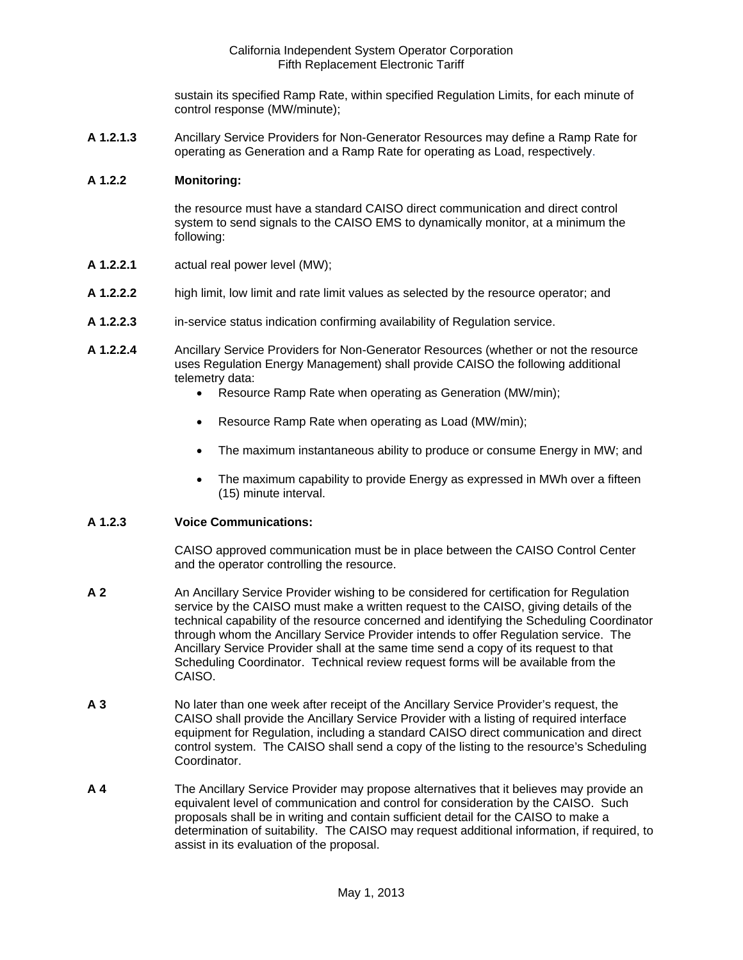sustain its specified Ramp Rate, within specified Regulation Limits, for each minute of control response (MW/minute);

**A 1.2.1.3** Ancillary Service Providers for Non-Generator Resources may define a Ramp Rate for operating as Generation and a Ramp Rate for operating as Load, respectively.

#### **A 1.2.2 Monitoring:**

the resource must have a standard CAISO direct communication and direct control system to send signals to the CAISO EMS to dynamically monitor, at a minimum the following:

- **A 1.2.2.1** actual real power level (MW);
- **A 1.2.2.2** high limit, low limit and rate limit values as selected by the resource operator; and
- **A 1.2.2.3** in-service status indication confirming availability of Regulation service.
- **A 1.2.2.4** Ancillary Service Providers for Non-Generator Resources (whether or not the resource uses Regulation Energy Management) shall provide CAISO the following additional telemetry data:
	- Resource Ramp Rate when operating as Generation (MW/min);
	- Resource Ramp Rate when operating as Load (MW/min);
	- The maximum instantaneous ability to produce or consume Energy in MW; and
	- The maximum capability to provide Energy as expressed in MWh over a fifteen (15) minute interval.

#### **A 1.2.3 Voice Communications:**

CAISO approved communication must be in place between the CAISO Control Center and the operator controlling the resource.

- **A 2** An Ancillary Service Provider wishing to be considered for certification for Regulation service by the CAISO must make a written request to the CAISO, giving details of the technical capability of the resource concerned and identifying the Scheduling Coordinator through whom the Ancillary Service Provider intends to offer Regulation service. The Ancillary Service Provider shall at the same time send a copy of its request to that Scheduling Coordinator. Technical review request forms will be available from the CAISO.
- **A 3** No later than one week after receipt of the Ancillary Service Provider's request, the CAISO shall provide the Ancillary Service Provider with a listing of required interface equipment for Regulation, including a standard CAISO direct communication and direct control system. The CAISO shall send a copy of the listing to the resource's Scheduling Coordinator.
- **A 4** The Ancillary Service Provider may propose alternatives that it believes may provide an equivalent level of communication and control for consideration by the CAISO. Such proposals shall be in writing and contain sufficient detail for the CAISO to make a determination of suitability. The CAISO may request additional information, if required, to assist in its evaluation of the proposal.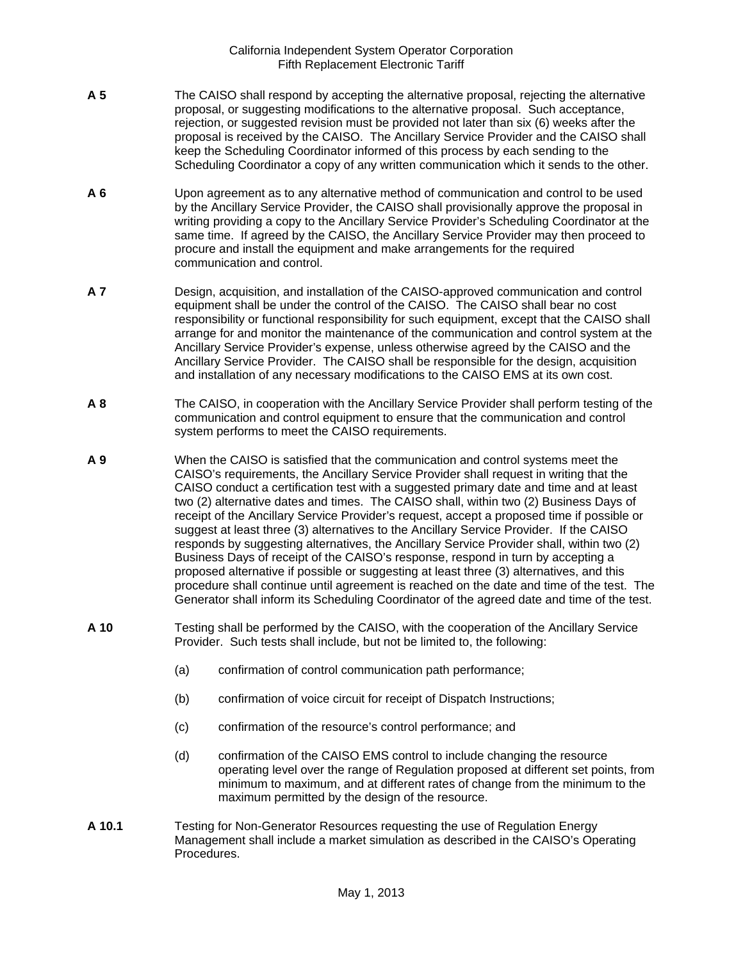- **A 5** The CAISO shall respond by accepting the alternative proposal, rejecting the alternative proposal, or suggesting modifications to the alternative proposal. Such acceptance, rejection, or suggested revision must be provided not later than six (6) weeks after the proposal is received by the CAISO. The Ancillary Service Provider and the CAISO shall keep the Scheduling Coordinator informed of this process by each sending to the Scheduling Coordinator a copy of any written communication which it sends to the other.
- **A 6** Upon agreement as to any alternative method of communication and control to be used by the Ancillary Service Provider, the CAISO shall provisionally approve the proposal in writing providing a copy to the Ancillary Service Provider's Scheduling Coordinator at the same time. If agreed by the CAISO, the Ancillary Service Provider may then proceed to procure and install the equipment and make arrangements for the required communication and control.
- **A 7** Design, acquisition, and installation of the CAISO-approved communication and control equipment shall be under the control of the CAISO. The CAISO shall bear no cost responsibility or functional responsibility for such equipment, except that the CAISO shall arrange for and monitor the maintenance of the communication and control system at the Ancillary Service Provider's expense, unless otherwise agreed by the CAISO and the Ancillary Service Provider. The CAISO shall be responsible for the design, acquisition and installation of any necessary modifications to the CAISO EMS at its own cost.
- **A 8** The CAISO, in cooperation with the Ancillary Service Provider shall perform testing of the communication and control equipment to ensure that the communication and control system performs to meet the CAISO requirements.
- **A 9** When the CAISO is satisfied that the communication and control systems meet the CAISO's requirements, the Ancillary Service Provider shall request in writing that the CAISO conduct a certification test with a suggested primary date and time and at least two (2) alternative dates and times. The CAISO shall, within two (2) Business Days of receipt of the Ancillary Service Provider's request, accept a proposed time if possible or suggest at least three (3) alternatives to the Ancillary Service Provider. If the CAISO responds by suggesting alternatives, the Ancillary Service Provider shall, within two (2) Business Days of receipt of the CAISO's response, respond in turn by accepting a proposed alternative if possible or suggesting at least three (3) alternatives, and this procedure shall continue until agreement is reached on the date and time of the test. The Generator shall inform its Scheduling Coordinator of the agreed date and time of the test.
- **A 10** Testing shall be performed by the CAISO, with the cooperation of the Ancillary Service Provider. Such tests shall include, but not be limited to, the following:
	- (a) confirmation of control communication path performance;
	- (b) confirmation of voice circuit for receipt of Dispatch Instructions;
	- (c) confirmation of the resource's control performance; and
	- (d) confirmation of the CAISO EMS control to include changing the resource operating level over the range of Regulation proposed at different set points, from minimum to maximum, and at different rates of change from the minimum to the maximum permitted by the design of the resource.
- **A 10.1** Testing for Non-Generator Resources requesting the use of Regulation Energy Management shall include a market simulation as described in the CAISO's Operating Procedures.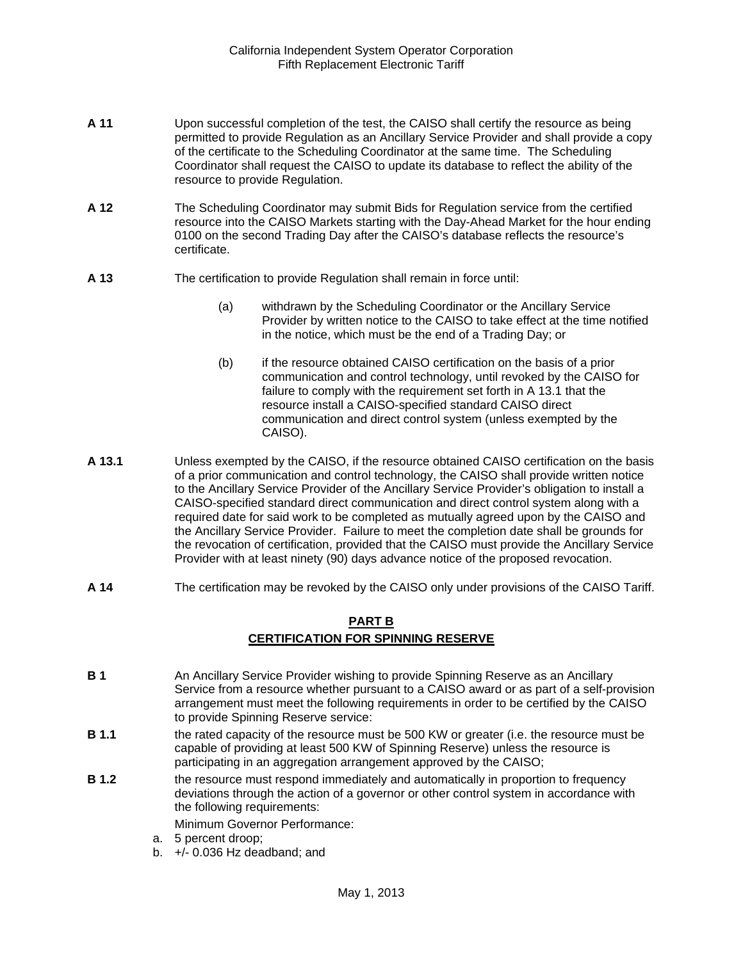- **A 11** Upon successful completion of the test, the CAISO shall certify the resource as being permitted to provide Regulation as an Ancillary Service Provider and shall provide a copy of the certificate to the Scheduling Coordinator at the same time. The Scheduling Coordinator shall request the CAISO to update its database to reflect the ability of the resource to provide Regulation.
- **A 12** The Scheduling Coordinator may submit Bids for Regulation service from the certified resource into the CAISO Markets starting with the Day-Ahead Market for the hour ending 0100 on the second Trading Day after the CAISO's database reflects the resource's certificate.
- **A 13** The certification to provide Regulation shall remain in force until:
	- (a) withdrawn by the Scheduling Coordinator or the Ancillary Service Provider by written notice to the CAISO to take effect at the time notified in the notice, which must be the end of a Trading Day; or
	- (b) if the resource obtained CAISO certification on the basis of a prior communication and control technology, until revoked by the CAISO for failure to comply with the requirement set forth in A 13.1 that the resource install a CAISO-specified standard CAISO direct communication and direct control system (unless exempted by the CAISO).
- **A 13.1** Unless exempted by the CAISO, if the resource obtained CAISO certification on the basis of a prior communication and control technology, the CAISO shall provide written notice to the Ancillary Service Provider of the Ancillary Service Provider's obligation to install a CAISO-specified standard direct communication and direct control system along with a required date for said work to be completed as mutually agreed upon by the CAISO and the Ancillary Service Provider. Failure to meet the completion date shall be grounds for the revocation of certification, provided that the CAISO must provide the Ancillary Service Provider with at least ninety (90) days advance notice of the proposed revocation.
- **A 14** The certification may be revoked by the CAISO only under provisions of the CAISO Tariff.

# **PART B CERTIFICATION FOR SPINNING RESERVE**

- **B 1** An Ancillary Service Provider wishing to provide Spinning Reserve as an Ancillary Service from a resource whether pursuant to a CAISO award or as part of a self-provision arrangement must meet the following requirements in order to be certified by the CAISO to provide Spinning Reserve service:
- **B 1.1** the rated capacity of the resource must be 500 KW or greater (i.e. the resource must be capable of providing at least 500 KW of Spinning Reserve) unless the resource is participating in an aggregation arrangement approved by the CAISO;
- **B 1.2 the resource must respond immediately and automatically in proportion to frequency** deviations through the action of a governor or other control system in accordance with the following requirements:

Minimum Governor Performance:

- a. 5 percent droop;
- b. +/- 0.036 Hz deadband; and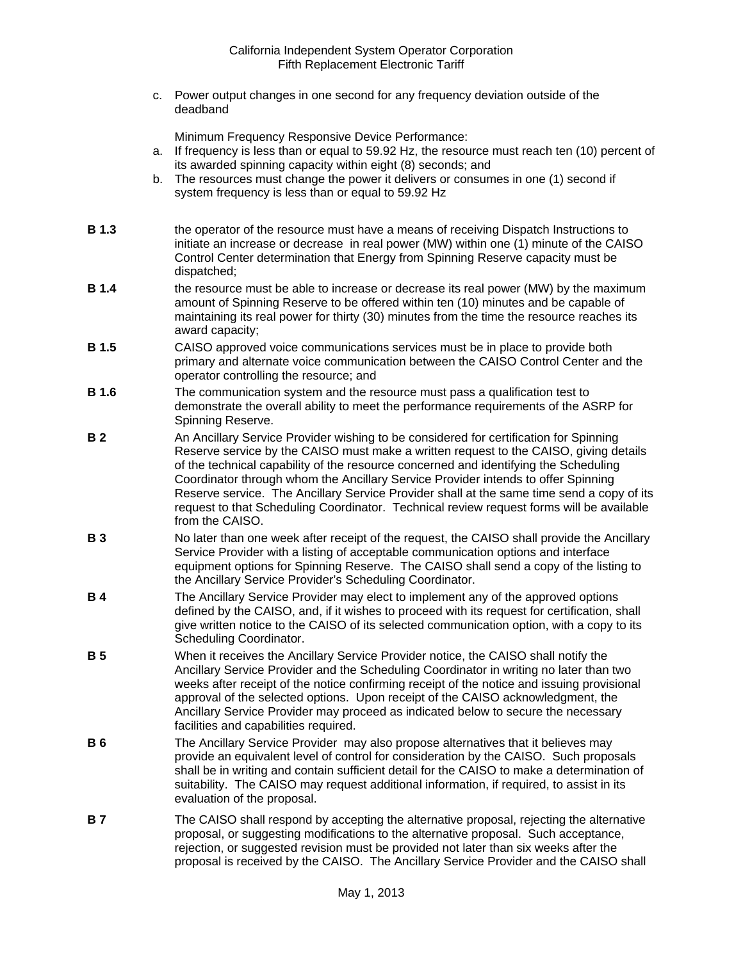c. Power output changes in one second for any frequency deviation outside of the deadband

Minimum Frequency Responsive Device Performance:

- a. If frequency is less than or equal to 59.92 Hz, the resource must reach ten (10) percent of its awarded spinning capacity within eight (8) seconds; and
- b. The resources must change the power it delivers or consumes in one (1) second if system frequency is less than or equal to 59.92 Hz
- **B 1.3** the operator of the resource must have a means of receiving Dispatch Instructions to initiate an increase or decrease in real power (MW) within one (1) minute of the CAISO Control Center determination that Energy from Spinning Reserve capacity must be dispatched;
- **B 1.4** the resource must be able to increase or decrease its real power (MW) by the maximum amount of Spinning Reserve to be offered within ten (10) minutes and be capable of maintaining its real power for thirty (30) minutes from the time the resource reaches its award capacity;
- **B 1.5** CAISO approved voice communications services must be in place to provide both primary and alternate voice communication between the CAISO Control Center and the operator controlling the resource; and
- **B 1.6** The communication system and the resource must pass a qualification test to demonstrate the overall ability to meet the performance requirements of the ASRP for Spinning Reserve.
- **B 2** An Ancillary Service Provider wishing to be considered for certification for Spinning Reserve service by the CAISO must make a written request to the CAISO, giving details of the technical capability of the resource concerned and identifying the Scheduling Coordinator through whom the Ancillary Service Provider intends to offer Spinning Reserve service. The Ancillary Service Provider shall at the same time send a copy of its request to that Scheduling Coordinator. Technical review request forms will be available from the CAISO.
- **B 3** No later than one week after receipt of the request, the CAISO shall provide the Ancillary Service Provider with a listing of acceptable communication options and interface equipment options for Spinning Reserve. The CAISO shall send a copy of the listing to the Ancillary Service Provider's Scheduling Coordinator.
- **B 4** The Ancillary Service Provider may elect to implement any of the approved options defined by the CAISO, and, if it wishes to proceed with its request for certification, shall give written notice to the CAISO of its selected communication option, with a copy to its Scheduling Coordinator.
- **B 5** When it receives the Ancillary Service Provider notice, the CAISO shall notify the Ancillary Service Provider and the Scheduling Coordinator in writing no later than two weeks after receipt of the notice confirming receipt of the notice and issuing provisional approval of the selected options. Upon receipt of the CAISO acknowledgment, the Ancillary Service Provider may proceed as indicated below to secure the necessary facilities and capabilities required.
- **B 6** The Ancillary Service Provider may also propose alternatives that it believes may provide an equivalent level of control for consideration by the CAISO. Such proposals shall be in writing and contain sufficient detail for the CAISO to make a determination of suitability. The CAISO may request additional information, if required, to assist in its evaluation of the proposal.
- **B 7** The CAISO shall respond by accepting the alternative proposal, rejecting the alternative proposal, or suggesting modifications to the alternative proposal. Such acceptance, rejection, or suggested revision must be provided not later than six weeks after the proposal is received by the CAISO. The Ancillary Service Provider and the CAISO shall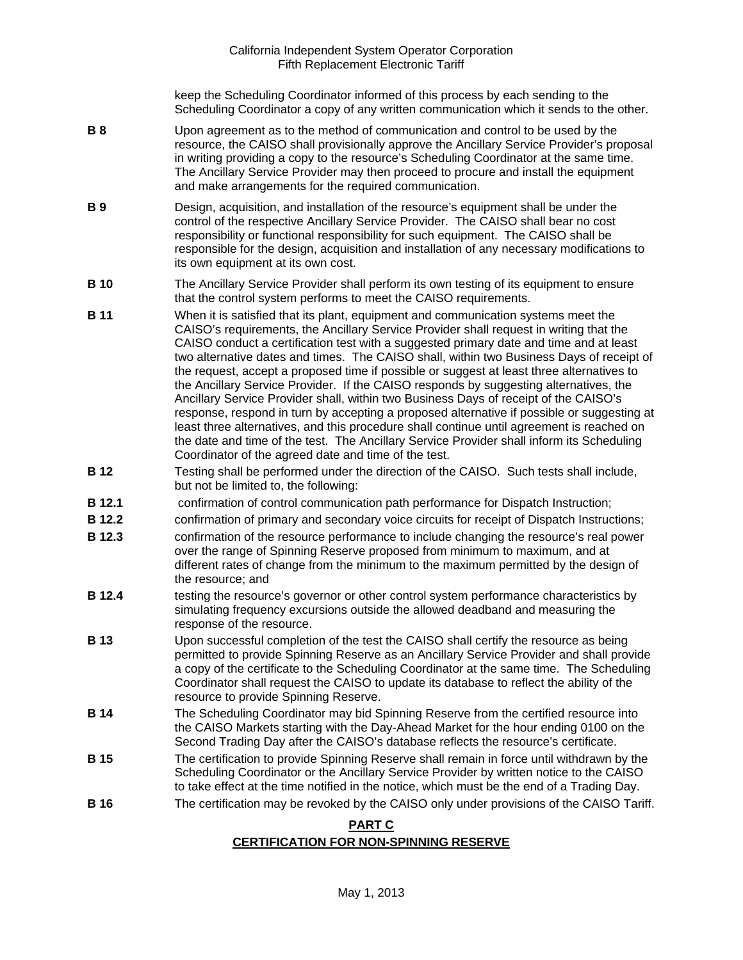keep the Scheduling Coordinator informed of this process by each sending to the Scheduling Coordinator a copy of any written communication which it sends to the other.

- **B 8** Upon agreement as to the method of communication and control to be used by the resource, the CAISO shall provisionally approve the Ancillary Service Provider's proposal in writing providing a copy to the resource's Scheduling Coordinator at the same time. The Ancillary Service Provider may then proceed to procure and install the equipment and make arrangements for the required communication.
- **B 9** Design, acquisition, and installation of the resource's equipment shall be under the control of the respective Ancillary Service Provider. The CAISO shall bear no cost responsibility or functional responsibility for such equipment. The CAISO shall be responsible for the design, acquisition and installation of any necessary modifications to its own equipment at its own cost.
- **B 10** The Ancillary Service Provider shall perform its own testing of its equipment to ensure that the control system performs to meet the CAISO requirements.
- **B 11** When it is satisfied that its plant, equipment and communication systems meet the CAISO's requirements, the Ancillary Service Provider shall request in writing that the CAISO conduct a certification test with a suggested primary date and time and at least two alternative dates and times. The CAISO shall, within two Business Days of receipt of the request, accept a proposed time if possible or suggest at least three alternatives to the Ancillary Service Provider. If the CAISO responds by suggesting alternatives, the Ancillary Service Provider shall, within two Business Days of receipt of the CAISO's response, respond in turn by accepting a proposed alternative if possible or suggesting at least three alternatives, and this procedure shall continue until agreement is reached on the date and time of the test. The Ancillary Service Provider shall inform its Scheduling Coordinator of the agreed date and time of the test.
- **B 12** Testing shall be performed under the direction of the CAISO. Such tests shall include, but not be limited to, the following:
- **B 12.1** confirmation of control communication path performance for Dispatch Instruction;
- **B 12.2** confirmation of primary and secondary voice circuits for receipt of Dispatch Instructions;
- **B 12.3** confirmation of the resource performance to include changing the resource's real power over the range of Spinning Reserve proposed from minimum to maximum, and at different rates of change from the minimum to the maximum permitted by the design of the resource; and
- **B 12.4** testing the resource's governor or other control system performance characteristics by simulating frequency excursions outside the allowed deadband and measuring the response of the resource.
- **B 13** Upon successful completion of the test the CAISO shall certify the resource as being permitted to provide Spinning Reserve as an Ancillary Service Provider and shall provide a copy of the certificate to the Scheduling Coordinator at the same time. The Scheduling Coordinator shall request the CAISO to update its database to reflect the ability of the resource to provide Spinning Reserve.
- **B 14** The Scheduling Coordinator may bid Spinning Reserve from the certified resource into the CAISO Markets starting with the Day-Ahead Market for the hour ending 0100 on the Second Trading Day after the CAISO's database reflects the resource's certificate.
- **B 15** The certification to provide Spinning Reserve shall remain in force until withdrawn by the Scheduling Coordinator or the Ancillary Service Provider by written notice to the CAISO to take effect at the time notified in the notice, which must be the end of a Trading Day.
- **B 16 The certification may be revoked by the CAISO only under provisions of the CAISO Tariff.**

# **PART C**

# **CERTIFICATION FOR NON-SPINNING RESERVE**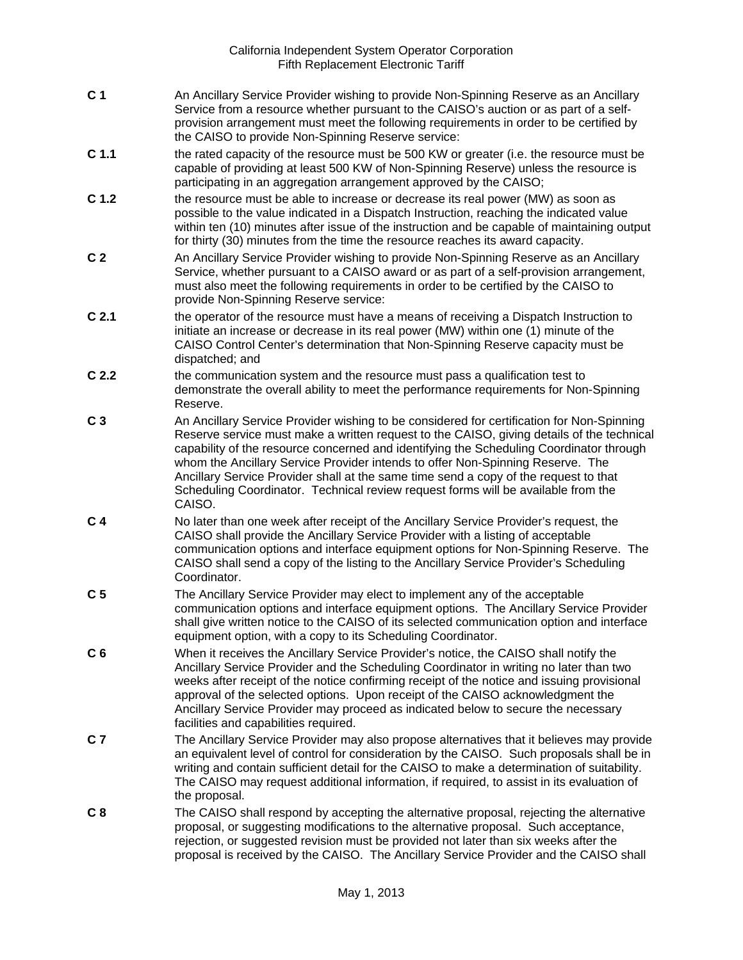- **C 1** An Ancillary Service Provider wishing to provide Non-Spinning Reserve as an Ancillary Service from a resource whether pursuant to the CAISO's auction or as part of a selfprovision arrangement must meet the following requirements in order to be certified by the CAISO to provide Non-Spinning Reserve service:
- **C 1.1** the rated capacity of the resource must be 500 KW or greater (i.e. the resource must be capable of providing at least 500 KW of Non-Spinning Reserve) unless the resource is participating in an aggregation arrangement approved by the CAISO:
- **C 1.2** the resource must be able to increase or decrease its real power (MW) as soon as possible to the value indicated in a Dispatch Instruction, reaching the indicated value within ten (10) minutes after issue of the instruction and be capable of maintaining output for thirty (30) minutes from the time the resource reaches its award capacity.
- **C 2** An Ancillary Service Provider wishing to provide Non-Spinning Reserve as an Ancillary Service, whether pursuant to a CAISO award or as part of a self-provision arrangement, must also meet the following requirements in order to be certified by the CAISO to provide Non-Spinning Reserve service:
- **C 2.1** the operator of the resource must have a means of receiving a Dispatch Instruction to initiate an increase or decrease in its real power (MW) within one (1) minute of the CAISO Control Center's determination that Non-Spinning Reserve capacity must be dispatched; and
- **C 2.2** the communication system and the resource must pass a qualification test to demonstrate the overall ability to meet the performance requirements for Non-Spinning Reserve.
- **C 3** An Ancillary Service Provider wishing to be considered for certification for Non-Spinning Reserve service must make a written request to the CAISO, giving details of the technical capability of the resource concerned and identifying the Scheduling Coordinator through whom the Ancillary Service Provider intends to offer Non-Spinning Reserve. The Ancillary Service Provider shall at the same time send a copy of the request to that Scheduling Coordinator. Technical review request forms will be available from the CAISO.
- **C 4** No later than one week after receipt of the Ancillary Service Provider's request, the CAISO shall provide the Ancillary Service Provider with a listing of acceptable communication options and interface equipment options for Non-Spinning Reserve. The CAISO shall send a copy of the listing to the Ancillary Service Provider's Scheduling Coordinator.
- **C 5** The Ancillary Service Provider may elect to implement any of the acceptable communication options and interface equipment options. The Ancillary Service Provider shall give written notice to the CAISO of its selected communication option and interface equipment option, with a copy to its Scheduling Coordinator.
- **C 6** When it receives the Ancillary Service Provider's notice, the CAISO shall notify the Ancillary Service Provider and the Scheduling Coordinator in writing no later than two weeks after receipt of the notice confirming receipt of the notice and issuing provisional approval of the selected options. Upon receipt of the CAISO acknowledgment the Ancillary Service Provider may proceed as indicated below to secure the necessary facilities and capabilities required.
- **C 7** The Ancillary Service Provider may also propose alternatives that it believes may provide an equivalent level of control for consideration by the CAISO. Such proposals shall be in writing and contain sufficient detail for the CAISO to make a determination of suitability. The CAISO may request additional information, if required, to assist in its evaluation of the proposal.
- **C 8** The CAISO shall respond by accepting the alternative proposal, rejecting the alternative proposal, or suggesting modifications to the alternative proposal. Such acceptance, rejection, or suggested revision must be provided not later than six weeks after the proposal is received by the CAISO. The Ancillary Service Provider and the CAISO shall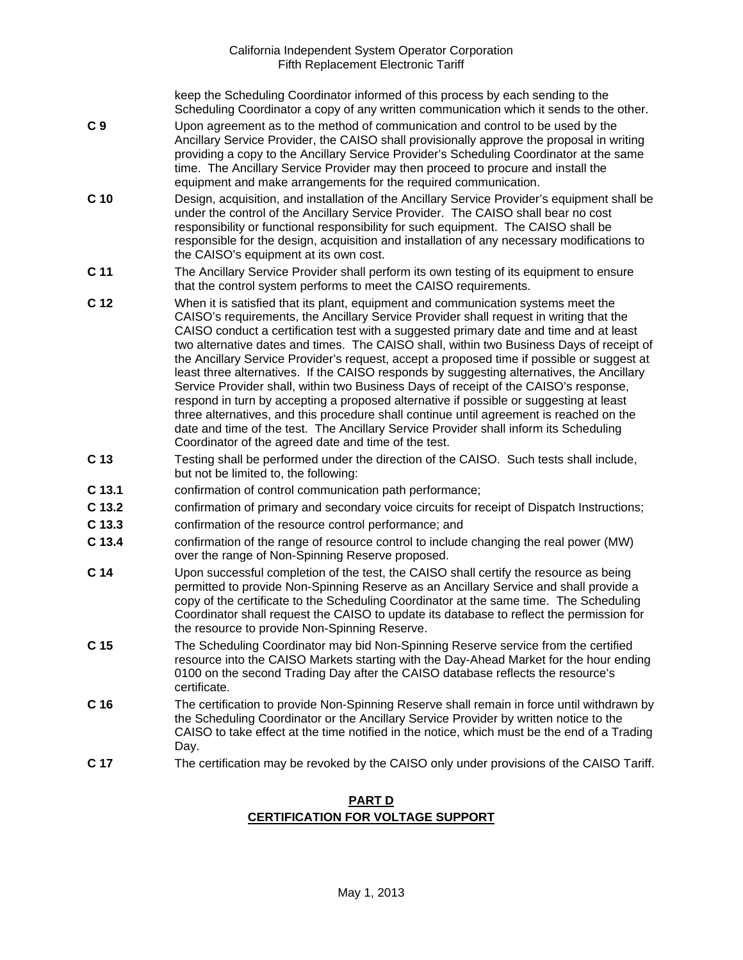keep the Scheduling Coordinator informed of this process by each sending to the Scheduling Coordinator a copy of any written communication which it sends to the other.

- **C 9** Upon agreement as to the method of communication and control to be used by the Ancillary Service Provider, the CAISO shall provisionally approve the proposal in writing providing a copy to the Ancillary Service Provider's Scheduling Coordinator at the same time. The Ancillary Service Provider may then proceed to procure and install the equipment and make arrangements for the required communication.
- **C 10** Design, acquisition, and installation of the Ancillary Service Provider's equipment shall be under the control of the Ancillary Service Provider. The CAISO shall bear no cost responsibility or functional responsibility for such equipment. The CAISO shall be responsible for the design, acquisition and installation of any necessary modifications to the CAISO's equipment at its own cost.
- **C 11** The Ancillary Service Provider shall perform its own testing of its equipment to ensure that the control system performs to meet the CAISO requirements.
- **C 12** When it is satisfied that its plant, equipment and communication systems meet the CAISO's requirements, the Ancillary Service Provider shall request in writing that the CAISO conduct a certification test with a suggested primary date and time and at least two alternative dates and times. The CAISO shall, within two Business Days of receipt of the Ancillary Service Provider's request, accept a proposed time if possible or suggest at least three alternatives. If the CAISO responds by suggesting alternatives, the Ancillary Service Provider shall, within two Business Days of receipt of the CAISO's response, respond in turn by accepting a proposed alternative if possible or suggesting at least three alternatives, and this procedure shall continue until agreement is reached on the date and time of the test. The Ancillary Service Provider shall inform its Scheduling Coordinator of the agreed date and time of the test.
- **C 13** Testing shall be performed under the direction of the CAISO. Such tests shall include, but not be limited to, the following:
- **C 13.1** confirmation of control communication path performance;
- **C 13.2** confirmation of primary and secondary voice circuits for receipt of Dispatch Instructions;
- **C 13.3** confirmation of the resource control performance; and
- **C 13.4** confirmation of the range of resource control to include changing the real power (MW) over the range of Non-Spinning Reserve proposed.
- **C 14** Upon successful completion of the test, the CAISO shall certify the resource as being permitted to provide Non-Spinning Reserve as an Ancillary Service and shall provide a copy of the certificate to the Scheduling Coordinator at the same time. The Scheduling Coordinator shall request the CAISO to update its database to reflect the permission for the resource to provide Non-Spinning Reserve.
- **C 15** The Scheduling Coordinator may bid Non-Spinning Reserve service from the certified resource into the CAISO Markets starting with the Day-Ahead Market for the hour ending 0100 on the second Trading Day after the CAISO database reflects the resource's certificate.
- **C 16** The certification to provide Non-Spinning Reserve shall remain in force until withdrawn by the Scheduling Coordinator or the Ancillary Service Provider by written notice to the CAISO to take effect at the time notified in the notice, which must be the end of a Trading Day.
- **C 17** The certification may be revoked by the CAISO only under provisions of the CAISO Tariff.

## **PART D CERTIFICATION FOR VOLTAGE SUPPORT**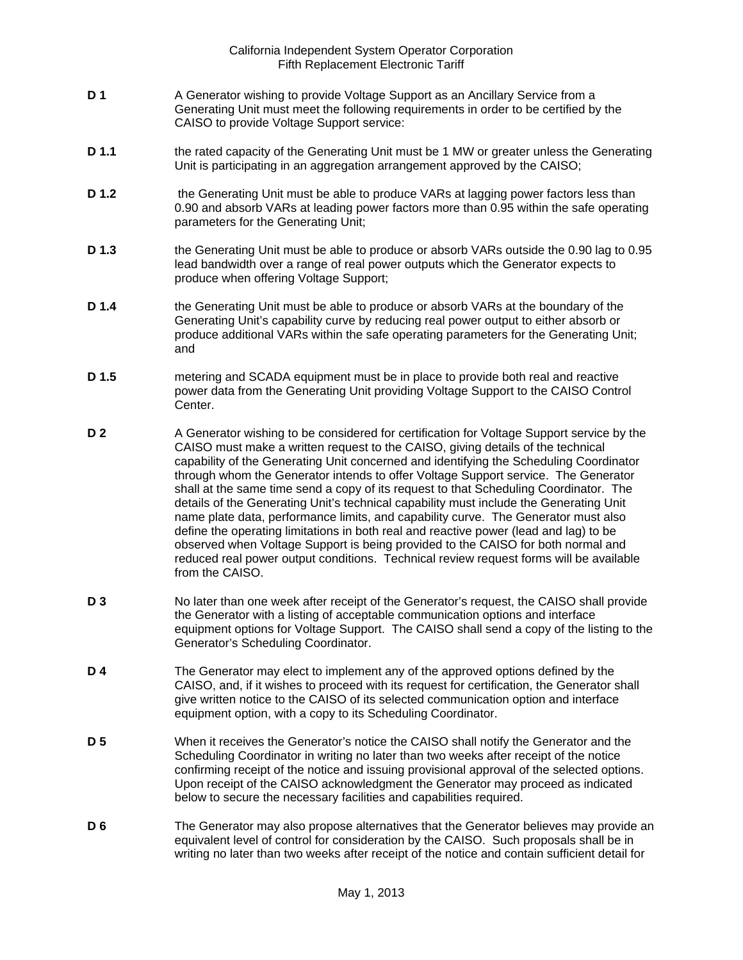- **D 1** A Generator wishing to provide Voltage Support as an Ancillary Service from a Generating Unit must meet the following requirements in order to be certified by the CAISO to provide Voltage Support service:
- **D 1.1** the rated capacity of the Generating Unit must be 1 MW or greater unless the Generating Unit is participating in an aggregation arrangement approved by the CAISO;
- **D 1.2** the Generating Unit must be able to produce VARs at lagging power factors less than 0.90 and absorb VARs at leading power factors more than 0.95 within the safe operating parameters for the Generating Unit;
- **D 1.3** the Generating Unit must be able to produce or absorb VARs outside the 0.90 lag to 0.95 lead bandwidth over a range of real power outputs which the Generator expects to produce when offering Voltage Support;
- **D 1.4** the Generating Unit must be able to produce or absorb VARs at the boundary of the Generating Unit's capability curve by reducing real power output to either absorb or produce additional VARs within the safe operating parameters for the Generating Unit; and
- **D 1.5** metering and SCADA equipment must be in place to provide both real and reactive power data from the Generating Unit providing Voltage Support to the CAISO Control Center.
- **D 2** A Generator wishing to be considered for certification for Voltage Support service by the CAISO must make a written request to the CAISO, giving details of the technical capability of the Generating Unit concerned and identifying the Scheduling Coordinator through whom the Generator intends to offer Voltage Support service. The Generator shall at the same time send a copy of its request to that Scheduling Coordinator. The details of the Generating Unit's technical capability must include the Generating Unit name plate data, performance limits, and capability curve. The Generator must also define the operating limitations in both real and reactive power (lead and lag) to be observed when Voltage Support is being provided to the CAISO for both normal and reduced real power output conditions. Technical review request forms will be available from the CAISO.
- **D 3** No later than one week after receipt of the Generator's request, the CAISO shall provide the Generator with a listing of acceptable communication options and interface equipment options for Voltage Support. The CAISO shall send a copy of the listing to the Generator's Scheduling Coordinator.
- **D 4** The Generator may elect to implement any of the approved options defined by the CAISO, and, if it wishes to proceed with its request for certification, the Generator shall give written notice to the CAISO of its selected communication option and interface equipment option, with a copy to its Scheduling Coordinator.
- **D 5** When it receives the Generator's notice the CAISO shall notify the Generator and the Scheduling Coordinator in writing no later than two weeks after receipt of the notice confirming receipt of the notice and issuing provisional approval of the selected options. Upon receipt of the CAISO acknowledgment the Generator may proceed as indicated below to secure the necessary facilities and capabilities required.
- **D 6** The Generator may also propose alternatives that the Generator believes may provide an equivalent level of control for consideration by the CAISO. Such proposals shall be in writing no later than two weeks after receipt of the notice and contain sufficient detail for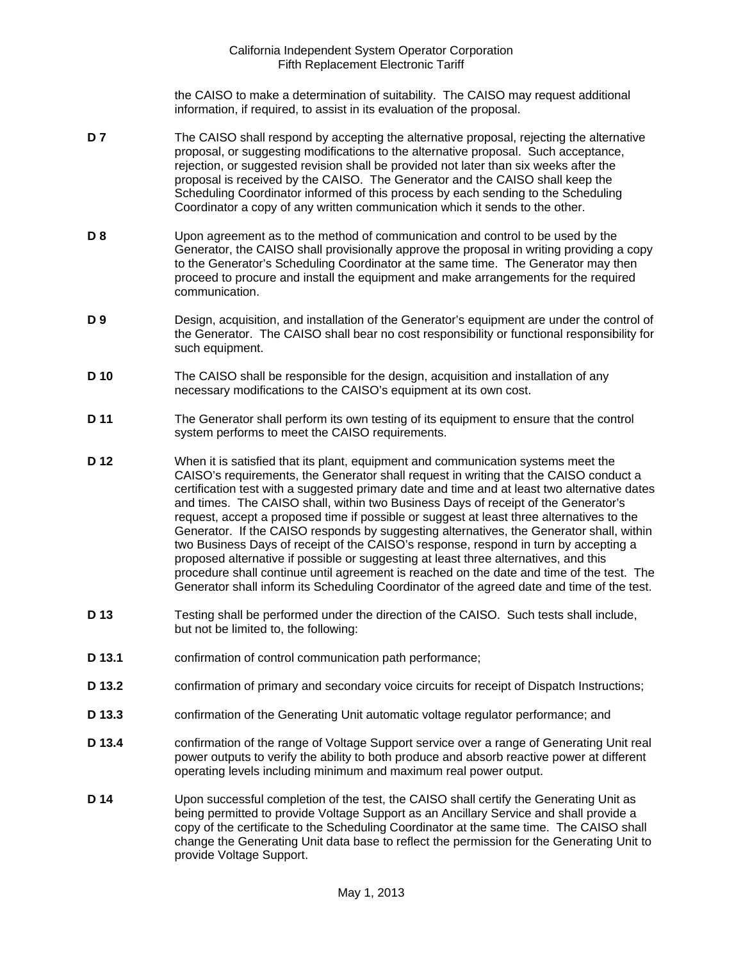the CAISO to make a determination of suitability. The CAISO may request additional information, if required, to assist in its evaluation of the proposal.

- **D 7** The CAISO shall respond by accepting the alternative proposal, rejecting the alternative proposal, or suggesting modifications to the alternative proposal. Such acceptance, rejection, or suggested revision shall be provided not later than six weeks after the proposal is received by the CAISO. The Generator and the CAISO shall keep the Scheduling Coordinator informed of this process by each sending to the Scheduling Coordinator a copy of any written communication which it sends to the other.
- **D 8** Upon agreement as to the method of communication and control to be used by the Generator, the CAISO shall provisionally approve the proposal in writing providing a copy to the Generator's Scheduling Coordinator at the same time. The Generator may then proceed to procure and install the equipment and make arrangements for the required communication.
- **D 9** Design, acquisition, and installation of the Generator's equipment are under the control of the Generator. The CAISO shall bear no cost responsibility or functional responsibility for such equipment.
- **D 10** The CAISO shall be responsible for the design, acquisition and installation of any necessary modifications to the CAISO's equipment at its own cost.
- **D 11** The Generator shall perform its own testing of its equipment to ensure that the control system performs to meet the CAISO requirements.
- **D 12** When it is satisfied that its plant, equipment and communication systems meet the CAISO's requirements, the Generator shall request in writing that the CAISO conduct a certification test with a suggested primary date and time and at least two alternative dates and times. The CAISO shall, within two Business Days of receipt of the Generator's request, accept a proposed time if possible or suggest at least three alternatives to the Generator. If the CAISO responds by suggesting alternatives, the Generator shall, within two Business Days of receipt of the CAISO's response, respond in turn by accepting a proposed alternative if possible or suggesting at least three alternatives, and this procedure shall continue until agreement is reached on the date and time of the test. The Generator shall inform its Scheduling Coordinator of the agreed date and time of the test.
- **D 13** Testing shall be performed under the direction of the CAISO. Such tests shall include, but not be limited to, the following:
- **D 13.1** confirmation of control communication path performance;
- **D 13.2** confirmation of primary and secondary voice circuits for receipt of Dispatch Instructions;
- **D 13.3** confirmation of the Generating Unit automatic voltage regulator performance; and
- **D 13.4** confirmation of the range of Voltage Support service over a range of Generating Unit real power outputs to verify the ability to both produce and absorb reactive power at different operating levels including minimum and maximum real power output.
- **D 14** Upon successful completion of the test, the CAISO shall certify the Generating Unit as being permitted to provide Voltage Support as an Ancillary Service and shall provide a copy of the certificate to the Scheduling Coordinator at the same time. The CAISO shall change the Generating Unit data base to reflect the permission for the Generating Unit to provide Voltage Support.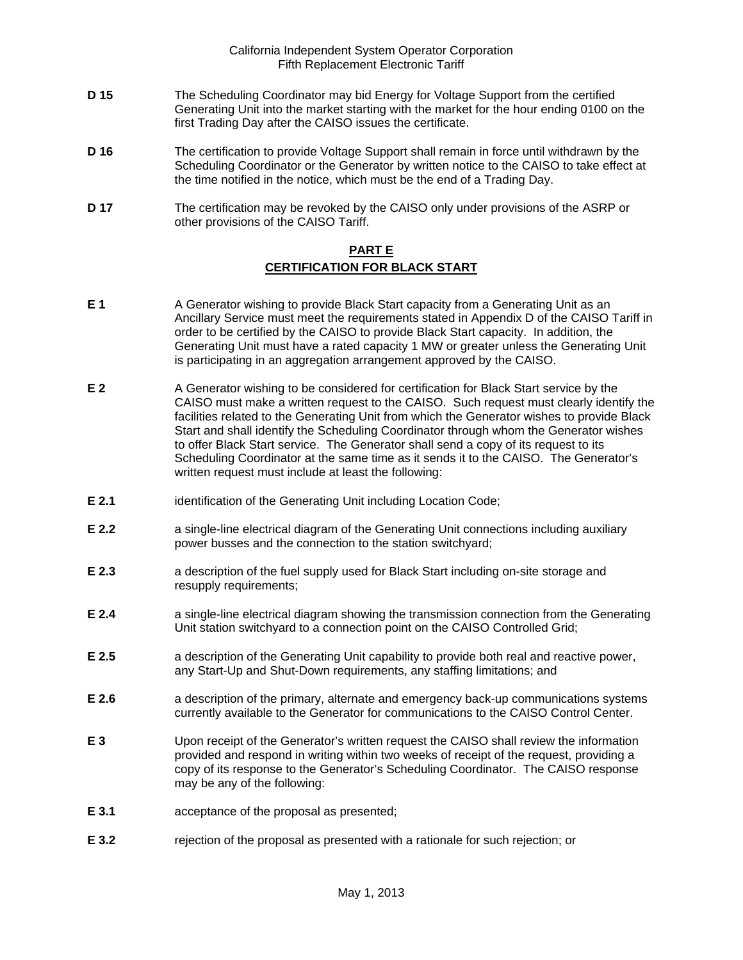- **D 15** The Scheduling Coordinator may bid Energy for Voltage Support from the certified Generating Unit into the market starting with the market for the hour ending 0100 on the first Trading Day after the CAISO issues the certificate.
- **D 16** The certification to provide Voltage Support shall remain in force until withdrawn by the Scheduling Coordinator or the Generator by written notice to the CAISO to take effect at the time notified in the notice, which must be the end of a Trading Day.
- **D 17** The certification may be revoked by the CAISO only under provisions of the ASRP or other provisions of the CAISO Tariff.

# **PART E CERTIFICATION FOR BLACK START**

- **E 1** A Generator wishing to provide Black Start capacity from a Generating Unit as an Ancillary Service must meet the requirements stated in Appendix D of the CAISO Tariff in order to be certified by the CAISO to provide Black Start capacity. In addition, the Generating Unit must have a rated capacity 1 MW or greater unless the Generating Unit is participating in an aggregation arrangement approved by the CAISO.
- **E 2** A Generator wishing to be considered for certification for Black Start service by the CAISO must make a written request to the CAISO. Such request must clearly identify the facilities related to the Generating Unit from which the Generator wishes to provide Black Start and shall identify the Scheduling Coordinator through whom the Generator wishes to offer Black Start service. The Generator shall send a copy of its request to its Scheduling Coordinator at the same time as it sends it to the CAISO. The Generator's written request must include at least the following:
- **E 2.1** identification of the Generating Unit including Location Code;
- **E 2.2 a** single-line electrical diagram of the Generating Unit connections including auxiliary power busses and the connection to the station switchyard;
- **E 2.3** a description of the fuel supply used for Black Start including on-site storage and resupply requirements;
- **E 2.4** a single-line electrical diagram showing the transmission connection from the Generating Unit station switchyard to a connection point on the CAISO Controlled Grid;
- **E 2.5** a description of the Generating Unit capability to provide both real and reactive power, any Start-Up and Shut-Down requirements, any staffing limitations; and
- **E 2.6** a description of the primary, alternate and emergency back-up communications systems currently available to the Generator for communications to the CAISO Control Center.
- **E 3** Upon receipt of the Generator's written request the CAISO shall review the information provided and respond in writing within two weeks of receipt of the request, providing a copy of its response to the Generator's Scheduling Coordinator. The CAISO response may be any of the following:
- **E 3.1** acceptance of the proposal as presented;
- **E 3.2** rejection of the proposal as presented with a rationale for such rejection; or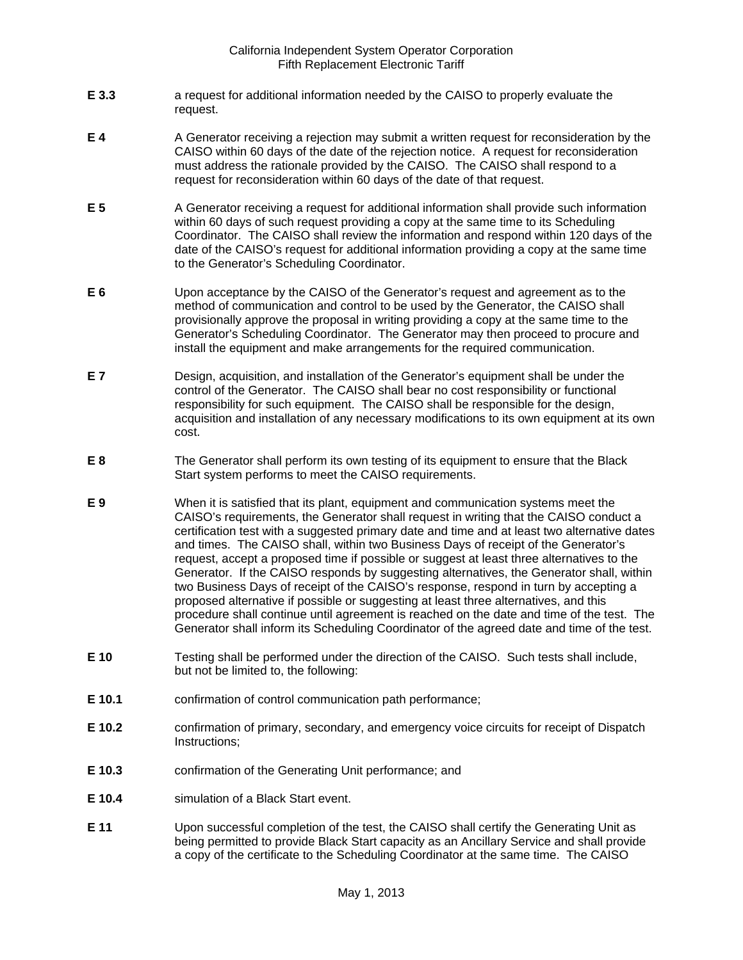- **E 3.3** a request for additional information needed by the CAISO to properly evaluate the request.
- **E 4** A Generator receiving a rejection may submit a written request for reconsideration by the CAISO within 60 days of the date of the rejection notice. A request for reconsideration must address the rationale provided by the CAISO. The CAISO shall respond to a request for reconsideration within 60 days of the date of that request.
- **E 5** A Generator receiving a request for additional information shall provide such information within 60 days of such request providing a copy at the same time to its Scheduling Coordinator. The CAISO shall review the information and respond within 120 days of the date of the CAISO's request for additional information providing a copy at the same time to the Generator's Scheduling Coordinator.
- **E 6** Upon acceptance by the CAISO of the Generator's request and agreement as to the method of communication and control to be used by the Generator, the CAISO shall provisionally approve the proposal in writing providing a copy at the same time to the Generator's Scheduling Coordinator. The Generator may then proceed to procure and install the equipment and make arrangements for the required communication.
- **E 7** Design, acquisition, and installation of the Generator's equipment shall be under the control of the Generator. The CAISO shall bear no cost responsibility or functional responsibility for such equipment. The CAISO shall be responsible for the design, acquisition and installation of any necessary modifications to its own equipment at its own cost.
- **E 8** The Generator shall perform its own testing of its equipment to ensure that the Black Start system performs to meet the CAISO requirements.
- **E 9** When it is satisfied that its plant, equipment and communication systems meet the CAISO's requirements, the Generator shall request in writing that the CAISO conduct a certification test with a suggested primary date and time and at least two alternative dates and times. The CAISO shall, within two Business Days of receipt of the Generator's request, accept a proposed time if possible or suggest at least three alternatives to the Generator. If the CAISO responds by suggesting alternatives, the Generator shall, within two Business Days of receipt of the CAISO's response, respond in turn by accepting a proposed alternative if possible or suggesting at least three alternatives, and this procedure shall continue until agreement is reached on the date and time of the test. The Generator shall inform its Scheduling Coordinator of the agreed date and time of the test.
- **E 10** Testing shall be performed under the direction of the CAISO. Such tests shall include, but not be limited to, the following:
- **E 10.1** confirmation of control communication path performance;
- **E 10.2** confirmation of primary, secondary, and emergency voice circuits for receipt of Dispatch Instructions;
- **E 10.3** confirmation of the Generating Unit performance; and
- **E 10.4** simulation of a Black Start event.
- **E 11** Upon successful completion of the test, the CAISO shall certify the Generating Unit as being permitted to provide Black Start capacity as an Ancillary Service and shall provide a copy of the certificate to the Scheduling Coordinator at the same time. The CAISO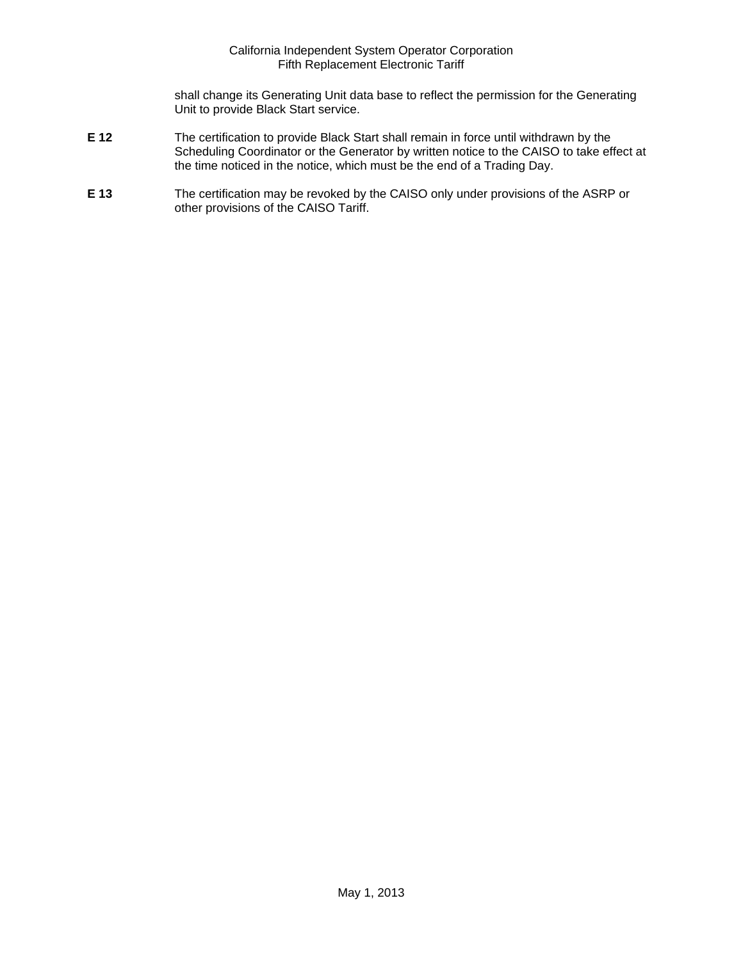shall change its Generating Unit data base to reflect the permission for the Generating Unit to provide Black Start service.

- **E 12** The certification to provide Black Start shall remain in force until withdrawn by the Scheduling Coordinator or the Generator by written notice to the CAISO to take effect at the time noticed in the notice, which must be the end of a Trading Day.
- **E 13** The certification may be revoked by the CAISO only under provisions of the ASRP or other provisions of the CAISO Tariff.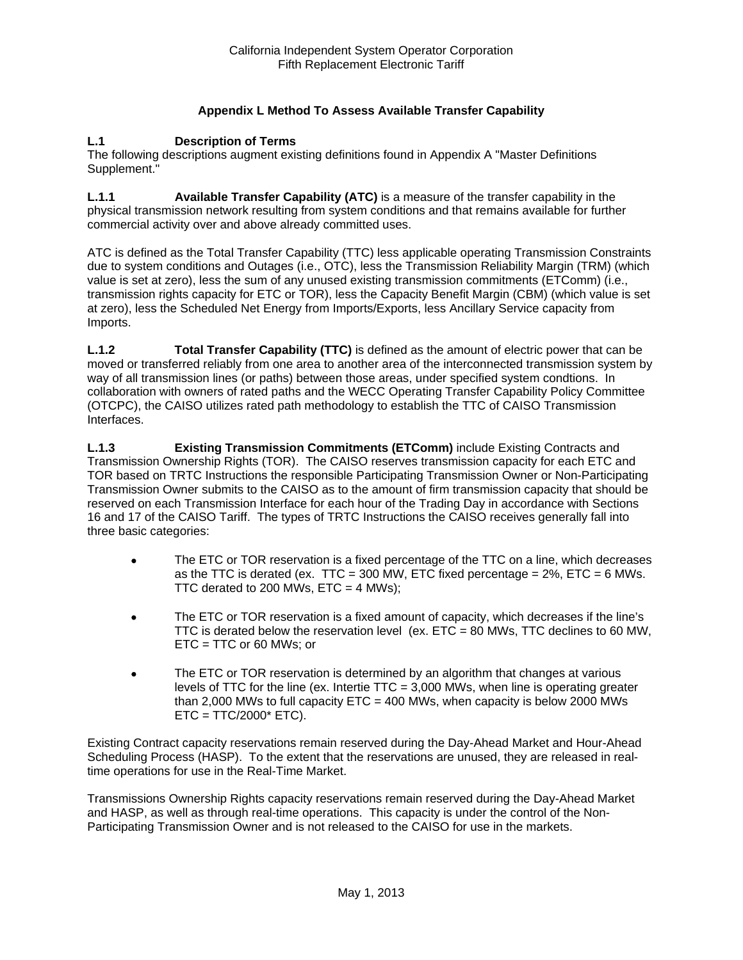# **Appendix L Method To Assess Available Transfer Capability**

#### **L.1 Description of Terms**

The following descriptions augment existing definitions found in Appendix A "Master Definitions Supplement."

**L.1.1 Available Transfer Capability (ATC)** is a measure of the transfer capability in the physical transmission network resulting from system conditions and that remains available for further commercial activity over and above already committed uses.

ATC is defined as the Total Transfer Capability (TTC) less applicable operating Transmission Constraints due to system conditions and Outages (i.e., OTC), less the Transmission Reliability Margin (TRM) (which value is set at zero), less the sum of any unused existing transmission commitments (ETComm) (i.e., transmission rights capacity for ETC or TOR), less the Capacity Benefit Margin (CBM) (which value is set at zero), less the Scheduled Net Energy from Imports/Exports, less Ancillary Service capacity from Imports.

**L.1.2 Total Transfer Capability (TTC)** is defined as the amount of electric power that can be moved or transferred reliably from one area to another area of the interconnected transmission system by way of all transmission lines (or paths) between those areas, under specified system condtions. In collaboration with owners of rated paths and the WECC Operating Transfer Capability Policy Committee (OTCPC), the CAISO utilizes rated path methodology to establish the TTC of CAISO Transmission Interfaces.

**L.1.3 Existing Transmission Commitments (ETComm)** include Existing Contracts and Transmission Ownership Rights (TOR). The CAISO reserves transmission capacity for each ETC and TOR based on TRTC Instructions the responsible Participating Transmission Owner or Non-Participating Transmission Owner submits to the CAISO as to the amount of firm transmission capacity that should be reserved on each Transmission Interface for each hour of the Trading Day in accordance with Sections 16 and 17 of the CAISO Tariff. The types of TRTC Instructions the CAISO receives generally fall into three basic categories:

- The ETC or TOR reservation is a fixed percentage of the TTC on a line, which decreases as the TTC is derated (ex. TTC = 300 MW, ETC fixed percentage =  $2\%$ , ETC = 6 MWs. TTC derated to 200 MWs,  $ETC = 4$  MWs);
- The ETC or TOR reservation is a fixed amount of capacity, which decreases if the line's TTC is derated below the reservation level (ex.  $ETC = 80$  MWs, TTC declines to 60 MW, ETC = TTC or 60 MWs; or
- The ETC or TOR reservation is determined by an algorithm that changes at various levels of TTC for the line (ex. Intertie  $TTC = 3,000$  MWs, when line is operating greater than 2,000 MWs to full capacity  $ETC = 400$  MWs, when capacity is below 2000 MWs  $ETC = TTC/2000* ETC$ ).

Existing Contract capacity reservations remain reserved during the Day-Ahead Market and Hour-Ahead Scheduling Process (HASP). To the extent that the reservations are unused, they are released in realtime operations for use in the Real-Time Market.

Transmissions Ownership Rights capacity reservations remain reserved during the Day-Ahead Market and HASP, as well as through real-time operations. This capacity is under the control of the Non-Participating Transmission Owner and is not released to the CAISO for use in the markets.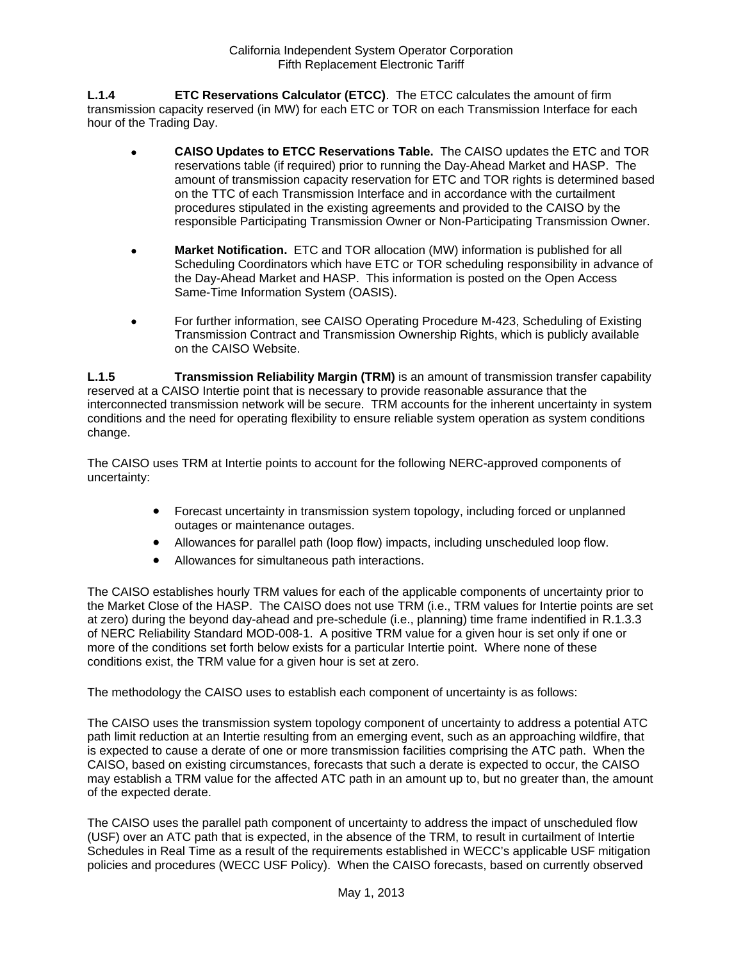**L.1.4 ETC Reservations Calculator (ETCC)**. The ETCC calculates the amount of firm transmission capacity reserved (in MW) for each ETC or TOR on each Transmission Interface for each hour of the Trading Day.

- **CAISO Updates to ETCC Reservations Table.** The CAISO updates the ETC and TOR reservations table (if required) prior to running the Day-Ahead Market and HASP. The amount of transmission capacity reservation for ETC and TOR rights is determined based on the TTC of each Transmission Interface and in accordance with the curtailment procedures stipulated in the existing agreements and provided to the CAISO by the responsible Participating Transmission Owner or Non-Participating Transmission Owner.
- **Market Notification.** ETC and TOR allocation (MW) information is published for all Scheduling Coordinators which have ETC or TOR scheduling responsibility in advance of the Day-Ahead Market and HASP. This information is posted on the Open Access Same-Time Information System (OASIS).
- For further information, see CAISO Operating Procedure M-423, Scheduling of Existing Transmission Contract and Transmission Ownership Rights, which is publicly available on the CAISO Website.

**L.1.5 Transmission Reliability Margin (TRM)** is an amount of transmission transfer capability reserved at a CAISO Intertie point that is necessary to provide reasonable assurance that the interconnected transmission network will be secure. TRM accounts for the inherent uncertainty in system conditions and the need for operating flexibility to ensure reliable system operation as system conditions change.

The CAISO uses TRM at Intertie points to account for the following NERC-approved components of uncertainty:

- Forecast uncertainty in transmission system topology, including forced or unplanned outages or maintenance outages.
- Allowances for parallel path (loop flow) impacts, including unscheduled loop flow.
- Allowances for simultaneous path interactions.

The CAISO establishes hourly TRM values for each of the applicable components of uncertainty prior to the Market Close of the HASP. The CAISO does not use TRM (i.e., TRM values for Intertie points are set at zero) during the beyond day-ahead and pre-schedule (i.e., planning) time frame indentified in R.1.3.3 of NERC Reliability Standard MOD-008-1. A positive TRM value for a given hour is set only if one or more of the conditions set forth below exists for a particular Intertie point. Where none of these conditions exist, the TRM value for a given hour is set at zero.

The methodology the CAISO uses to establish each component of uncertainty is as follows:

The CAISO uses the transmission system topology component of uncertainty to address a potential ATC path limit reduction at an Intertie resulting from an emerging event, such as an approaching wildfire, that is expected to cause a derate of one or more transmission facilities comprising the ATC path. When the CAISO, based on existing circumstances, forecasts that such a derate is expected to occur, the CAISO may establish a TRM value for the affected ATC path in an amount up to, but no greater than, the amount of the expected derate.

The CAISO uses the parallel path component of uncertainty to address the impact of unscheduled flow (USF) over an ATC path that is expected, in the absence of the TRM, to result in curtailment of Intertie Schedules in Real Time as a result of the requirements established in WECC's applicable USF mitigation policies and procedures (WECC USF Policy). When the CAISO forecasts, based on currently observed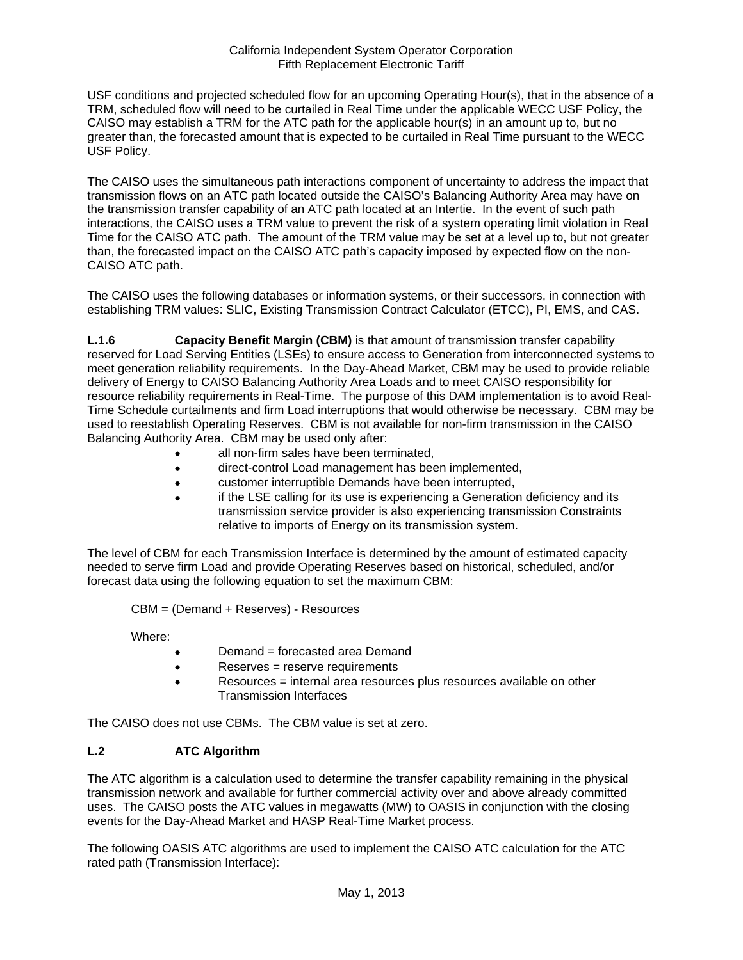USF conditions and projected scheduled flow for an upcoming Operating Hour(s), that in the absence of a TRM, scheduled flow will need to be curtailed in Real Time under the applicable WECC USF Policy, the CAISO may establish a TRM for the ATC path for the applicable hour(s) in an amount up to, but no greater than, the forecasted amount that is expected to be curtailed in Real Time pursuant to the WECC USF Policy.

The CAISO uses the simultaneous path interactions component of uncertainty to address the impact that transmission flows on an ATC path located outside the CAISO's Balancing Authority Area may have on the transmission transfer capability of an ATC path located at an Intertie. In the event of such path interactions, the CAISO uses a TRM value to prevent the risk of a system operating limit violation in Real Time for the CAISO ATC path. The amount of the TRM value may be set at a level up to, but not greater than, the forecasted impact on the CAISO ATC path's capacity imposed by expected flow on the non-CAISO ATC path.

The CAISO uses the following databases or information systems, or their successors, in connection with establishing TRM values: SLIC, Existing Transmission Contract Calculator (ETCC), PI, EMS, and CAS.

**L.1.6 Capacity Benefit Margin (CBM)** is that amount of transmission transfer capability reserved for Load Serving Entities (LSEs) to ensure access to Generation from interconnected systems to meet generation reliability requirements. In the Day-Ahead Market, CBM may be used to provide reliable delivery of Energy to CAISO Balancing Authority Area Loads and to meet CAISO responsibility for resource reliability requirements in Real-Time. The purpose of this DAM implementation is to avoid Real-Time Schedule curtailments and firm Load interruptions that would otherwise be necessary. CBM may be used to reestablish Operating Reserves. CBM is not available for non-firm transmission in the CAISO Balancing Authority Area. CBM may be used only after:

- all non-firm sales have been terminated,
- direct-control Load management has been implemented,
- customer interruptible Demands have been interrupted,
- if the LSE calling for its use is experiencing a Generation deficiency and its transmission service provider is also experiencing transmission Constraints relative to imports of Energy on its transmission system.

The level of CBM for each Transmission Interface is determined by the amount of estimated capacity needed to serve firm Load and provide Operating Reserves based on historical, scheduled, and/or forecast data using the following equation to set the maximum CBM:

CBM = (Demand + Reserves) - Resources

Where:

- Demand = forecasted area Demand
- Reserves = reserve requirements
- Resources = internal area resources plus resources available on other Transmission Interfaces

The CAISO does not use CBMs. The CBM value is set at zero.

## **L.2 ATC Algorithm**

The ATC algorithm is a calculation used to determine the transfer capability remaining in the physical transmission network and available for further commercial activity over and above already committed uses. The CAISO posts the ATC values in megawatts (MW) to OASIS in conjunction with the closing events for the Day-Ahead Market and HASP Real-Time Market process.

The following OASIS ATC algorithms are used to implement the CAISO ATC calculation for the ATC rated path (Transmission Interface):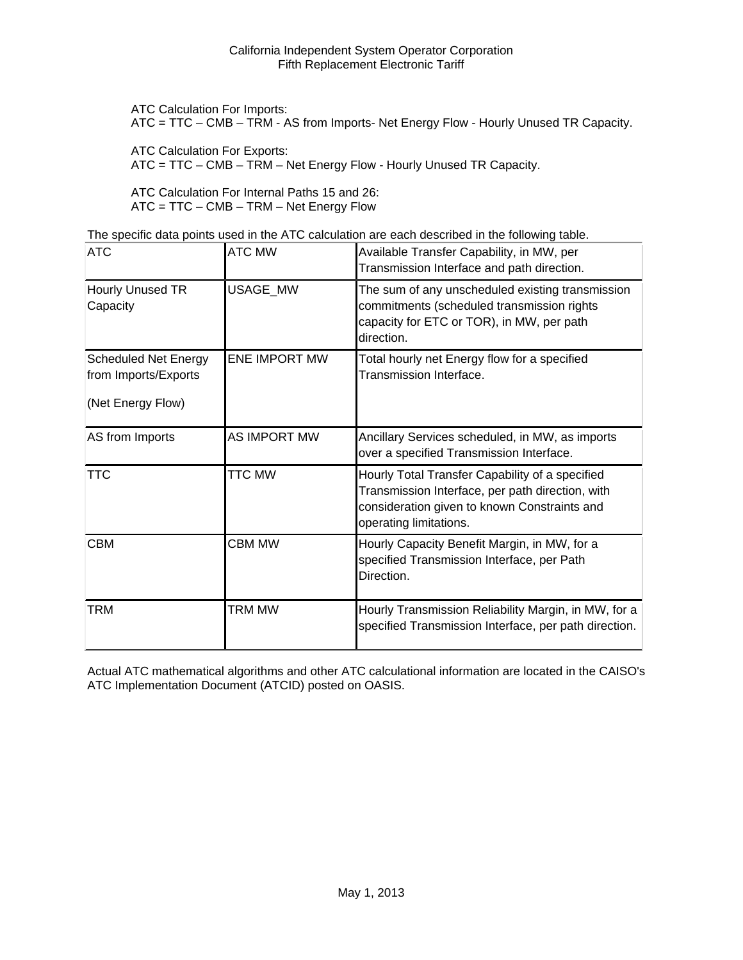ATC Calculation For Imports:

ATC = TTC – CMB – TRM - AS from Imports- Net Energy Flow - Hourly Unused TR Capacity.

ATC Calculation For Exports:

ATC = TTC – CMB – TRM – Net Energy Flow - Hourly Unused TR Capacity.

ATC Calculation For Internal Paths 15 and 26: ATC = TTC – CMB – TRM – Net Energy Flow

The specific data points used in the ATC calculation are each described in the following table.

| <b>ATC</b>                                                               | <b>ATC MW</b>        | Available Transfer Capability, in MW, per<br>Transmission Interface and path direction.                                                                                       |
|--------------------------------------------------------------------------|----------------------|-------------------------------------------------------------------------------------------------------------------------------------------------------------------------------|
| Hourly Unused TR<br>Capacity                                             | USAGE_MW             | The sum of any unscheduled existing transmission<br>commitments (scheduled transmission rights<br>capacity for ETC or TOR), in MW, per path<br>direction.                     |
| <b>Scheduled Net Energy</b><br>from Imports/Exports<br>(Net Energy Flow) | <b>ENE IMPORT MW</b> | Total hourly net Energy flow for a specified<br>Transmission Interface.                                                                                                       |
| AS from Imports                                                          | <b>AS IMPORT MW</b>  | Ancillary Services scheduled, in MW, as imports<br>over a specified Transmission Interface.                                                                                   |
| <b>TTC</b>                                                               | <b>TTC MW</b>        | Hourly Total Transfer Capability of a specified<br>Transmission Interface, per path direction, with<br>consideration given to known Constraints and<br>operating limitations. |
| <b>CBM</b>                                                               | <b>CBM MW</b>        | Hourly Capacity Benefit Margin, in MW, for a<br>specified Transmission Interface, per Path<br>Direction.                                                                      |
| <b>TRM</b>                                                               | TRM MW               | Hourly Transmission Reliability Margin, in MW, for a<br>specified Transmission Interface, per path direction.                                                                 |

Actual ATC mathematical algorithms and other ATC calculational information are located in the CAISO's ATC Implementation Document (ATCID) posted on OASIS.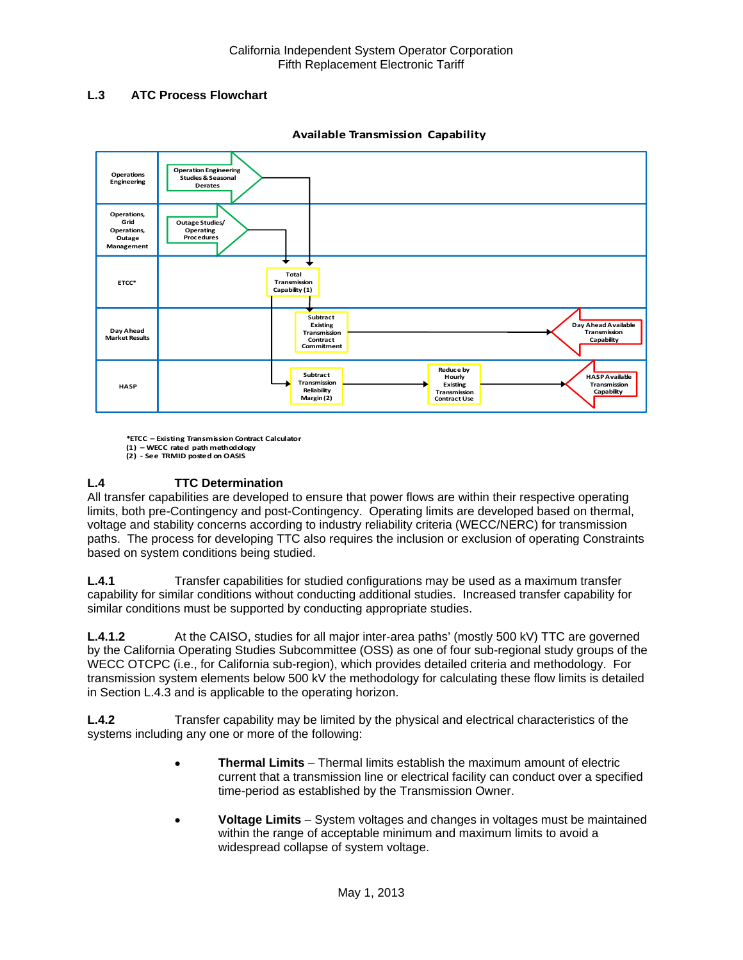# **L.3 ATC Process Flowchart**



**Available Transmission Capability**

**\*ETCC – Existing Transmission Contract Calculator (1) – WECC rated path methodology (2) ‐ See TRMID posted on OASIS**

# **L.4 TTC Determination**

All transfer capabilities are developed to ensure that power flows are within their respective operating limits, both pre-Contingency and post-Contingency. Operating limits are developed based on thermal, voltage and stability concerns according to industry reliability criteria (WECC/NERC) for transmission paths. The process for developing TTC also requires the inclusion or exclusion of operating Constraints based on system conditions being studied.

**L.4.1** Transfer capabilities for studied configurations may be used as a maximum transfer capability for similar conditions without conducting additional studies. Increased transfer capability for similar conditions must be supported by conducting appropriate studies.

**L.4.1.2** At the CAISO, studies for all major inter-area paths' (mostly 500 kV) TTC are governed by the California Operating Studies Subcommittee (OSS) as one of four sub-regional study groups of the WECC OTCPC (i.e., for California sub-region), which provides detailed criteria and methodology. For transmission system elements below 500 kV the methodology for calculating these flow limits is detailed in Section L.4.3 and is applicable to the operating horizon.

**L.4.2** Transfer capability may be limited by the physical and electrical characteristics of the systems including any one or more of the following:

- **Thermal Limits** Thermal limits establish the maximum amount of electric current that a transmission line or electrical facility can conduct over a specified time-period as established by the Transmission Owner.
- **Voltage Limits** System voltages and changes in voltages must be maintained within the range of acceptable minimum and maximum limits to avoid a widespread collapse of system voltage.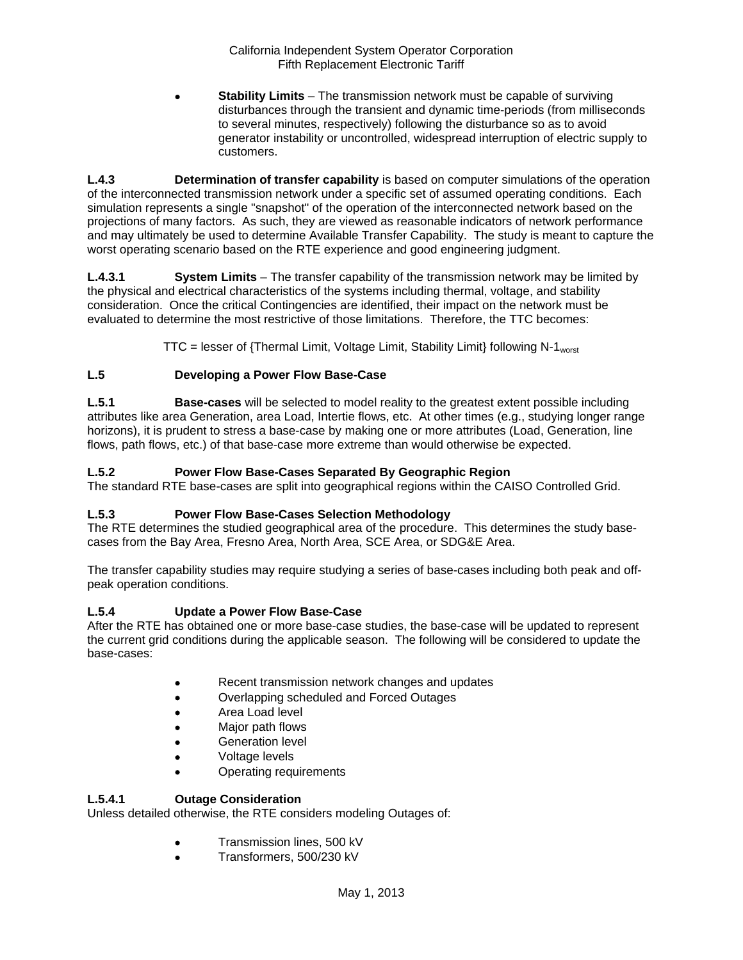**Stability Limits** – The transmission network must be capable of surviving disturbances through the transient and dynamic time-periods (from milliseconds to several minutes, respectively) following the disturbance so as to avoid generator instability or uncontrolled, widespread interruption of electric supply to customers.

**L.4.3 Determination of transfer capability** is based on computer simulations of the operation of the interconnected transmission network under a specific set of assumed operating conditions. Each simulation represents a single "snapshot" of the operation of the interconnected network based on the projections of many factors. As such, they are viewed as reasonable indicators of network performance and may ultimately be used to determine Available Transfer Capability. The study is meant to capture the worst operating scenario based on the RTE experience and good engineering judgment.

**L.4.3.1 System Limits** – The transfer capability of the transmission network may be limited by the physical and electrical characteristics of the systems including thermal, voltage, and stability consideration. Once the critical Contingencies are identified, their impact on the network must be evaluated to determine the most restrictive of those limitations. Therefore, the TTC becomes:

 $TTC =$  lesser of {Thermal Limit, Voltage Limit, Stability Limit} following N-1<sub>worst</sub>

# **L.5 Developing a Power Flow Base-Case**

**L.5.1 Base-cases** will be selected to model reality to the greatest extent possible including attributes like area Generation, area Load, Intertie flows, etc. At other times (e.g., studying longer range horizons), it is prudent to stress a base-case by making one or more attributes (Load, Generation, line flows, path flows, etc.) of that base-case more extreme than would otherwise be expected.

# **L.5.2 Power Flow Base-Cases Separated By Geographic Region**

The standard RTE base-cases are split into geographical regions within the CAISO Controlled Grid.

## **L.5.3 Power Flow Base-Cases Selection Methodology**

The RTE determines the studied geographical area of the procedure. This determines the study basecases from the Bay Area, Fresno Area, North Area, SCE Area, or SDG&E Area.

The transfer capability studies may require studying a series of base-cases including both peak and offpeak operation conditions.

## **L.5.4 Update a Power Flow Base-Case**

After the RTE has obtained one or more base-case studies, the base-case will be updated to represent the current grid conditions during the applicable season. The following will be considered to update the base-cases:

- Recent transmission network changes and updates
- Overlapping scheduled and Forced Outages
- Area Load level
- Major path flows
- Generation level
- Voltage levels
- Operating requirements

## **L.5.4.1 Outage Consideration**

Unless detailed otherwise, the RTE considers modeling Outages of:

- **•** Transmission lines, 500 kV
- Transformers, 500/230 kV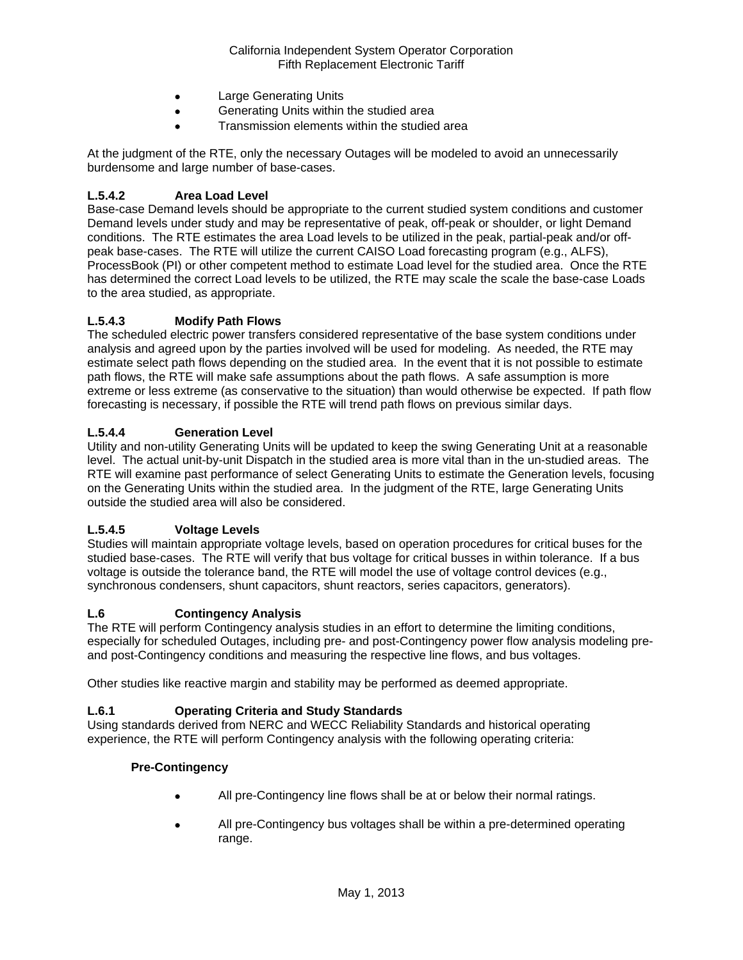- Large Generating Units
- Generating Units within the studied area
- Transmission elements within the studied area

At the judgment of the RTE, only the necessary Outages will be modeled to avoid an unnecessarily burdensome and large number of base-cases.

## **L.5.4.2 Area Load Level**

Base-case Demand levels should be appropriate to the current studied system conditions and customer Demand levels under study and may be representative of peak, off-peak or shoulder, or light Demand conditions. The RTE estimates the area Load levels to be utilized in the peak, partial-peak and/or offpeak base-cases. The RTE will utilize the current CAISO Load forecasting program (e.g., ALFS), ProcessBook (PI) or other competent method to estimate Load level for the studied area. Once the RTE has determined the correct Load levels to be utilized, the RTE may scale the scale the base-case Loads to the area studied, as appropriate.

## **L.5.4.3 Modify Path Flows**

The scheduled electric power transfers considered representative of the base system conditions under analysis and agreed upon by the parties involved will be used for modeling. As needed, the RTE may estimate select path flows depending on the studied area. In the event that it is not possible to estimate path flows, the RTE will make safe assumptions about the path flows. A safe assumption is more extreme or less extreme (as conservative to the situation) than would otherwise be expected. If path flow forecasting is necessary, if possible the RTE will trend path flows on previous similar days.

## **L.5.4.4 Generation Level**

Utility and non-utility Generating Units will be updated to keep the swing Generating Unit at a reasonable level. The actual unit-by-unit Dispatch in the studied area is more vital than in the un-studied areas. The RTE will examine past performance of select Generating Units to estimate the Generation levels, focusing on the Generating Units within the studied area. In the judgment of the RTE, large Generating Units outside the studied area will also be considered.

## **L.5.4.5 Voltage Levels**

Studies will maintain appropriate voltage levels, based on operation procedures for critical buses for the studied base-cases. The RTE will verify that bus voltage for critical busses in within tolerance. If a bus voltage is outside the tolerance band, the RTE will model the use of voltage control devices (e.g., synchronous condensers, shunt capacitors, shunt reactors, series capacitors, generators).

#### **L.6 Contingency Analysis**

The RTE will perform Contingency analysis studies in an effort to determine the limiting conditions, especially for scheduled Outages, including pre- and post-Contingency power flow analysis modeling preand post-Contingency conditions and measuring the respective line flows, and bus voltages.

Other studies like reactive margin and stability may be performed as deemed appropriate.

## **L.6.1 Operating Criteria and Study Standards**

Using standards derived from NERC and WECC Reliability Standards and historical operating experience, the RTE will perform Contingency analysis with the following operating criteria:

#### **Pre-Contingency**

- All pre-Contingency line flows shall be at or below their normal ratings.
- All pre-Contingency bus voltages shall be within a pre-determined operating range.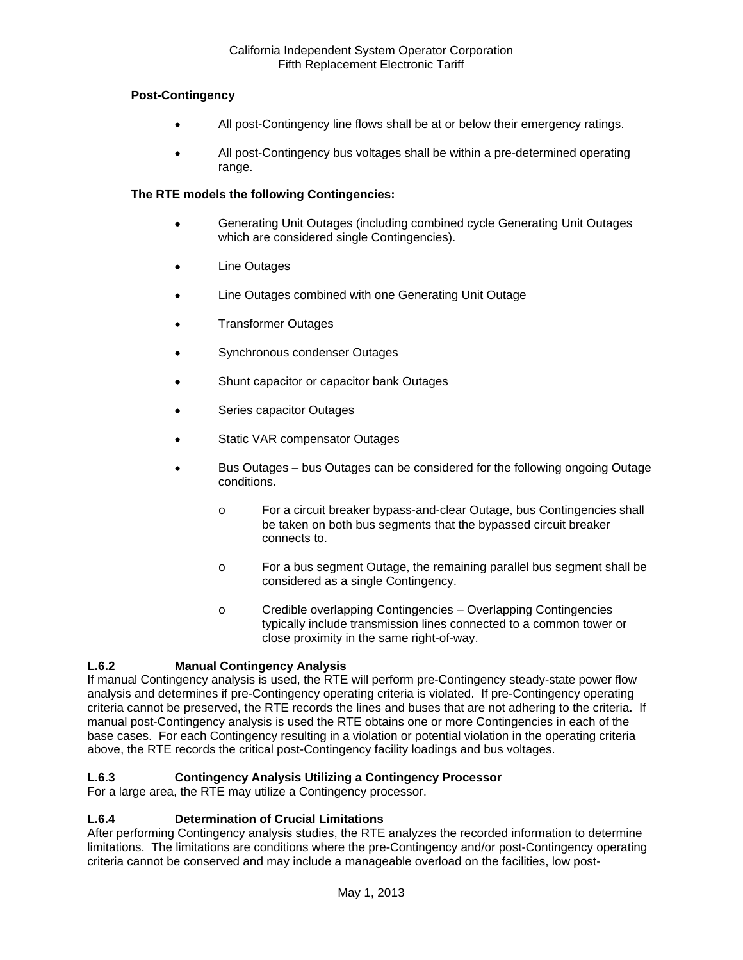## **Post-Contingency**

- All post-Contingency line flows shall be at or below their emergency ratings.
- All post-Contingency bus voltages shall be within a pre-determined operating range.

## **The RTE models the following Contingencies:**

- Generating Unit Outages (including combined cycle Generating Unit Outages which are considered single Contingencies).
- Line Outages
- Line Outages combined with one Generating Unit Outage
- Transformer Outages
- Synchronous condenser Outages
- Shunt capacitor or capacitor bank Outages
- Series capacitor Outages
- Static VAR compensator Outages
- Bus Outages bus Outages can be considered for the following ongoing Outage conditions.
	- o For a circuit breaker bypass-and-clear Outage, bus Contingencies shall be taken on both bus segments that the bypassed circuit breaker connects to.
	- o For a bus segment Outage, the remaining parallel bus segment shall be considered as a single Contingency.
	- o Credible overlapping Contingencies Overlapping Contingencies typically include transmission lines connected to a common tower or close proximity in the same right-of-way.

# **L.6.2 Manual Contingency Analysis**

If manual Contingency analysis is used, the RTE will perform pre-Contingency steady-state power flow analysis and determines if pre-Contingency operating criteria is violated. If pre-Contingency operating criteria cannot be preserved, the RTE records the lines and buses that are not adhering to the criteria. If manual post-Contingency analysis is used the RTE obtains one or more Contingencies in each of the base cases. For each Contingency resulting in a violation or potential violation in the operating criteria above, the RTE records the critical post-Contingency facility loadings and bus voltages.

# **L.6.3 Contingency Analysis Utilizing a Contingency Processor**

For a large area, the RTE may utilize a Contingency processor.

## **L.6.4 Determination of Crucial Limitations**

After performing Contingency analysis studies, the RTE analyzes the recorded information to determine limitations. The limitations are conditions where the pre-Contingency and/or post-Contingency operating criteria cannot be conserved and may include a manageable overload on the facilities, low post